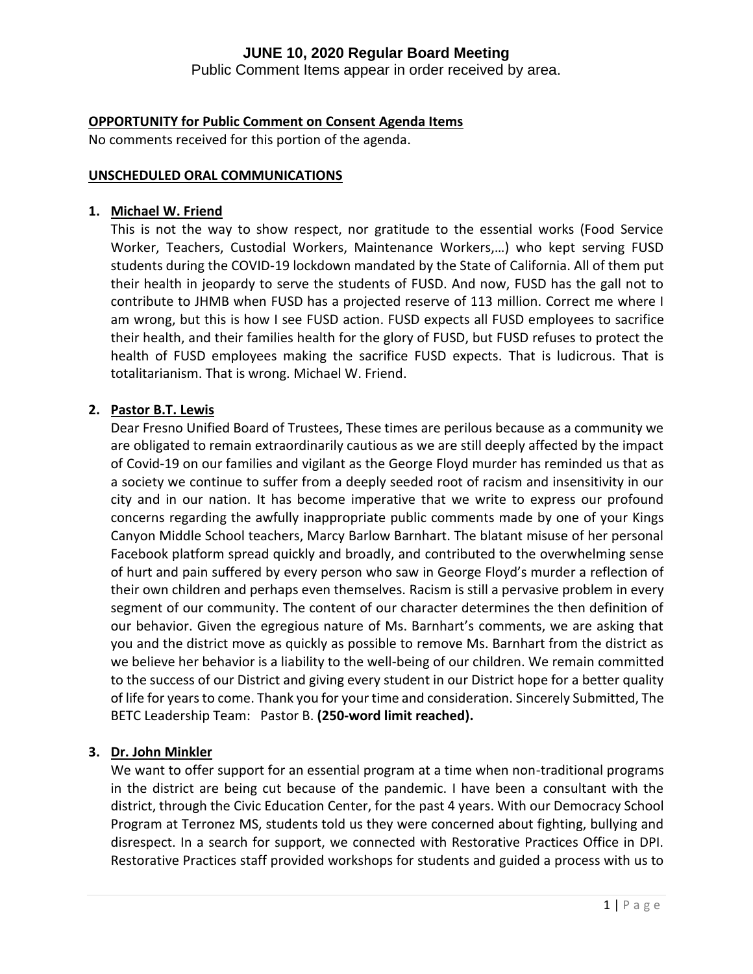Public Comment Items appear in order received by area.

# **OPPORTUNITY for Public Comment on Consent Agenda Items**

No comments received for this portion of the agenda.

#### **UNSCHEDULED ORAL COMMUNICATIONS**

#### **1. Michael W. Friend**

This is not the way to show respect, nor gratitude to the essential works (Food Service Worker, Teachers, Custodial Workers, Maintenance Workers,…) who kept serving FUSD students during the COVID-19 lockdown mandated by the State of California. All of them put their health in jeopardy to serve the students of FUSD. And now, FUSD has the gall not to contribute to JHMB when FUSD has a projected reserve of 113 million. Correct me where I am wrong, but this is how I see FUSD action. FUSD expects all FUSD employees to sacrifice their health, and their families health for the glory of FUSD, but FUSD refuses to protect the health of FUSD employees making the sacrifice FUSD expects. That is ludicrous. That is totalitarianism. That is wrong. Michael W. Friend.

# **2. Pastor B.T. Lewis**

Dear Fresno Unified Board of Trustees, These times are perilous because as a community we are obligated to remain extraordinarily cautious as we are still deeply affected by the impact of Covid-19 on our families and vigilant as the George Floyd murder has reminded us that as a society we continue to suffer from a deeply seeded root of racism and insensitivity in our city and in our nation. It has become imperative that we write to express our profound concerns regarding the awfully inappropriate public comments made by one of your Kings Canyon Middle School teachers, Marcy Barlow Barnhart. The blatant misuse of her personal Facebook platform spread quickly and broadly, and contributed to the overwhelming sense of hurt and pain suffered by every person who saw in George Floyd's murder a reflection of their own children and perhaps even themselves. Racism is still a pervasive problem in every segment of our community. The content of our character determines the then definition of our behavior. Given the egregious nature of Ms. Barnhart's comments, we are asking that you and the district move as quickly as possible to remove Ms. Barnhart from the district as we believe her behavior is a liability to the well-being of our children. We remain committed to the success of our District and giving every student in our District hope for a better quality of life for years to come. Thank you for your time and consideration. Sincerely Submitted, The BETC Leadership Team: Pastor B. **(250-word limit reached).**

# **3. Dr. John Minkler**

We want to offer support for an essential program at a time when non-traditional programs in the district are being cut because of the pandemic. I have been a consultant with the district, through the Civic Education Center, for the past 4 years. With our Democracy School Program at Terronez MS, students told us they were concerned about fighting, bullying and disrespect. In a search for support, we connected with Restorative Practices Office in DPI. Restorative Practices staff provided workshops for students and guided a process with us to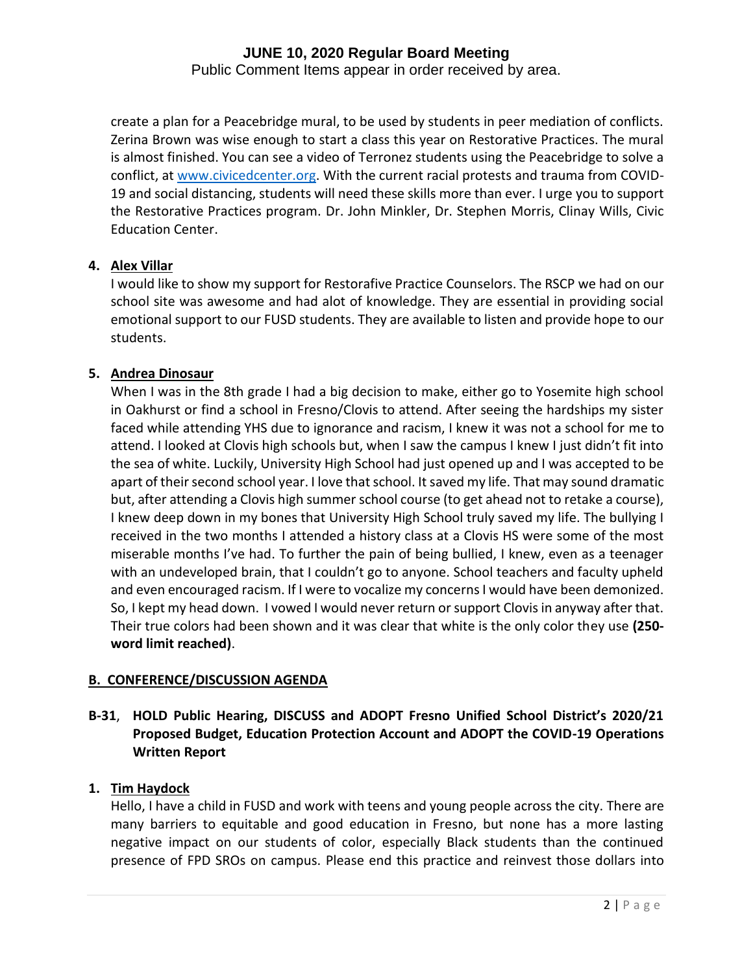Public Comment Items appear in order received by area.

create a plan for a Peacebridge mural, to be used by students in peer mediation of conflicts. Zerina Brown was wise enough to start a class this year on Restorative Practices. The mural is almost finished. You can see a video of Terronez students using the Peacebridge to solve a conflict, at [www.civicedcenter.org.](http://www.civicedcenter.org/) With the current racial protests and trauma from COVID-19 and social distancing, students will need these skills more than ever. I urge you to support the Restorative Practices program. Dr. John Minkler, Dr. Stephen Morris, Clinay Wills, Civic Education Center.

# **4. Alex Villar**

I would like to show my support for Restorafive Practice Counselors. The RSCP we had on our school site was awesome and had alot of knowledge. They are essential in providing social emotional support to our FUSD students. They are available to listen and provide hope to our students.

# **5. Andrea Dinosaur**

When I was in the 8th grade I had a big decision to make, either go to Yosemite high school in Oakhurst or find a school in Fresno/Clovis to attend. After seeing the hardships my sister faced while attending YHS due to ignorance and racism, I knew it was not a school for me to attend. I looked at Clovis high schools but, when I saw the campus I knew I just didn't fit into the sea of white. Luckily, University High School had just opened up and I was accepted to be apart of their second school year. I love that school. It saved my life. That may sound dramatic but, after attending a Clovis high summer school course (to get ahead not to retake a course), I knew deep down in my bones that University High School truly saved my life. The bullying I received in the two months I attended a history class at a Clovis HS were some of the most miserable months I've had. To further the pain of being bullied, I knew, even as a teenager with an undeveloped brain, that I couldn't go to anyone. School teachers and faculty upheld and even encouraged racism. If I were to vocalize my concerns I would have been demonized. So, I kept my head down. I vowed I would never return or support Clovis in anyway after that. Their true colors had been shown and it was clear that white is the only color they use **(250 word limit reached)**.

# **B. CONFERENCE/DISCUSSION AGENDA**

# **B-31**, **HOLD Public Hearing, DISCUSS and ADOPT Fresno Unified School District's 2020/21 Proposed Budget, Education Protection Account and ADOPT the COVID-19 Operations Written Report**

# **1. Tim Haydock**

Hello, I have a child in FUSD and work with teens and young people across the city. There are many barriers to equitable and good education in Fresno, but none has a more lasting negative impact on our students of color, especially Black students than the continued presence of FPD SROs on campus. Please end this practice and reinvest those dollars into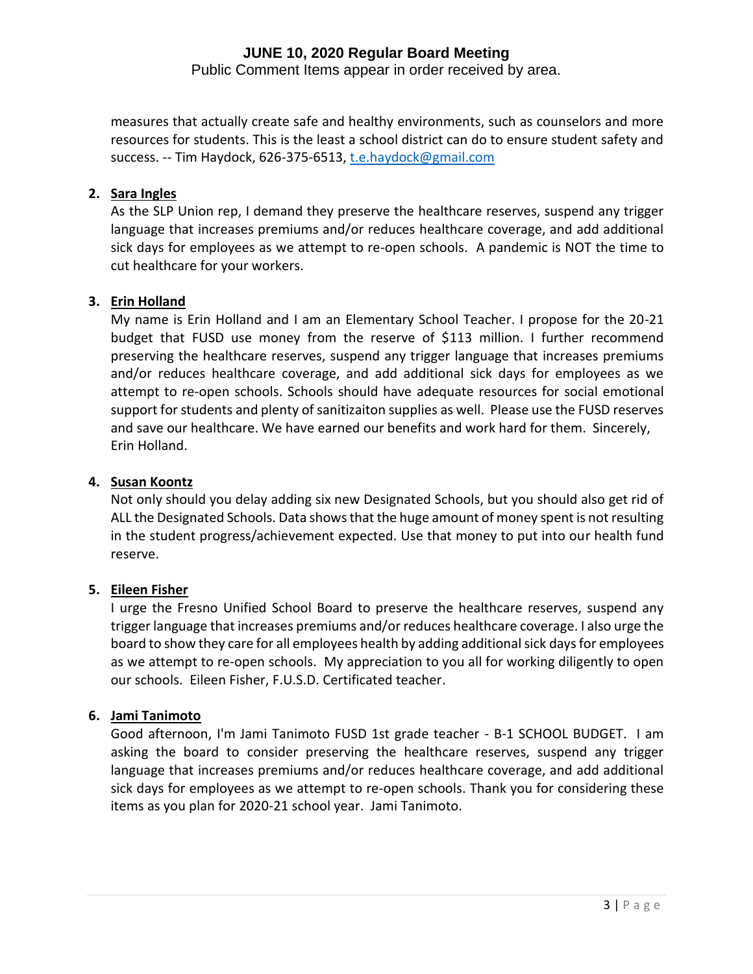Public Comment Items appear in order received by area.

measures that actually create safe and healthy environments, such as counselors and more resources for students. This is the least a school district can do to ensure student safety and success. -- Tim Haydock, 626-375-6513[, t.e.haydock@gmail.com](mailto:t.e.haydock@gmail.com)

# **2. Sara Ingles**

As the SLP Union rep, I demand they preserve the healthcare reserves, suspend any trigger language that increases premiums and/or reduces healthcare coverage, and add additional sick days for employees as we attempt to re-open schools. A pandemic is NOT the time to cut healthcare for your workers.

# **3. Erin Holland**

My name is Erin Holland and I am an Elementary School Teacher. I propose for the 20-21 budget that FUSD use money from the reserve of \$113 million. I further recommend preserving the healthcare reserves, suspend any trigger language that increases premiums and/or reduces healthcare coverage, and add additional sick days for employees as we attempt to re-open schools. Schools should have adequate resources for social emotional support for students and plenty of sanitizaiton supplies as well. Please use the FUSD reserves and save our healthcare. We have earned our benefits and work hard for them. Sincerely, Erin Holland.

# **4. Susan Koontz**

Not only should you delay adding six new Designated Schools, but you should also get rid of ALL the Designated Schools. Data shows that the huge amount of money spent is not resulting in the student progress/achievement expected. Use that money to put into our health fund reserve.

# **5. Eileen Fisher**

I urge the Fresno Unified School Board to preserve the healthcare reserves, suspend any trigger language that increases premiums and/or reduces healthcare coverage. I also urge the board to show they care for all employees health by adding additional sick days for employees as we attempt to re-open schools. My appreciation to you all for working diligently to open our schools. Eileen Fisher, F.U.S.D. Certificated teacher.

# **6. Jami Tanimoto**

Good afternoon, I'm Jami Tanimoto FUSD 1st grade teacher - B-1 SCHOOL BUDGET. I am asking the board to consider preserving the healthcare reserves, suspend any trigger language that increases premiums and/or reduces healthcare coverage, and add additional sick days for employees as we attempt to re-open schools. Thank you for considering these items as you plan for 2020-21 school year. Jami Tanimoto.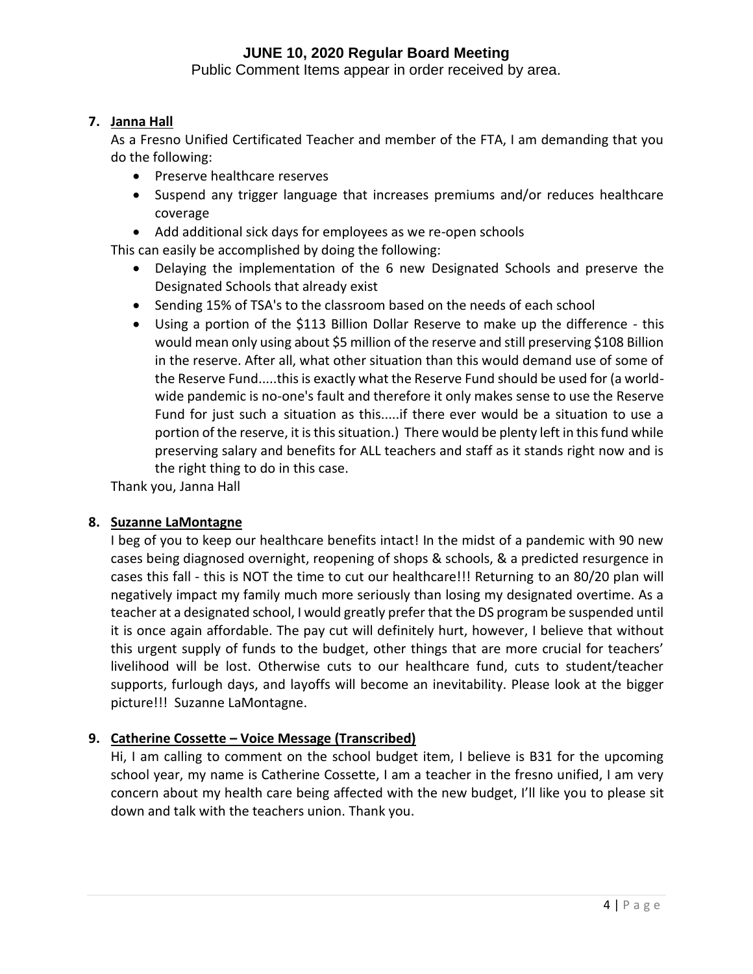Public Comment Items appear in order received by area.

# **7. Janna Hall**

As a Fresno Unified Certificated Teacher and member of the FTA, I am demanding that you do the following:

- Preserve healthcare reserves
- Suspend any trigger language that increases premiums and/or reduces healthcare coverage
- Add additional sick days for employees as we re-open schools

This can easily be accomplished by doing the following:

- Delaying the implementation of the 6 new Designated Schools and preserve the Designated Schools that already exist
- Sending 15% of TSA's to the classroom based on the needs of each school
- Using a portion of the \$113 Billion Dollar Reserve to make up the difference this would mean only using about \$5 million of the reserve and still preserving \$108 Billion in the reserve. After all, what other situation than this would demand use of some of the Reserve Fund.....this is exactly what the Reserve Fund should be used for (a worldwide pandemic is no-one's fault and therefore it only makes sense to use the Reserve Fund for just such a situation as this.....if there ever would be a situation to use a portion of the reserve, it is this situation.) There would be plenty left in this fund while preserving salary and benefits for ALL teachers and staff as it stands right now and is the right thing to do in this case.

Thank you, Janna Hall

# **8. Suzanne LaMontagne**

I beg of you to keep our healthcare benefits intact! In the midst of a pandemic with 90 new cases being diagnosed overnight, reopening of shops & schools, & a predicted resurgence in cases this fall - this is NOT the time to cut our healthcare!!! Returning to an 80/20 plan will negatively impact my family much more seriously than losing my designated overtime. As a teacher at a designated school, I would greatly prefer that the DS program be suspended until it is once again affordable. The pay cut will definitely hurt, however, I believe that without this urgent supply of funds to the budget, other things that are more crucial for teachers' livelihood will be lost. Otherwise cuts to our healthcare fund, cuts to student/teacher supports, furlough days, and layoffs will become an inevitability. Please look at the bigger picture!!! Suzanne LaMontagne.

# **9. Catherine Cossette – Voice Message (Transcribed)**

Hi, I am calling to comment on the school budget item, I believe is B31 for the upcoming school year, my name is Catherine Cossette, I am a teacher in the fresno unified, I am very concern about my health care being affected with the new budget, I'll like you to please sit down and talk with the teachers union. Thank you.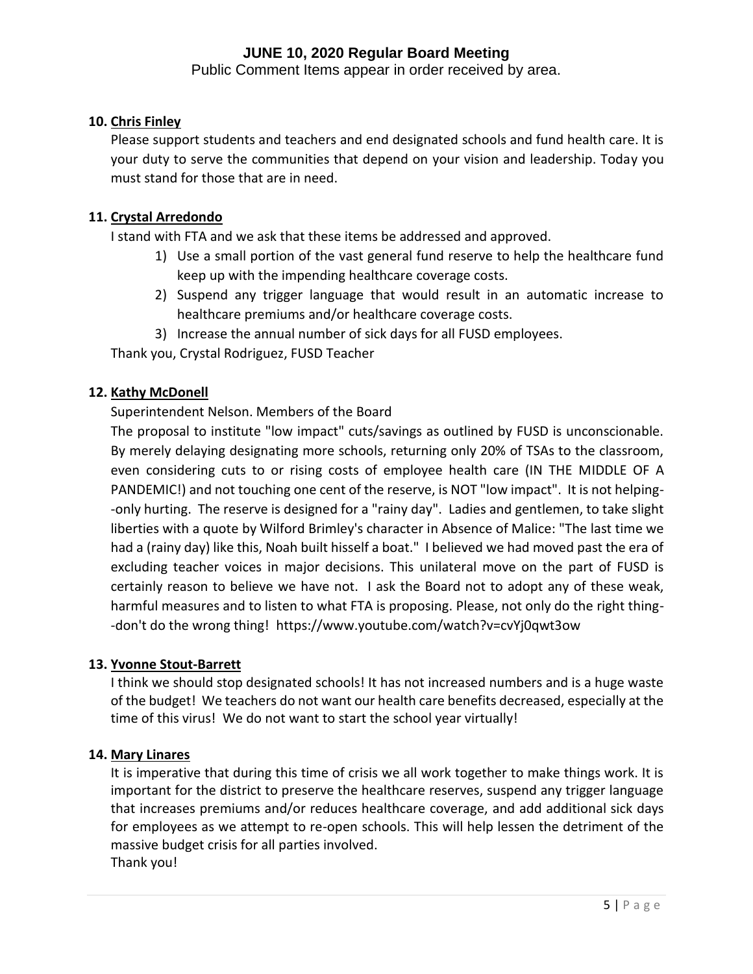Public Comment Items appear in order received by area.

# **10. Chris Finley**

Please support students and teachers and end designated schools and fund health care. It is your duty to serve the communities that depend on your vision and leadership. Today you must stand for those that are in need.

# **11. Crystal Arredondo**

I stand with FTA and we ask that these items be addressed and approved.

- 1) Use a small portion of the vast general fund reserve to help the healthcare fund keep up with the impending healthcare coverage costs.
- 2) Suspend any trigger language that would result in an automatic increase to healthcare premiums and/or healthcare coverage costs.
- 3) Increase the annual number of sick days for all FUSD employees.

Thank you, Crystal Rodriguez, FUSD Teacher

# **12. Kathy McDonell**

# Superintendent Nelson. Members of the Board

The proposal to institute "low impact" cuts/savings as outlined by FUSD is unconscionable. By merely delaying designating more schools, returning only 20% of TSAs to the classroom, even considering cuts to or rising costs of employee health care (IN THE MIDDLE OF A PANDEMIC!) and not touching one cent of the reserve, is NOT "low impact". It is not helping- -only hurting. The reserve is designed for a "rainy day". Ladies and gentlemen, to take slight liberties with a quote by Wilford Brimley's character in Absence of Malice: "The last time we had a (rainy day) like this, Noah built hisself a boat." I believed we had moved past the era of excluding teacher voices in major decisions. This unilateral move on the part of FUSD is certainly reason to believe we have not. I ask the Board not to adopt any of these weak, harmful measures and to listen to what FTA is proposing. Please, not only do the right thing- -don't do the wrong thing! https://www.youtube.com/watch?v=cvYj0qwt3ow

# **13. Yvonne Stout-Barrett**

I think we should stop designated schools! It has not increased numbers and is a huge waste of the budget! We teachers do not want our health care benefits decreased, especially at the time of this virus! We do not want to start the school year virtually!

# **14. Mary Linares**

It is imperative that during this time of crisis we all work together to make things work. It is important for the district to preserve the healthcare reserves, suspend any trigger language that increases premiums and/or reduces healthcare coverage, and add additional sick days for employees as we attempt to re-open schools. This will help lessen the detriment of the massive budget crisis for all parties involved. Thank you!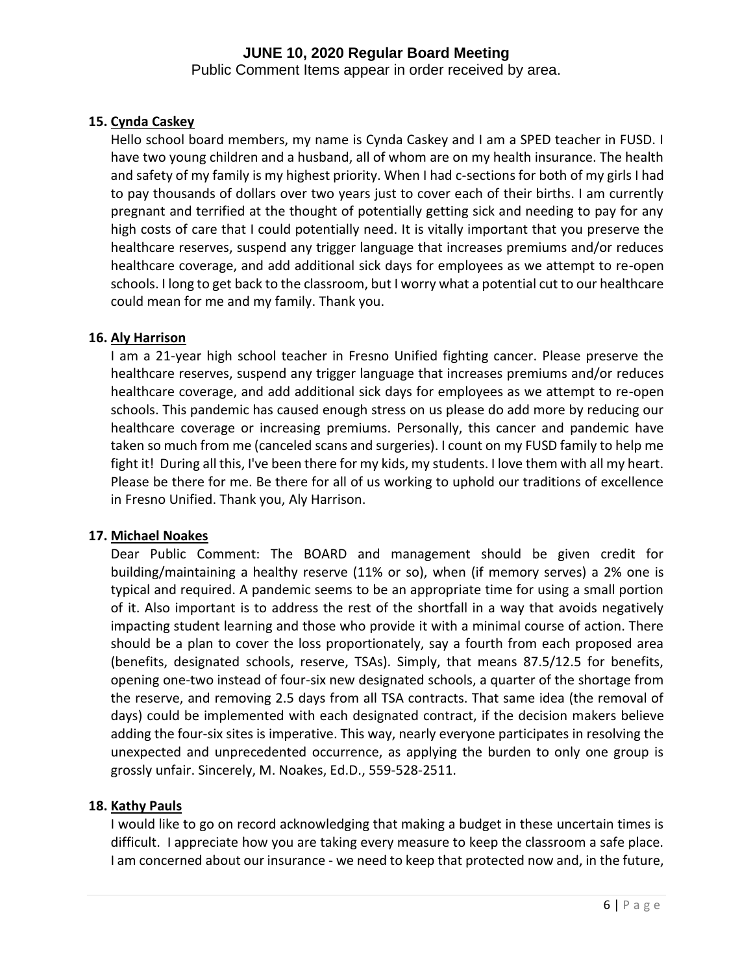Public Comment Items appear in order received by area.

# **15. Cynda Caskey**

Hello school board members, my name is Cynda Caskey and I am a SPED teacher in FUSD. I have two young children and a husband, all of whom are on my health insurance. The health and safety of my family is my highest priority. When I had c-sections for both of my girls I had to pay thousands of dollars over two years just to cover each of their births. I am currently pregnant and terrified at the thought of potentially getting sick and needing to pay for any high costs of care that I could potentially need. It is vitally important that you preserve the healthcare reserves, suspend any trigger language that increases premiums and/or reduces healthcare coverage, and add additional sick days for employees as we attempt to re-open schools. I long to get back to the classroom, but I worry what a potential cut to our healthcare could mean for me and my family. Thank you.

# **16. Aly Harrison**

I am a 21-year high school teacher in Fresno Unified fighting cancer. Please preserve the healthcare reserves, suspend any trigger language that increases premiums and/or reduces healthcare coverage, and add additional sick days for employees as we attempt to re-open schools. This pandemic has caused enough stress on us please do add more by reducing our healthcare coverage or increasing premiums. Personally, this cancer and pandemic have taken so much from me (canceled scans and surgeries). I count on my FUSD family to help me fight it! During all this, I've been there for my kids, my students. I love them with all my heart. Please be there for me. Be there for all of us working to uphold our traditions of excellence in Fresno Unified. Thank you, Aly Harrison.

# **17. Michael Noakes**

Dear Public Comment: The BOARD and management should be given credit for building/maintaining a healthy reserve (11% or so), when (if memory serves) a 2% one is typical and required. A pandemic seems to be an appropriate time for using a small portion of it. Also important is to address the rest of the shortfall in a way that avoids negatively impacting student learning and those who provide it with a minimal course of action. There should be a plan to cover the loss proportionately, say a fourth from each proposed area (benefits, designated schools, reserve, TSAs). Simply, that means 87.5/12.5 for benefits, opening one-two instead of four-six new designated schools, a quarter of the shortage from the reserve, and removing 2.5 days from all TSA contracts. That same idea (the removal of days) could be implemented with each designated contract, if the decision makers believe adding the four-six sites is imperative. This way, nearly everyone participates in resolving the unexpected and unprecedented occurrence, as applying the burden to only one group is grossly unfair. Sincerely, M. Noakes, Ed.D., 559-528-2511.

# **18. Kathy Pauls**

I would like to go on record acknowledging that making a budget in these uncertain times is difficult. I appreciate how you are taking every measure to keep the classroom a safe place. I am concerned about our insurance - we need to keep that protected now and, in the future,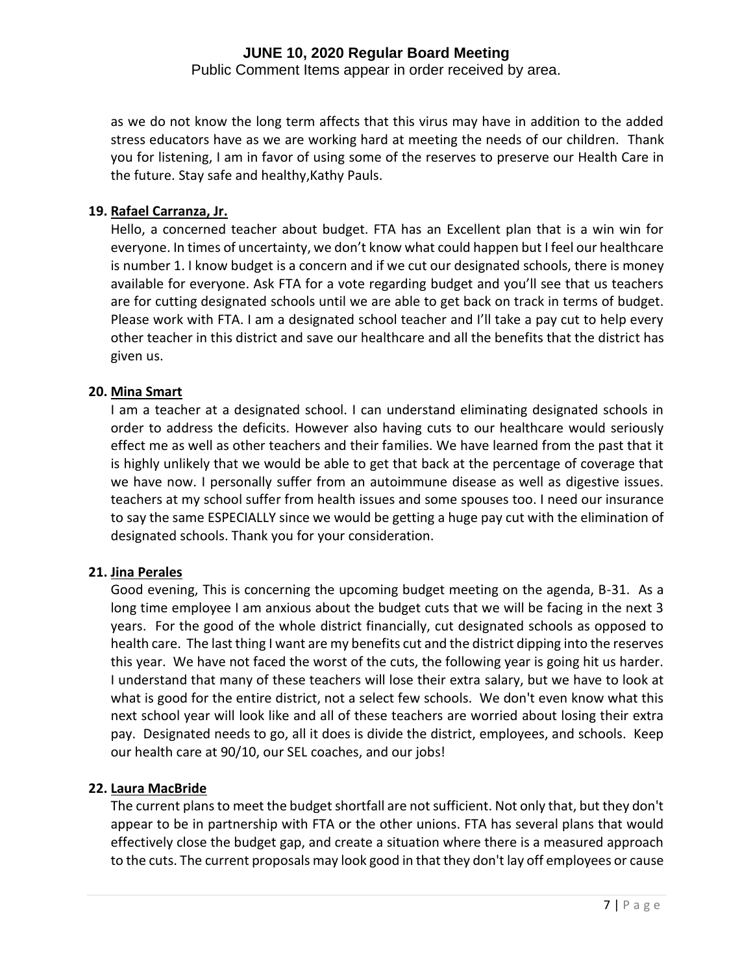Public Comment Items appear in order received by area.

as we do not know the long term affects that this virus may have in addition to the added stress educators have as we are working hard at meeting the needs of our children. Thank you for listening, I am in favor of using some of the reserves to preserve our Health Care in the future. Stay safe and healthy,Kathy Pauls.

# **19. Rafael Carranza, Jr.**

Hello, a concerned teacher about budget. FTA has an Excellent plan that is a win win for everyone. In times of uncertainty, we don't know what could happen but I feel our healthcare is number 1. I know budget is a concern and if we cut our designated schools, there is money available for everyone. Ask FTA for a vote regarding budget and you'll see that us teachers are for cutting designated schools until we are able to get back on track in terms of budget. Please work with FTA. I am a designated school teacher and I'll take a pay cut to help every other teacher in this district and save our healthcare and all the benefits that the district has given us.

# **20. Mina Smart**

I am a teacher at a designated school. I can understand eliminating designated schools in order to address the deficits. However also having cuts to our healthcare would seriously effect me as well as other teachers and their families. We have learned from the past that it is highly unlikely that we would be able to get that back at the percentage of coverage that we have now. I personally suffer from an autoimmune disease as well as digestive issues. teachers at my school suffer from health issues and some spouses too. I need our insurance to say the same ESPECIALLY since we would be getting a huge pay cut with the elimination of designated schools. Thank you for your consideration.

# **21. Jina Perales**

Good evening, This is concerning the upcoming budget meeting on the agenda, B-31. As a long time employee I am anxious about the budget cuts that we will be facing in the next 3 years. For the good of the whole district financially, cut designated schools as opposed to health care. The last thing I want are my benefits cut and the district dipping into the reserves this year. We have not faced the worst of the cuts, the following year is going hit us harder. I understand that many of these teachers will lose their extra salary, but we have to look at what is good for the entire district, not a select few schools. We don't even know what this next school year will look like and all of these teachers are worried about losing their extra pay. Designated needs to go, all it does is divide the district, employees, and schools. Keep our health care at 90/10, our SEL coaches, and our jobs!

# **22. Laura MacBride**

The current plans to meet the budget shortfall are not sufficient. Not only that, but they don't appear to be in partnership with FTA or the other unions. FTA has several plans that would effectively close the budget gap, and create a situation where there is a measured approach to the cuts. The current proposals may look good in that they don't lay off employees or cause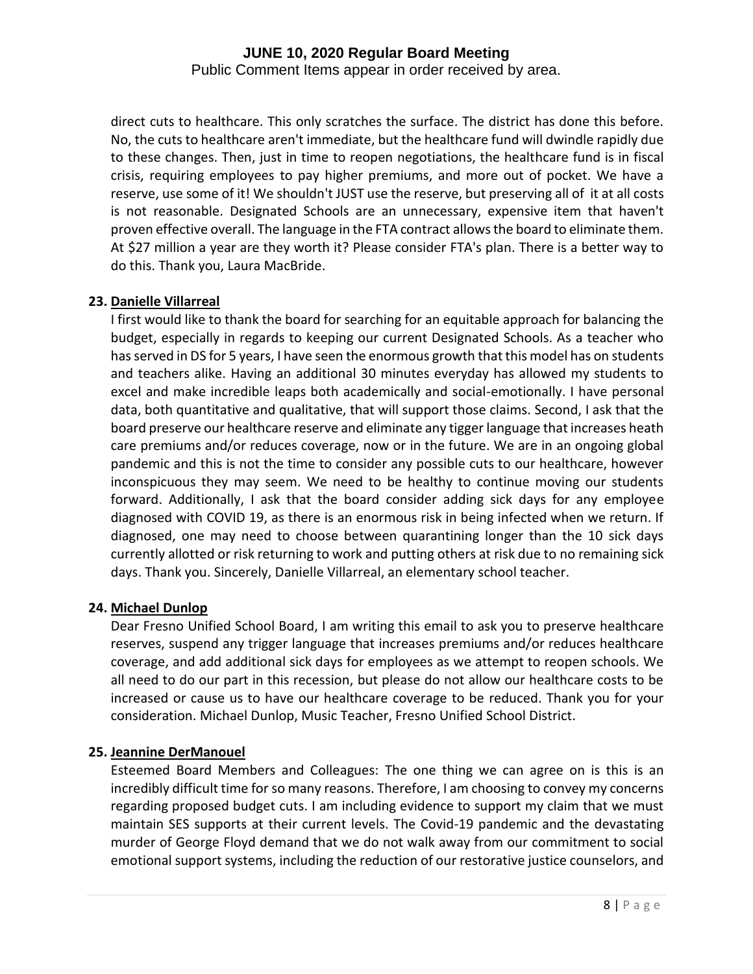Public Comment Items appear in order received by area.

direct cuts to healthcare. This only scratches the surface. The district has done this before. No, the cuts to healthcare aren't immediate, but the healthcare fund will dwindle rapidly due to these changes. Then, just in time to reopen negotiations, the healthcare fund is in fiscal crisis, requiring employees to pay higher premiums, and more out of pocket. We have a reserve, use some of it! We shouldn't JUST use the reserve, but preserving all of it at all costs is not reasonable. Designated Schools are an unnecessary, expensive item that haven't proven effective overall. The language in the FTA contract allows the board to eliminate them. At \$27 million a year are they worth it? Please consider FTA's plan. There is a better way to do this. Thank you, Laura MacBride.

# **23. Danielle Villarreal**

I first would like to thank the board for searching for an equitable approach for balancing the budget, especially in regards to keeping our current Designated Schools. As a teacher who has served in DS for 5 years, I have seen the enormous growth that this model has on students and teachers alike. Having an additional 30 minutes everyday has allowed my students to excel and make incredible leaps both academically and social-emotionally. I have personal data, both quantitative and qualitative, that will support those claims. Second, I ask that the board preserve our healthcare reserve and eliminate any tigger language that increases heath care premiums and/or reduces coverage, now or in the future. We are in an ongoing global pandemic and this is not the time to consider any possible cuts to our healthcare, however inconspicuous they may seem. We need to be healthy to continue moving our students forward. Additionally, I ask that the board consider adding sick days for any employee diagnosed with COVID 19, as there is an enormous risk in being infected when we return. If diagnosed, one may need to choose between quarantining longer than the 10 sick days currently allotted or risk returning to work and putting others at risk due to no remaining sick days. Thank you. Sincerely, Danielle Villarreal, an elementary school teacher.

# **24. Michael Dunlop**

Dear Fresno Unified School Board, I am writing this email to ask you to preserve healthcare reserves, suspend any trigger language that increases premiums and/or reduces healthcare coverage, and add additional sick days for employees as we attempt to reopen schools. We all need to do our part in this recession, but please do not allow our healthcare costs to be increased or cause us to have our healthcare coverage to be reduced. Thank you for your consideration. Michael Dunlop, Music Teacher, Fresno Unified School District.

# **25. Jeannine DerManouel**

Esteemed Board Members and Colleagues: The one thing we can agree on is this is an incredibly difficult time for so many reasons. Therefore, I am choosing to convey my concerns regarding proposed budget cuts. I am including evidence to support my claim that we must maintain SES supports at their current levels. The Covid-19 pandemic and the devastating murder of George Floyd demand that we do not walk away from our commitment to social emotional support systems, including the reduction of our restorative justice counselors, and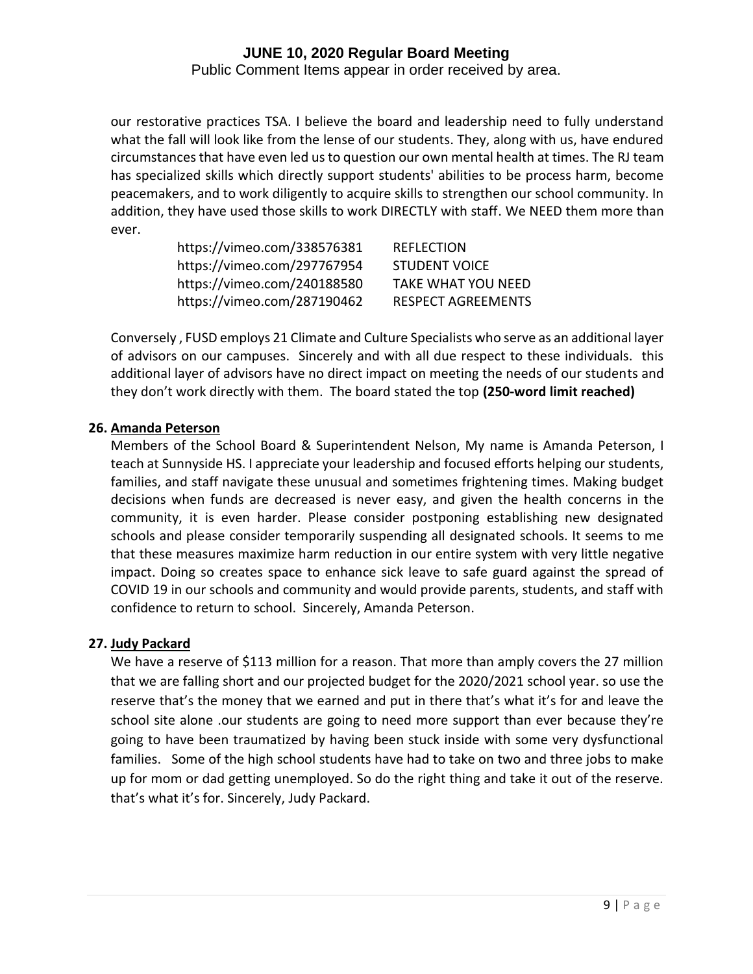Public Comment Items appear in order received by area.

our restorative practices TSA. I believe the board and leadership need to fully understand what the fall will look like from the lense of our students. They, along with us, have endured circumstances that have even led us to question our own mental health at times. The RJ team has specialized skills which directly support students' abilities to be process harm, become peacemakers, and to work diligently to acquire skills to strengthen our school community. In addition, they have used those skills to work DIRECTLY with staff. We NEED them more than ever.

| https://vimeo.com/338576381 | <b>REFLECTION</b>         |
|-----------------------------|---------------------------|
| https://vimeo.com/297767954 | <b>STUDENT VOICE</b>      |
| https://vimeo.com/240188580 | <b>TAKE WHAT YOU NEED</b> |
| https://vimeo.com/287190462 | <b>RESPECT AGREEMENTS</b> |

Conversely , FUSD employs 21 Climate and Culture Specialists who serve as an additional layer of advisors on our campuses. Sincerely and with all due respect to these individuals. this additional layer of advisors have no direct impact on meeting the needs of our students and they don't work directly with them. The board stated the top **(250-word limit reached)**

#### **26. Amanda Peterson**

Members of the School Board & Superintendent Nelson, My name is Amanda Peterson, I teach at Sunnyside HS. I appreciate your leadership and focused efforts helping our students, families, and staff navigate these unusual and sometimes frightening times. Making budget decisions when funds are decreased is never easy, and given the health concerns in the community, it is even harder. Please consider postponing establishing new designated schools and please consider temporarily suspending all designated schools. It seems to me that these measures maximize harm reduction in our entire system with very little negative impact. Doing so creates space to enhance sick leave to safe guard against the spread of COVID 19 in our schools and community and would provide parents, students, and staff with confidence to return to school. Sincerely, Amanda Peterson.

# **27. Judy Packard**

We have a reserve of \$113 million for a reason. That more than amply covers the 27 million that we are falling short and our projected budget for the 2020/2021 school year. so use the reserve that's the money that we earned and put in there that's what it's for and leave the school site alone .our students are going to need more support than ever because they're going to have been traumatized by having been stuck inside with some very dysfunctional families. Some of the high school students have had to take on two and three jobs to make up for mom or dad getting unemployed. So do the right thing and take it out of the reserve. that's what it's for. Sincerely, Judy Packard.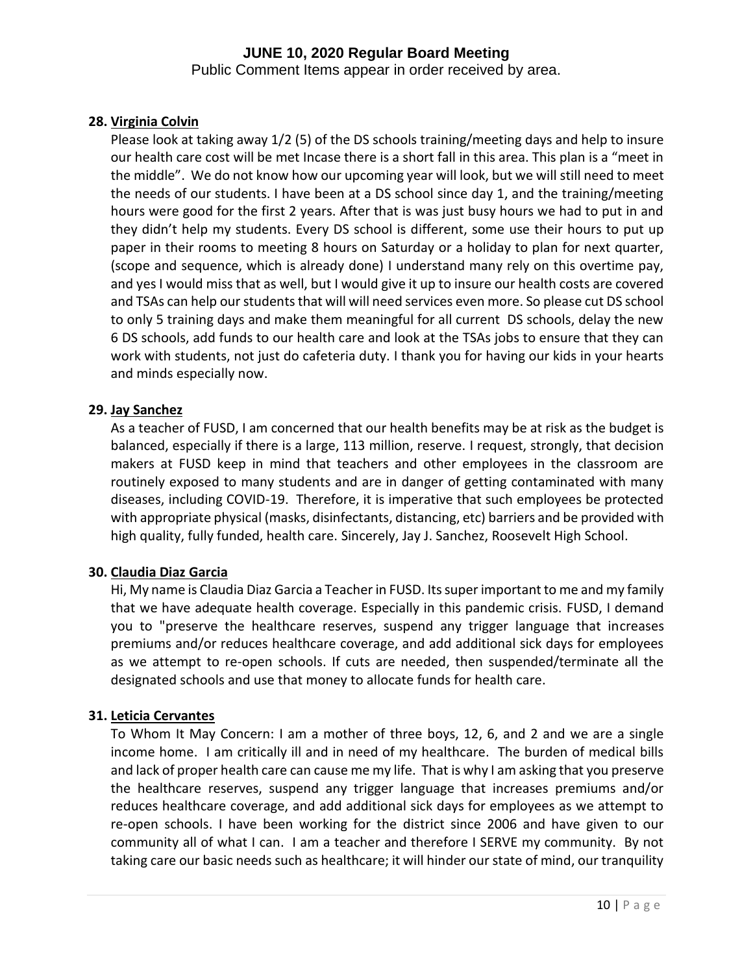Public Comment Items appear in order received by area.

# **28. Virginia Colvin**

Please look at taking away 1/2 (5) of the DS schools training/meeting days and help to insure our health care cost will be met Incase there is a short fall in this area. This plan is a "meet in the middle". We do not know how our upcoming year will look, but we will still need to meet the needs of our students. I have been at a DS school since day 1, and the training/meeting hours were good for the first 2 years. After that is was just busy hours we had to put in and they didn't help my students. Every DS school is different, some use their hours to put up paper in their rooms to meeting 8 hours on Saturday or a holiday to plan for next quarter, (scope and sequence, which is already done) I understand many rely on this overtime pay, and yes I would miss that as well, but I would give it up to insure our health costs are covered and TSAs can help our students that will will need services even more. So please cut DS school to only 5 training days and make them meaningful for all current DS schools, delay the new 6 DS schools, add funds to our health care and look at the TSAs jobs to ensure that they can work with students, not just do cafeteria duty. I thank you for having our kids in your hearts and minds especially now.

# **29. Jay Sanchez**

As a teacher of FUSD, I am concerned that our health benefits may be at risk as the budget is balanced, especially if there is a large, 113 million, reserve. I request, strongly, that decision makers at FUSD keep in mind that teachers and other employees in the classroom are routinely exposed to many students and are in danger of getting contaminated with many diseases, including COVID-19. Therefore, it is imperative that such employees be protected with appropriate physical (masks, disinfectants, distancing, etc) barriers and be provided with high quality, fully funded, health care. Sincerely, Jay J. Sanchez, Roosevelt High School.

# **30. Claudia Diaz Garcia**

Hi, My name is Claudia Diaz Garcia a Teacher in FUSD. Its super important to me and my family that we have adequate health coverage. Especially in this pandemic crisis. FUSD, I demand you to "preserve the healthcare reserves, suspend any trigger language that increases premiums and/or reduces healthcare coverage, and add additional sick days for employees as we attempt to re-open schools. If cuts are needed, then suspended/terminate all the designated schools and use that money to allocate funds for health care.

# **31. Leticia Cervantes**

To Whom It May Concern: I am a mother of three boys, 12, 6, and 2 and we are a single income home. I am critically ill and in need of my healthcare. The burden of medical bills and lack of proper health care can cause me my life. That is why I am asking that you preserve the healthcare reserves, suspend any trigger language that increases premiums and/or reduces healthcare coverage, and add additional sick days for employees as we attempt to re-open schools. I have been working for the district since 2006 and have given to our community all of what I can. I am a teacher and therefore I SERVE my community. By not taking care our basic needs such as healthcare; it will hinder our state of mind, our tranquility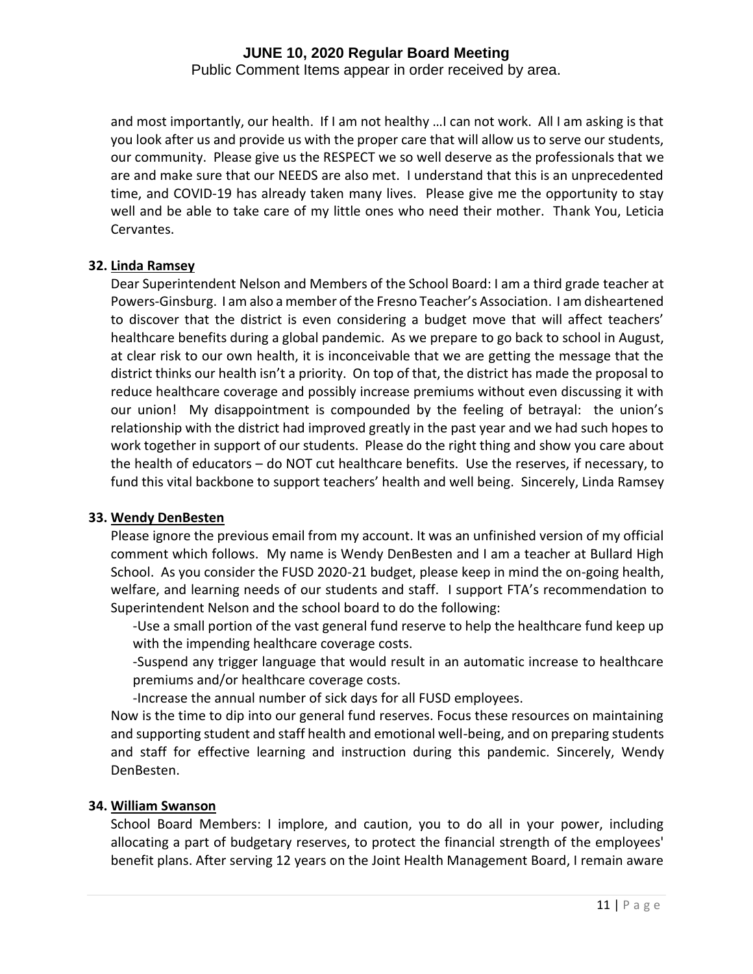Public Comment Items appear in order received by area.

and most importantly, our health. If I am not healthy …I can not work. All I am asking is that you look after us and provide us with the proper care that will allow us to serve our students, our community. Please give us the RESPECT we so well deserve as the professionals that we are and make sure that our NEEDS are also met. I understand that this is an unprecedented time, and COVID-19 has already taken many lives. Please give me the opportunity to stay well and be able to take care of my little ones who need their mother. Thank You, Leticia Cervantes.

#### **32. Linda Ramsey**

Dear Superintendent Nelson and Members of the School Board: I am a third grade teacher at Powers-Ginsburg. I am also a member of the Fresno Teacher's Association. I am disheartened to discover that the district is even considering a budget move that will affect teachers' healthcare benefits during a global pandemic. As we prepare to go back to school in August, at clear risk to our own health, it is inconceivable that we are getting the message that the district thinks our health isn't a priority. On top of that, the district has made the proposal to reduce healthcare coverage and possibly increase premiums without even discussing it with our union! My disappointment is compounded by the feeling of betrayal: the union's relationship with the district had improved greatly in the past year and we had such hopes to work together in support of our students. Please do the right thing and show you care about the health of educators – do NOT cut healthcare benefits. Use the reserves, if necessary, to fund this vital backbone to support teachers' health and well being. Sincerely, Linda Ramsey

# **33. Wendy DenBesten**

Please ignore the previous email from my account. It was an unfinished version of my official comment which follows. My name is Wendy DenBesten and I am a teacher at Bullard High School. As you consider the FUSD 2020-21 budget, please keep in mind the on-going health, welfare, and learning needs of our students and staff. I support FTA's recommendation to Superintendent Nelson and the school board to do the following:

-Use a small portion of the vast general fund reserve to help the healthcare fund keep up with the impending healthcare coverage costs.

-Suspend any trigger language that would result in an automatic increase to healthcare premiums and/or healthcare coverage costs.

-Increase the annual number of sick days for all FUSD employees.

Now is the time to dip into our general fund reserves. Focus these resources on maintaining and supporting student and staff health and emotional well-being, and on preparing students and staff for effective learning and instruction during this pandemic. Sincerely, Wendy DenBesten.

### **34. William Swanson**

School Board Members: I implore, and caution, you to do all in your power, including allocating a part of budgetary reserves, to protect the financial strength of the employees' benefit plans. After serving 12 years on the Joint Health Management Board, I remain aware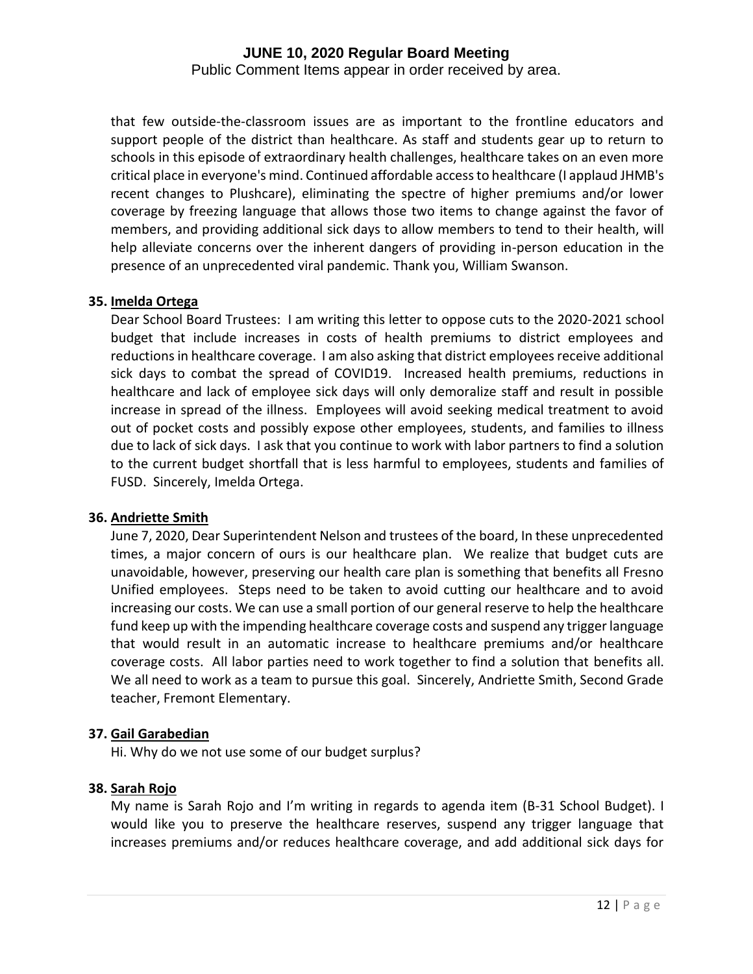Public Comment Items appear in order received by area.

that few outside-the-classroom issues are as important to the frontline educators and support people of the district than healthcare. As staff and students gear up to return to schools in this episode of extraordinary health challenges, healthcare takes on an even more critical place in everyone's mind. Continued affordable access to healthcare (I applaud JHMB's recent changes to Plushcare), eliminating the spectre of higher premiums and/or lower coverage by freezing language that allows those two items to change against the favor of members, and providing additional sick days to allow members to tend to their health, will help alleviate concerns over the inherent dangers of providing in-person education in the presence of an unprecedented viral pandemic. Thank you, William Swanson.

# **35. Imelda Ortega**

Dear School Board Trustees: I am writing this letter to oppose cuts to the 2020-2021 school budget that include increases in costs of health premiums to district employees and reductions in healthcare coverage. I am also asking that district employees receive additional sick days to combat the spread of COVID19. Increased health premiums, reductions in healthcare and lack of employee sick days will only demoralize staff and result in possible increase in spread of the illness. Employees will avoid seeking medical treatment to avoid out of pocket costs and possibly expose other employees, students, and families to illness due to lack of sick days. I ask that you continue to work with labor partners to find a solution to the current budget shortfall that is less harmful to employees, students and families of FUSD. Sincerely, Imelda Ortega.

# **36. Andriette Smith**

June 7, 2020, Dear Superintendent Nelson and trustees of the board, In these unprecedented times, a major concern of ours is our healthcare plan. We realize that budget cuts are unavoidable, however, preserving our health care plan is something that benefits all Fresno Unified employees. Steps need to be taken to avoid cutting our healthcare and to avoid increasing our costs. We can use a small portion of our general reserve to help the healthcare fund keep up with the impending healthcare coverage costs and suspend any trigger language that would result in an automatic increase to healthcare premiums and/or healthcare coverage costs. All labor parties need to work together to find a solution that benefits all. We all need to work as a team to pursue this goal. Sincerely, Andriette Smith, Second Grade teacher, Fremont Elementary.

# **37. Gail Garabedian**

Hi. Why do we not use some of our budget surplus?

# **38. Sarah Rojo**

My name is Sarah Rojo and I'm writing in regards to agenda item (B-31 School Budget). I would like you to preserve the healthcare reserves, suspend any trigger language that increases premiums and/or reduces healthcare coverage, and add additional sick days for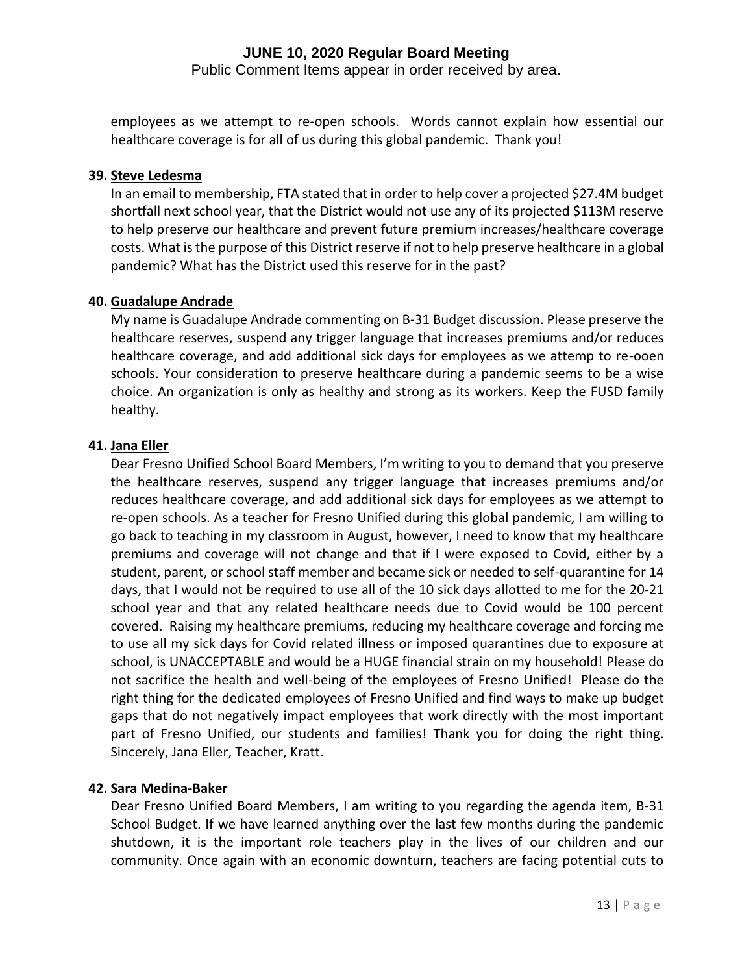Public Comment Items appear in order received by area.

employees as we attempt to re-open schools. Words cannot explain how essential our healthcare coverage is for all of us during this global pandemic. Thank you!

# **39. Steve Ledesma**

In an email to membership, FTA stated that in order to help cover a projected \$27.4M budget shortfall next school year, that the District would not use any of its projected \$113M reserve to help preserve our healthcare and prevent future premium increases/healthcare coverage costs. What is the purpose of this District reserve if not to help preserve healthcare in a global pandemic? What has the District used this reserve for in the past?

# **40. Guadalupe Andrade**

My name is Guadalupe Andrade commenting on B-31 Budget discussion. Please preserve the healthcare reserves, suspend any trigger language that increases premiums and/or reduces healthcare coverage, and add additional sick days for employees as we attemp to re-ooen schools. Your consideration to preserve healthcare during a pandemic seems to be a wise choice. An organization is only as healthy and strong as its workers. Keep the FUSD family healthy.

#### **41. Jana Eller**

Dear Fresno Unified School Board Members, I'm writing to you to demand that you preserve the healthcare reserves, suspend any trigger language that increases premiums and/or reduces healthcare coverage, and add additional sick days for employees as we attempt to re-open schools. As a teacher for Fresno Unified during this global pandemic, I am willing to go back to teaching in my classroom in August, however, I need to know that my healthcare premiums and coverage will not change and that if I were exposed to Covid, either by a student, parent, or school staff member and became sick or needed to self-quarantine for 14 days, that I would not be required to use all of the 10 sick days allotted to me for the 20-21 school year and that any related healthcare needs due to Covid would be 100 percent covered. Raising my healthcare premiums, reducing my healthcare coverage and forcing me to use all my sick days for Covid related illness or imposed quarantines due to exposure at school, is UNACCEPTABLE and would be a HUGE financial strain on my household! Please do not sacrifice the health and well-being of the employees of Fresno Unified! Please do the right thing for the dedicated employees of Fresno Unified and find ways to make up budget gaps that do not negatively impact employees that work directly with the most important part of Fresno Unified, our students and families! Thank you for doing the right thing. Sincerely, Jana Eller, Teacher, Kratt.

# **42. Sara Medina-Baker**

Dear Fresno Unified Board Members, I am writing to you regarding the agenda item, B-31 School Budget. If we have learned anything over the last few months during the pandemic shutdown, it is the important role teachers play in the lives of our children and our community. Once again with an economic downturn, teachers are facing potential cuts to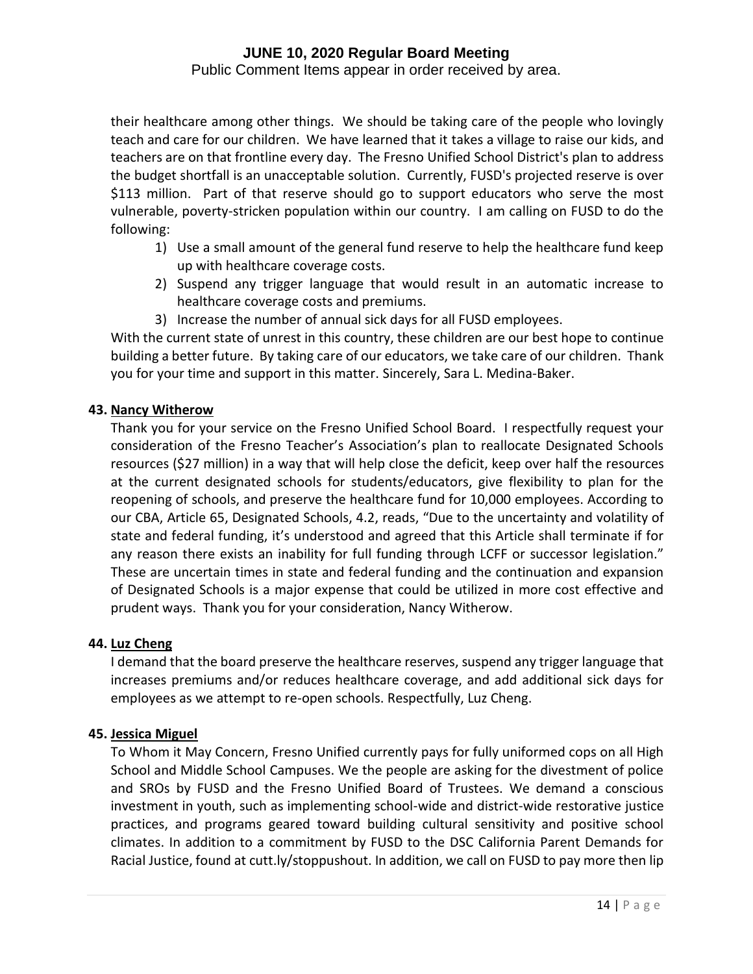Public Comment Items appear in order received by area.

their healthcare among other things. We should be taking care of the people who lovingly teach and care for our children. We have learned that it takes a village to raise our kids, and teachers are on that frontline every day. The Fresno Unified School District's plan to address the budget shortfall is an unacceptable solution. Currently, FUSD's projected reserve is over \$113 million. Part of that reserve should go to support educators who serve the most vulnerable, poverty-stricken population within our country. I am calling on FUSD to do the following:

- 1) Use a small amount of the general fund reserve to help the healthcare fund keep up with healthcare coverage costs.
- 2) Suspend any trigger language that would result in an automatic increase to healthcare coverage costs and premiums.
- 3) Increase the number of annual sick days for all FUSD employees.

With the current state of unrest in this country, these children are our best hope to continue building a better future. By taking care of our educators, we take care of our children. Thank you for your time and support in this matter. Sincerely, Sara L. Medina-Baker.

# **43. Nancy Witherow**

Thank you for your service on the Fresno Unified School Board. I respectfully request your consideration of the Fresno Teacher's Association's plan to reallocate Designated Schools resources (\$27 million) in a way that will help close the deficit, keep over half the resources at the current designated schools for students/educators, give flexibility to plan for the reopening of schools, and preserve the healthcare fund for 10,000 employees. According to our CBA, Article 65, Designated Schools, 4.2, reads, "Due to the uncertainty and volatility of state and federal funding, it's understood and agreed that this Article shall terminate if for any reason there exists an inability for full funding through LCFF or successor legislation." These are uncertain times in state and federal funding and the continuation and expansion of Designated Schools is a major expense that could be utilized in more cost effective and prudent ways. Thank you for your consideration, Nancy Witherow.

# **44. Luz Cheng**

I demand that the board preserve the healthcare reserves, suspend any trigger language that increases premiums and/or reduces healthcare coverage, and add additional sick days for employees as we attempt to re-open schools. Respectfully, Luz Cheng.

# **45. Jessica Miguel**

To Whom it May Concern, Fresno Unified currently pays for fully uniformed cops on all High School and Middle School Campuses. We the people are asking for the divestment of police and SROs by FUSD and the Fresno Unified Board of Trustees. We demand a conscious investment in youth, such as implementing school-wide and district-wide restorative justice practices, and programs geared toward building cultural sensitivity and positive school climates. In addition to a commitment by FUSD to the DSC California Parent Demands for Racial Justice, found at cutt.ly/stoppushout. In addition, we call on FUSD to pay more then lip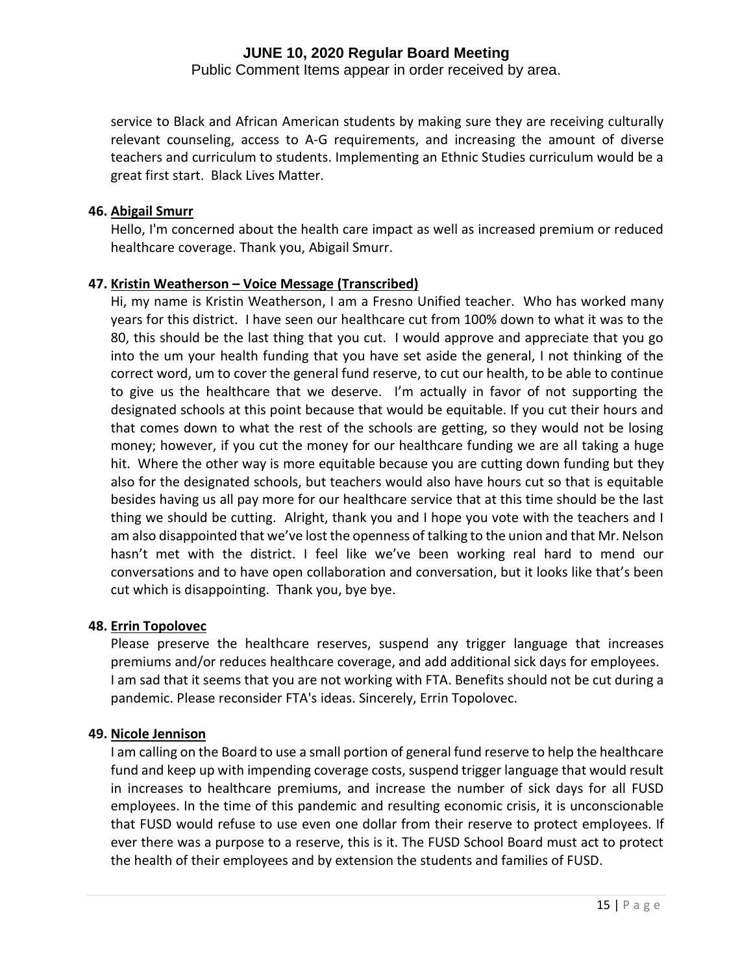Public Comment Items appear in order received by area.

service to Black and African American students by making sure they are receiving culturally relevant counseling, access to A-G requirements, and increasing the amount of diverse teachers and curriculum to students. Implementing an Ethnic Studies curriculum would be a great first start. Black Lives Matter.

### **46. Abigail Smurr**

Hello, I'm concerned about the health care impact as well as increased premium or reduced healthcare coverage. Thank you, Abigail Smurr.

# **47. Kristin Weatherson – Voice Message (Transcribed)**

Hi, my name is Kristin Weatherson, I am a Fresno Unified teacher. Who has worked many years for this district. I have seen our healthcare cut from 100% down to what it was to the 80, this should be the last thing that you cut. I would approve and appreciate that you go into the um your health funding that you have set aside the general, I not thinking of the correct word, um to cover the general fund reserve, to cut our health, to be able to continue to give us the healthcare that we deserve. I'm actually in favor of not supporting the designated schools at this point because that would be equitable. If you cut their hours and that comes down to what the rest of the schools are getting, so they would not be losing money; however, if you cut the money for our healthcare funding we are all taking a huge hit. Where the other way is more equitable because you are cutting down funding but they also for the designated schools, but teachers would also have hours cut so that is equitable besides having us all pay more for our healthcare service that at this time should be the last thing we should be cutting. Alright, thank you and I hope you vote with the teachers and I am also disappointed that we've lost the openness of talking to the union and that Mr. Nelson hasn't met with the district. I feel like we've been working real hard to mend our conversations and to have open collaboration and conversation, but it looks like that's been cut which is disappointing. Thank you, bye bye.

# **48. Errin Topolovec**

Please preserve the healthcare reserves, suspend any trigger language that increases premiums and/or reduces healthcare coverage, and add additional sick days for employees. I am sad that it seems that you are not working with FTA. Benefits should not be cut during a pandemic. Please reconsider FTA's ideas. Sincerely, Errin Topolovec.

# **49. Nicole Jennison**

I am calling on the Board to use a small portion of general fund reserve to help the healthcare fund and keep up with impending coverage costs, suspend trigger language that would result in increases to healthcare premiums, and increase the number of sick days for all FUSD employees. In the time of this pandemic and resulting economic crisis, it is unconscionable that FUSD would refuse to use even one dollar from their reserve to protect employees. If ever there was a purpose to a reserve, this is it. The FUSD School Board must act to protect the health of their employees and by extension the students and families of FUSD.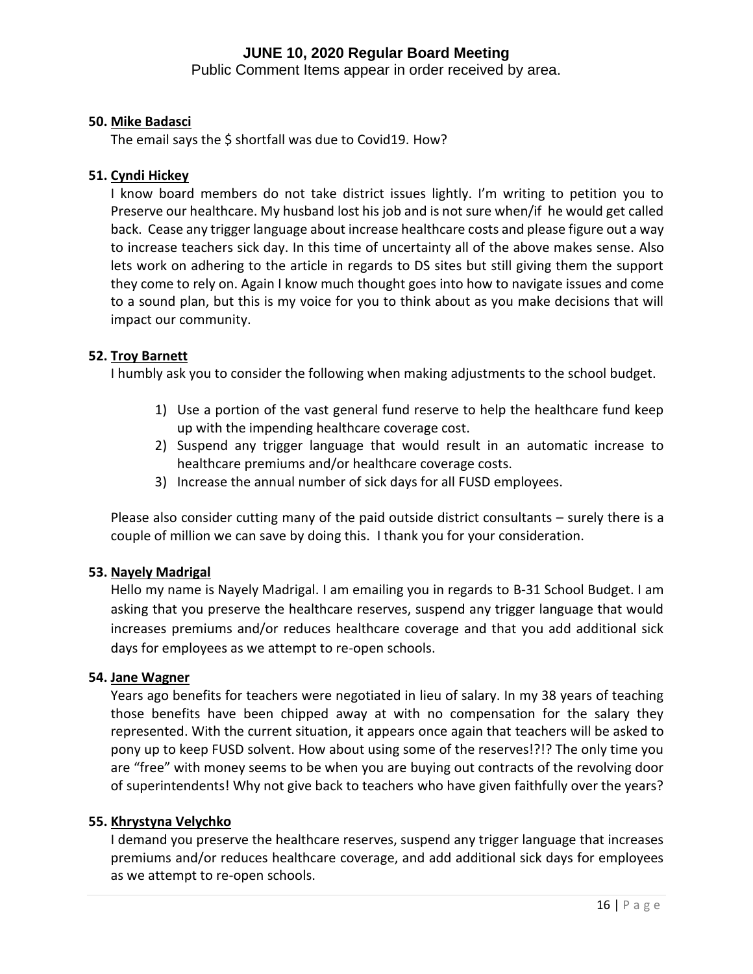Public Comment Items appear in order received by area.

# **50. Mike Badasci**

The email says the \$ shortfall was due to Covid19. How?

# **51. Cyndi Hickey**

I know board members do not take district issues lightly. I'm writing to petition you to Preserve our healthcare. My husband lost his job and is not sure when/if he would get called back. Cease any trigger language about increase healthcare costs and please figure out a way to increase teachers sick day. In this time of uncertainty all of the above makes sense. Also lets work on adhering to the article in regards to DS sites but still giving them the support they come to rely on. Again I know much thought goes into how to navigate issues and come to a sound plan, but this is my voice for you to think about as you make decisions that will impact our community.

#### **52. Troy Barnett**

I humbly ask you to consider the following when making adjustments to the school budget.

- 1) Use a portion of the vast general fund reserve to help the healthcare fund keep up with the impending healthcare coverage cost.
- 2) Suspend any trigger language that would result in an automatic increase to healthcare premiums and/or healthcare coverage costs.
- 3) Increase the annual number of sick days for all FUSD employees.

Please also consider cutting many of the paid outside district consultants – surely there is a couple of million we can save by doing this. I thank you for your consideration.

# **53. Nayely Madrigal**

Hello my name is Nayely Madrigal. I am emailing you in regards to B-31 School Budget. I am asking that you preserve the healthcare reserves, suspend any trigger language that would increases premiums and/or reduces healthcare coverage and that you add additional sick days for employees as we attempt to re-open schools.

#### **54. Jane Wagner**

Years ago benefits for teachers were negotiated in lieu of salary. In my 38 years of teaching those benefits have been chipped away at with no compensation for the salary they represented. With the current situation, it appears once again that teachers will be asked to pony up to keep FUSD solvent. How about using some of the reserves!?!? The only time you are "free" with money seems to be when you are buying out contracts of the revolving door of superintendents! Why not give back to teachers who have given faithfully over the years?

#### **55. Khrystyna Velychko**

I demand you preserve the healthcare reserves, suspend any trigger language that increases premiums and/or reduces healthcare coverage, and add additional sick days for employees as we attempt to re-open schools.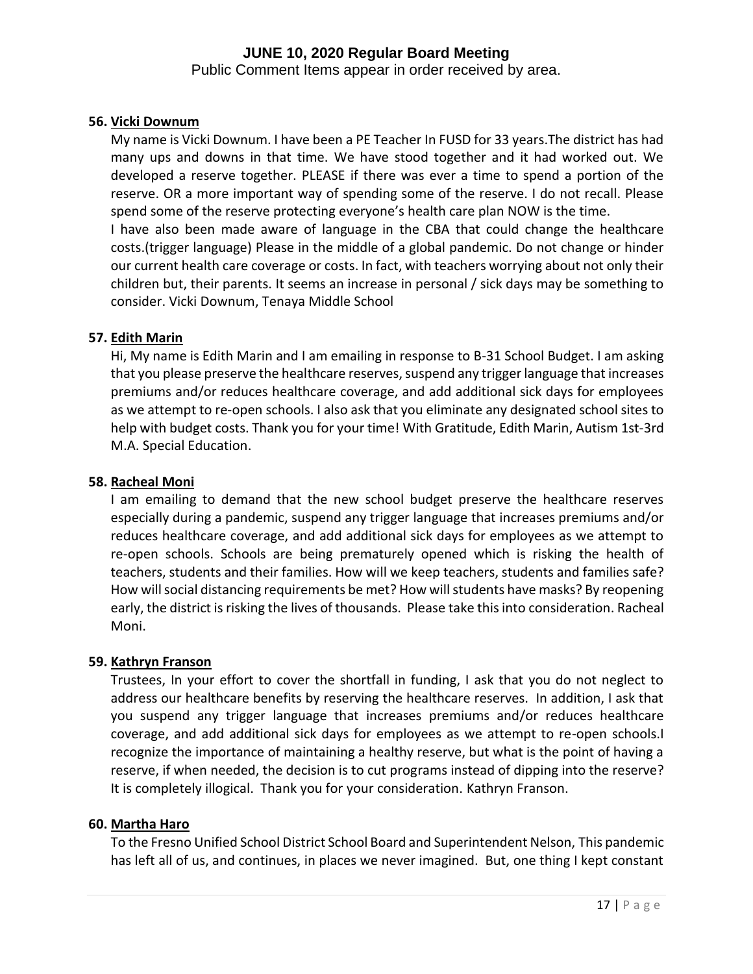Public Comment Items appear in order received by area.

### **56. Vicki Downum**

My name is Vicki Downum. I have been a PE Teacher In FUSD for 33 years.The district has had many ups and downs in that time. We have stood together and it had worked out. We developed a reserve together. PLEASE if there was ever a time to spend a portion of the reserve. OR a more important way of spending some of the reserve. I do not recall. Please spend some of the reserve protecting everyone's health care plan NOW is the time.

I have also been made aware of language in the CBA that could change the healthcare costs.(trigger language) Please in the middle of a global pandemic. Do not change or hinder our current health care coverage or costs. In fact, with teachers worrying about not only their children but, their parents. It seems an increase in personal / sick days may be something to consider. Vicki Downum, Tenaya Middle School

#### **57. Edith Marin**

Hi, My name is Edith Marin and I am emailing in response to B-31 School Budget. I am asking that you please preserve the healthcare reserves, suspend any trigger language that increases premiums and/or reduces healthcare coverage, and add additional sick days for employees as we attempt to re-open schools. I also ask that you eliminate any designated school sites to help with budget costs. Thank you for your time! With Gratitude, Edith Marin, Autism 1st-3rd M.A. Special Education.

### **58. Racheal Moni**

I am emailing to demand that the new school budget preserve the healthcare reserves especially during a pandemic, suspend any trigger language that increases premiums and/or reduces healthcare coverage, and add additional sick days for employees as we attempt to re-open schools. Schools are being prematurely opened which is risking the health of teachers, students and their families. How will we keep teachers, students and families safe? How will social distancing requirements be met? How will students have masks? By reopening early, the district is risking the lives of thousands. Please take this into consideration. Racheal Moni.

# **59. Kathryn Franson**

Trustees, In your effort to cover the shortfall in funding, I ask that you do not neglect to address our healthcare benefits by reserving the healthcare reserves. In addition, I ask that you suspend any trigger language that increases premiums and/or reduces healthcare coverage, and add additional sick days for employees as we attempt to re-open schools.I recognize the importance of maintaining a healthy reserve, but what is the point of having a reserve, if when needed, the decision is to cut programs instead of dipping into the reserve? It is completely illogical. Thank you for your consideration. Kathryn Franson.

#### **60. Martha Haro**

To the Fresno Unified School District School Board and Superintendent Nelson, This pandemic has left all of us, and continues, in places we never imagined. But, one thing I kept constant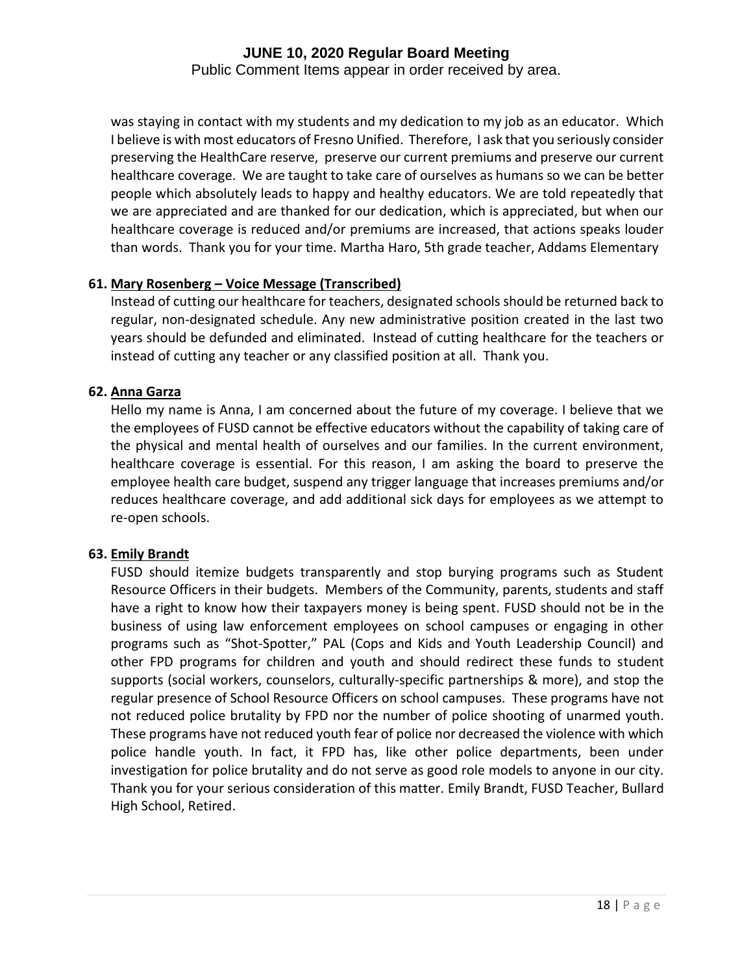Public Comment Items appear in order received by area.

was staying in contact with my students and my dedication to my job as an educator. Which I believe is with most educators of Fresno Unified. Therefore, I ask that you seriously consider preserving the HealthCare reserve, preserve our current premiums and preserve our current healthcare coverage. We are taught to take care of ourselves as humans so we can be better people which absolutely leads to happy and healthy educators. We are told repeatedly that we are appreciated and are thanked for our dedication, which is appreciated, but when our healthcare coverage is reduced and/or premiums are increased, that actions speaks louder than words. Thank you for your time. Martha Haro, 5th grade teacher, Addams Elementary

# **61. Mary Rosenberg – Voice Message (Transcribed)**

Instead of cutting our healthcare for teachers, designated schools should be returned back to regular, non-designated schedule. Any new administrative position created in the last two years should be defunded and eliminated. Instead of cutting healthcare for the teachers or instead of cutting any teacher or any classified position at all. Thank you.

#### **62. Anna Garza**

Hello my name is Anna, I am concerned about the future of my coverage. I believe that we the employees of FUSD cannot be effective educators without the capability of taking care of the physical and mental health of ourselves and our families. In the current environment, healthcare coverage is essential. For this reason, I am asking the board to preserve the employee health care budget, suspend any trigger language that increases premiums and/or reduces healthcare coverage, and add additional sick days for employees as we attempt to re-open schools.

# **63. Emily Brandt**

FUSD should itemize budgets transparently and stop burying programs such as Student Resource Officers in their budgets. Members of the Community, parents, students and staff have a right to know how their taxpayers money is being spent. FUSD should not be in the business of using law enforcement employees on school campuses or engaging in other programs such as "Shot-Spotter," PAL (Cops and Kids and Youth Leadership Council) and other FPD programs for children and youth and should redirect these funds to student supports (social workers, counselors, culturally-specific partnerships & more), and stop the regular presence of School Resource Officers on school campuses. These programs have not not reduced police brutality by FPD nor the number of police shooting of unarmed youth. These programs have not reduced youth fear of police nor decreased the violence with which police handle youth. In fact, it FPD has, like other police departments, been under investigation for police brutality and do not serve as good role models to anyone in our city. Thank you for your serious consideration of this matter. Emily Brandt, FUSD Teacher, Bullard High School, Retired.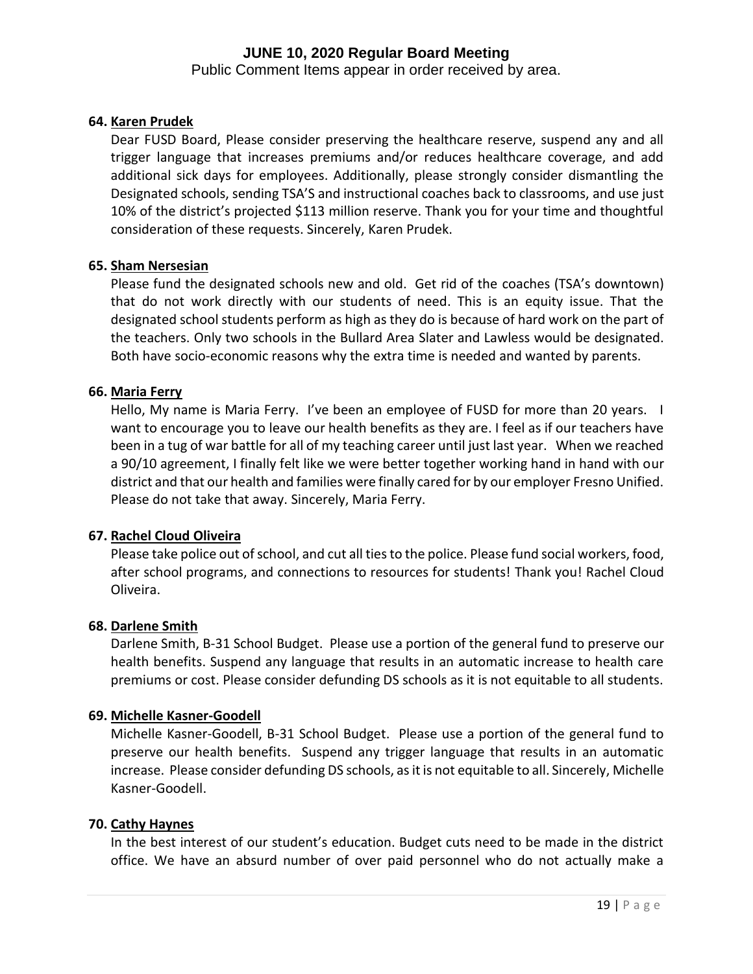Public Comment Items appear in order received by area.

# **64. Karen Prudek**

Dear FUSD Board, Please consider preserving the healthcare reserve, suspend any and all trigger language that increases premiums and/or reduces healthcare coverage, and add additional sick days for employees. Additionally, please strongly consider dismantling the Designated schools, sending TSA'S and instructional coaches back to classrooms, and use just 10% of the district's projected \$113 million reserve. Thank you for your time and thoughtful consideration of these requests. Sincerely, Karen Prudek.

#### **65. Sham Nersesian**

Please fund the designated schools new and old. Get rid of the coaches (TSA's downtown) that do not work directly with our students of need. This is an equity issue. That the designated school students perform as high as they do is because of hard work on the part of the teachers. Only two schools in the Bullard Area Slater and Lawless would be designated. Both have socio-economic reasons why the extra time is needed and wanted by parents.

#### **66. Maria Ferry**

Hello, My name is Maria Ferry. I've been an employee of FUSD for more than 20 years. I want to encourage you to leave our health benefits as they are. I feel as if our teachers have been in a tug of war battle for all of my teaching career until just last year. When we reached a 90/10 agreement, I finally felt like we were better together working hand in hand with our district and that our health and families were finally cared for by our employer Fresno Unified. Please do not take that away. Sincerely, Maria Ferry.

# **67. Rachel Cloud Oliveira**

Please take police out of school, and cut all ties to the police. Please fund social workers, food, after school programs, and connections to resources for students! Thank you! Rachel Cloud Oliveira.

# **68. Darlene Smith**

Darlene Smith, B-31 School Budget. Please use a portion of the general fund to preserve our health benefits. Suspend any language that results in an automatic increase to health care premiums or cost. Please consider defunding DS schools as it is not equitable to all students.

# **69. Michelle Kasner-Goodell**

Michelle Kasner-Goodell, B-31 School Budget. Please use a portion of the general fund to preserve our health benefits. Suspend any trigger language that results in an automatic increase. Please consider defunding DS schools, as it is not equitable to all. Sincerely, Michelle Kasner-Goodell.

#### **70. Cathy Haynes**

In the best interest of our student's education. Budget cuts need to be made in the district office. We have an absurd number of over paid personnel who do not actually make a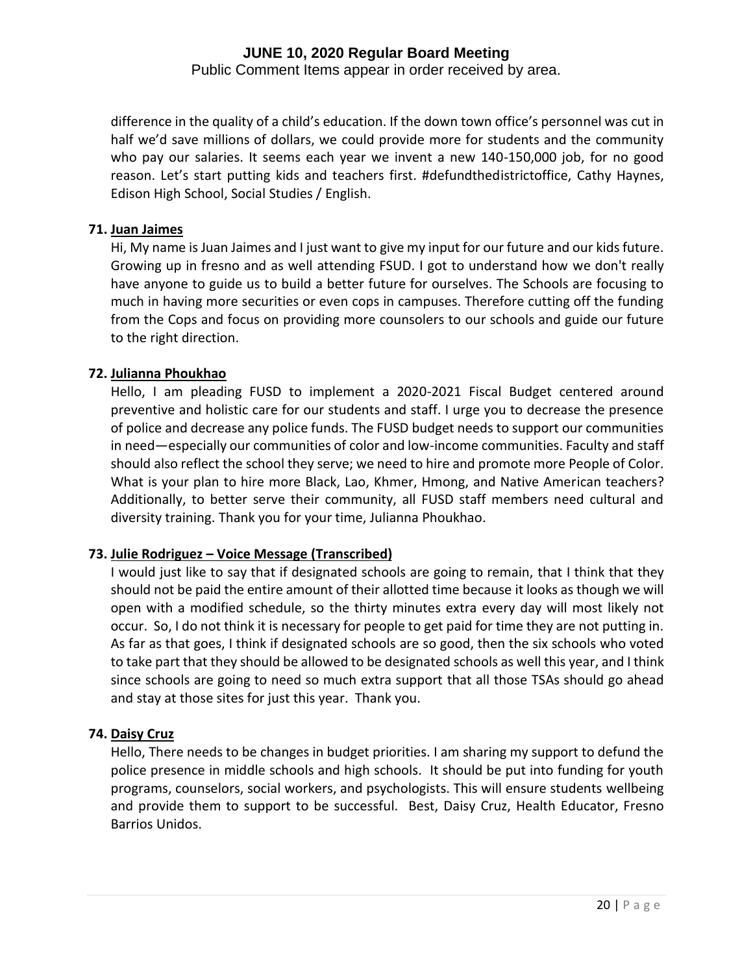Public Comment Items appear in order received by area.

difference in the quality of a child's education. If the down town office's personnel was cut in half we'd save millions of dollars, we could provide more for students and the community who pay our salaries. It seems each year we invent a new 140-150,000 job, for no good reason. Let's start putting kids and teachers first. #defundthedistrictoffice, Cathy Haynes, Edison High School, Social Studies / English.

### **71. Juan Jaimes**

Hi, My name is Juan Jaimes and I just want to give my input for our future and our kids future. Growing up in fresno and as well attending FSUD. I got to understand how we don't really have anyone to guide us to build a better future for ourselves. The Schools are focusing to much in having more securities or even cops in campuses. Therefore cutting off the funding from the Cops and focus on providing more counsolers to our schools and guide our future to the right direction.

#### **72. Julianna Phoukhao**

Hello, I am pleading FUSD to implement a 2020-2021 Fiscal Budget centered around preventive and holistic care for our students and staff. I urge you to decrease the presence of police and decrease any police funds. The FUSD budget needs to support our communities in need—especially our communities of color and low-income communities. Faculty and staff should also reflect the school they serve; we need to hire and promote more People of Color. What is your plan to hire more Black, Lao, Khmer, Hmong, and Native American teachers? Additionally, to better serve their community, all FUSD staff members need cultural and diversity training. Thank you for your time, Julianna Phoukhao.

# **73. Julie Rodriguez – Voice Message (Transcribed)**

I would just like to say that if designated schools are going to remain, that I think that they should not be paid the entire amount of their allotted time because it looks as though we will open with a modified schedule, so the thirty minutes extra every day will most likely not occur. So, I do not think it is necessary for people to get paid for time they are not putting in. As far as that goes, I think if designated schools are so good, then the six schools who voted to take part that they should be allowed to be designated schools as well this year, and I think since schools are going to need so much extra support that all those TSAs should go ahead and stay at those sites for just this year. Thank you.

# **74. Daisy Cruz**

Hello, There needs to be changes in budget priorities. I am sharing my support to defund the police presence in middle schools and high schools. It should be put into funding for youth programs, counselors, social workers, and psychologists. This will ensure students wellbeing and provide them to support to be successful. Best, Daisy Cruz, Health Educator, Fresno Barrios Unidos.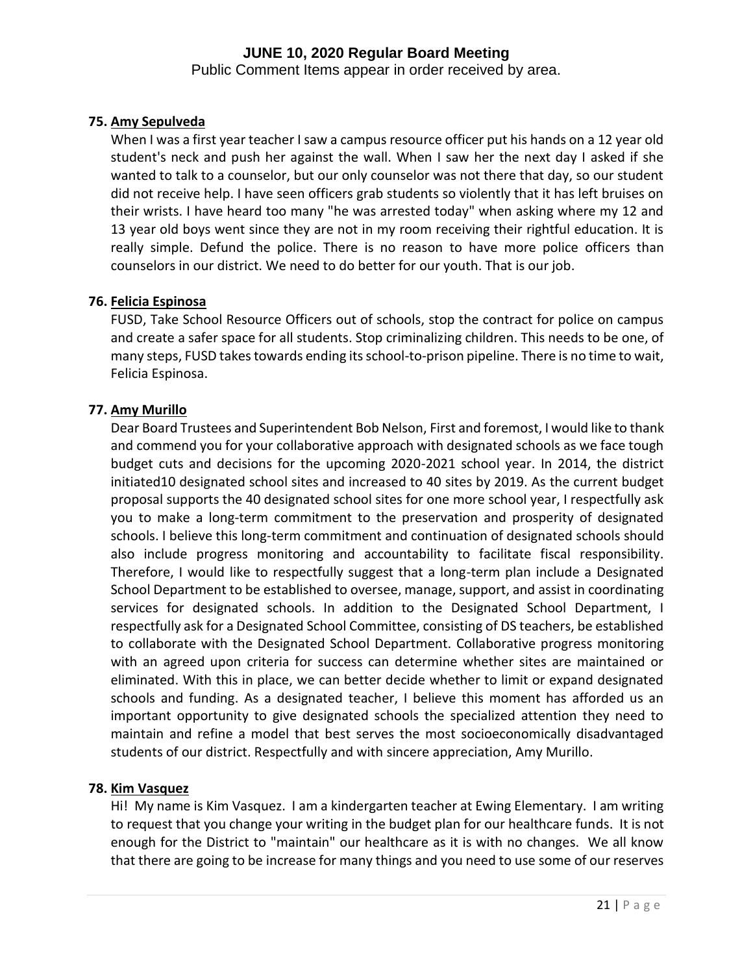Public Comment Items appear in order received by area.

# **75. Amy Sepulveda**

When I was a first year teacher I saw a campus resource officer put his hands on a 12 year old student's neck and push her against the wall. When I saw her the next day I asked if she wanted to talk to a counselor, but our only counselor was not there that day, so our student did not receive help. I have seen officers grab students so violently that it has left bruises on their wrists. I have heard too many "he was arrested today" when asking where my 12 and 13 year old boys went since they are not in my room receiving their rightful education. It is really simple. Defund the police. There is no reason to have more police officers than counselors in our district. We need to do better for our youth. That is our job.

# **76. Felicia Espinosa**

FUSD, Take School Resource Officers out of schools, stop the contract for police on campus and create a safer space for all students. Stop criminalizing children. This needs to be one, of many steps, FUSD takes towards ending its school-to-prison pipeline. There is no time to wait, Felicia Espinosa.

# **77. Amy Murillo**

Dear Board Trustees and Superintendent Bob Nelson, First and foremost, I would like to thank and commend you for your collaborative approach with designated schools as we face tough budget cuts and decisions for the upcoming 2020-2021 school year. In 2014, the district initiated10 designated school sites and increased to 40 sites by 2019. As the current budget proposal supports the 40 designated school sites for one more school year, I respectfully ask you to make a long-term commitment to the preservation and prosperity of designated schools. I believe this long-term commitment and continuation of designated schools should also include progress monitoring and accountability to facilitate fiscal responsibility. Therefore, I would like to respectfully suggest that a long-term plan include a Designated School Department to be established to oversee, manage, support, and assist in coordinating services for designated schools. In addition to the Designated School Department, I respectfully ask for a Designated School Committee, consisting of DS teachers, be established to collaborate with the Designated School Department. Collaborative progress monitoring with an agreed upon criteria for success can determine whether sites are maintained or eliminated. With this in place, we can better decide whether to limit or expand designated schools and funding. As a designated teacher, I believe this moment has afforded us an important opportunity to give designated schools the specialized attention they need to maintain and refine a model that best serves the most socioeconomically disadvantaged students of our district. Respectfully and with sincere appreciation, Amy Murillo.

# **78. Kim Vasquez**

Hi! My name is Kim Vasquez. I am a kindergarten teacher at Ewing Elementary. I am writing to request that you change your writing in the budget plan for our healthcare funds. It is not enough for the District to "maintain" our healthcare as it is with no changes. We all know that there are going to be increase for many things and you need to use some of our reserves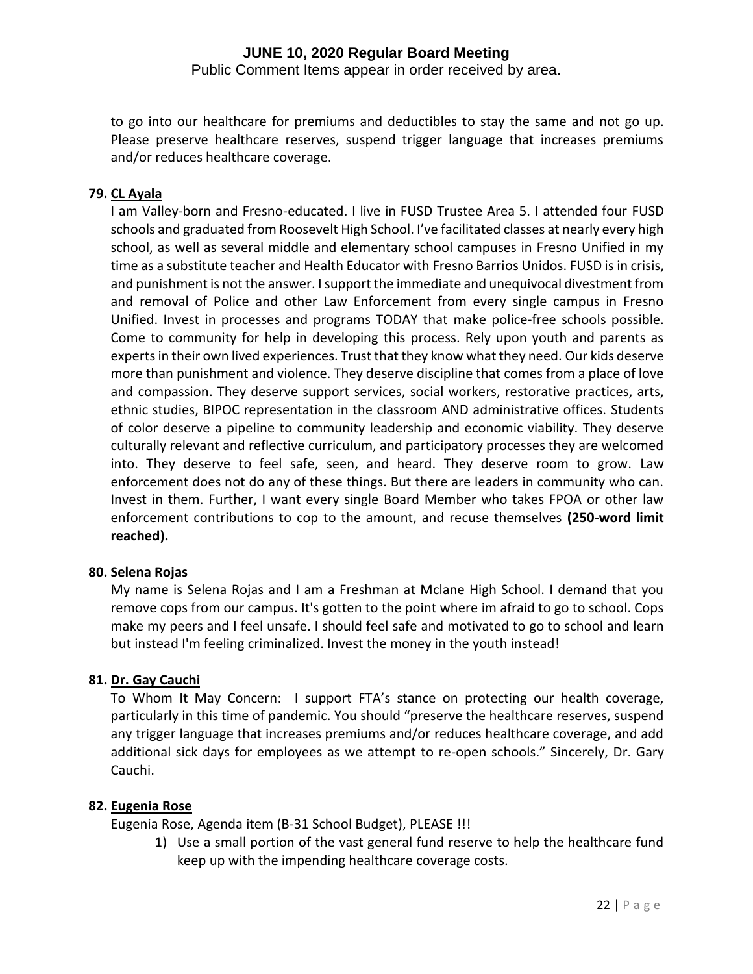Public Comment Items appear in order received by area.

to go into our healthcare for premiums and deductibles to stay the same and not go up. Please preserve healthcare reserves, suspend trigger language that increases premiums and/or reduces healthcare coverage.

# **79. CL Ayala**

I am Valley-born and Fresno-educated. I live in FUSD Trustee Area 5. I attended four FUSD schools and graduated from Roosevelt High School. I've facilitated classes at nearly every high school, as well as several middle and elementary school campuses in Fresno Unified in my time as a substitute teacher and Health Educator with Fresno Barrios Unidos. FUSD is in crisis, and punishment is not the answer. I support the immediate and unequivocal divestment from and removal of Police and other Law Enforcement from every single campus in Fresno Unified. Invest in processes and programs TODAY that make police-free schools possible. Come to community for help in developing this process. Rely upon youth and parents as experts in their own lived experiences. Trust that they know what they need. Our kids deserve more than punishment and violence. They deserve discipline that comes from a place of love and compassion. They deserve support services, social workers, restorative practices, arts, ethnic studies, BIPOC representation in the classroom AND administrative offices. Students of color deserve a pipeline to community leadership and economic viability. They deserve culturally relevant and reflective curriculum, and participatory processes they are welcomed into. They deserve to feel safe, seen, and heard. They deserve room to grow. Law enforcement does not do any of these things. But there are leaders in community who can. Invest in them. Further, I want every single Board Member who takes FPOA or other law enforcement contributions to cop to the amount, and recuse themselves **(250-word limit reached).**

# **80. Selena Rojas**

My name is Selena Rojas and I am a Freshman at Mclane High School. I demand that you remove cops from our campus. It's gotten to the point where im afraid to go to school. Cops make my peers and I feel unsafe. I should feel safe and motivated to go to school and learn but instead I'm feeling criminalized. Invest the money in the youth instead!

# **81. Dr. Gay Cauchi**

To Whom It May Concern: I support FTA's stance on protecting our health coverage, particularly in this time of pandemic. You should "preserve the healthcare reserves, suspend any trigger language that increases premiums and/or reduces healthcare coverage, and add additional sick days for employees as we attempt to re-open schools." Sincerely, Dr. Gary Cauchi.

# **82. Eugenia Rose**

Eugenia Rose, Agenda item (B-31 School Budget), PLEASE !!!

1) Use a small portion of the vast general fund reserve to help the healthcare fund keep up with the impending healthcare coverage costs.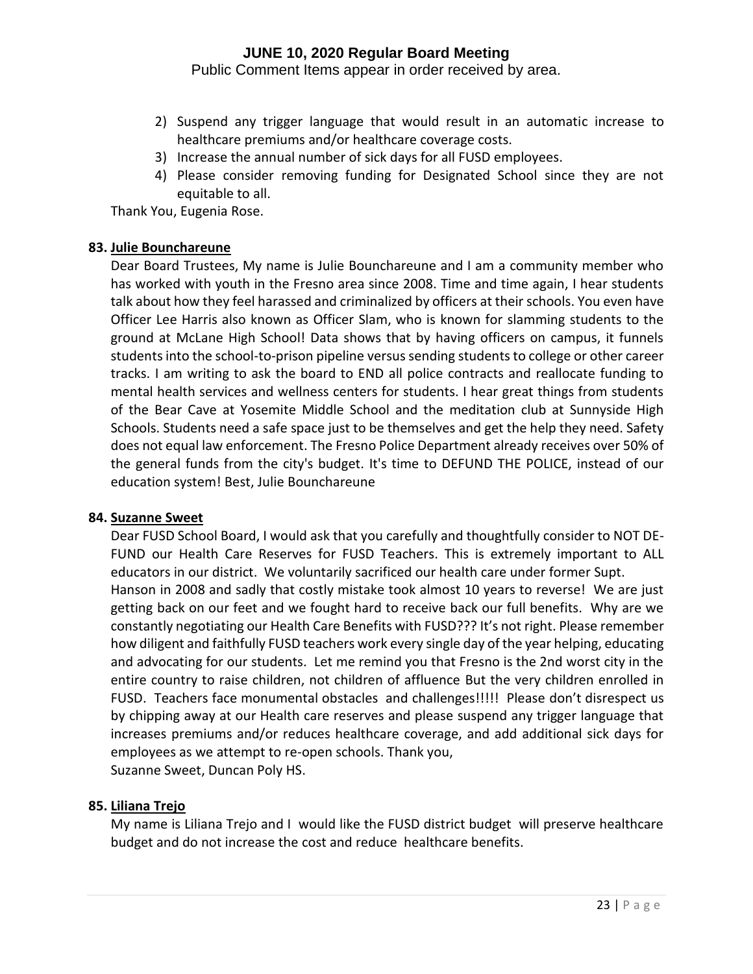Public Comment Items appear in order received by area.

- 2) Suspend any trigger language that would result in an automatic increase to healthcare premiums and/or healthcare coverage costs.
- 3) Increase the annual number of sick days for all FUSD employees.
- 4) Please consider removing funding for Designated School since they are not equitable to all.

Thank You, Eugenia Rose.

### **83. Julie Bounchareune**

Dear Board Trustees, My name is Julie Bounchareune and I am a community member who has worked with youth in the Fresno area since 2008. Time and time again, I hear students talk about how they feel harassed and criminalized by officers at their schools. You even have Officer Lee Harris also known as Officer Slam, who is known for slamming students to the ground at McLane High School! Data shows that by having officers on campus, it funnels students into the school-to-prison pipeline versus sending students to college or other career tracks. I am writing to ask the board to END all police contracts and reallocate funding to mental health services and wellness centers for students. I hear great things from students of the Bear Cave at Yosemite Middle School and the meditation club at Sunnyside High Schools. Students need a safe space just to be themselves and get the help they need. Safety does not equal law enforcement. The Fresno Police Department already receives over 50% of the general funds from the city's budget. It's time to DEFUND THE POLICE, instead of our education system! Best, Julie Bounchareune

#### **84. Suzanne Sweet**

Dear FUSD School Board, I would ask that you carefully and thoughtfully consider to NOT DE-FUND our Health Care Reserves for FUSD Teachers. This is extremely important to ALL educators in our district. We voluntarily sacrificed our health care under former Supt. Hanson in 2008 and sadly that costly mistake took almost 10 years to reverse! We are just getting back on our feet and we fought hard to receive back our full benefits. Why are we constantly negotiating our Health Care Benefits with FUSD??? It's not right. Please remember how diligent and faithfully FUSD teachers work every single day of the year helping, educating and advocating for our students. Let me remind you that Fresno is the 2nd worst city in the entire country to raise children, not children of affluence But the very children enrolled in FUSD. Teachers face monumental obstacles and challenges!!!!! Please don't disrespect us by chipping away at our Health care reserves and please suspend any trigger language that increases premiums and/or reduces healthcare coverage, and add additional sick days for employees as we attempt to re-open schools. Thank you, Suzanne Sweet, Duncan Poly HS.

# **85. Liliana Trejo**

My name is Liliana Trejo and I would like the FUSD district budget will preserve healthcare budget and do not increase the cost and reduce healthcare benefits.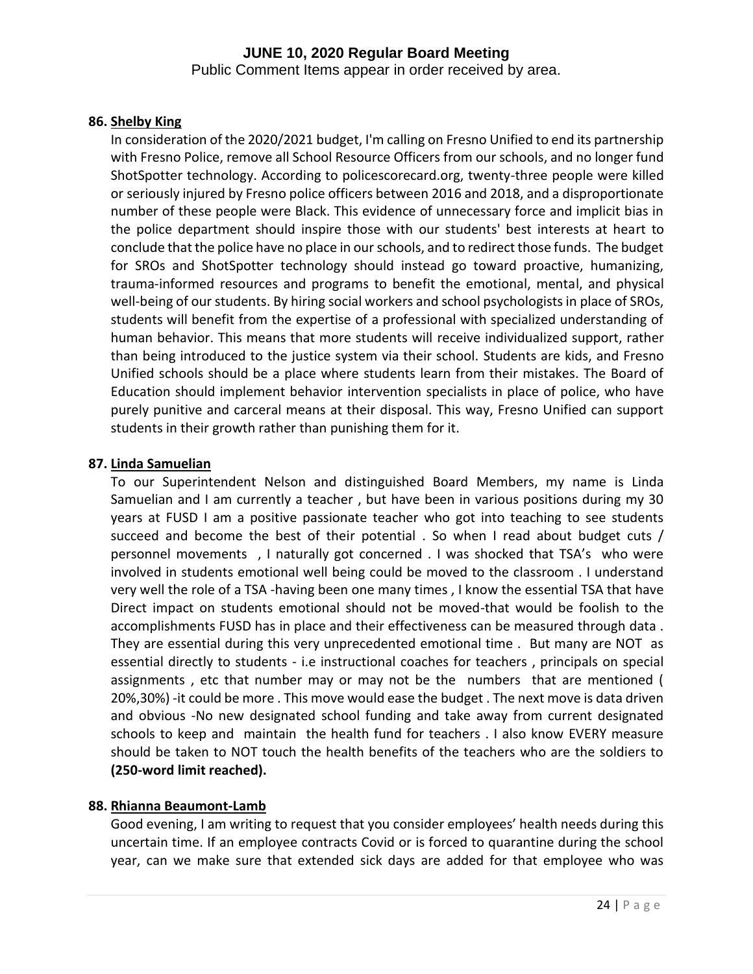Public Comment Items appear in order received by area.

# **86. Shelby King**

In consideration of the 2020/2021 budget, I'm calling on Fresno Unified to end its partnership with Fresno Police, remove all School Resource Officers from our schools, and no longer fund ShotSpotter technology. According to policescorecard.org, twenty-three people were killed or seriously injured by Fresno police officers between 2016 and 2018, and a disproportionate number of these people were Black. This evidence of unnecessary force and implicit bias in the police department should inspire those with our students' best interests at heart to conclude that the police have no place in our schools, and to redirect those funds. The budget for SROs and ShotSpotter technology should instead go toward proactive, humanizing, trauma-informed resources and programs to benefit the emotional, mental, and physical well-being of our students. By hiring social workers and school psychologists in place of SROs, students will benefit from the expertise of a professional with specialized understanding of human behavior. This means that more students will receive individualized support, rather than being introduced to the justice system via their school. Students are kids, and Fresno Unified schools should be a place where students learn from their mistakes. The Board of Education should implement behavior intervention specialists in place of police, who have purely punitive and carceral means at their disposal. This way, Fresno Unified can support students in their growth rather than punishing them for it.

# **87. Linda Samuelian**

To our Superintendent Nelson and distinguished Board Members, my name is Linda Samuelian and I am currently a teacher , but have been in various positions during my 30 years at FUSD I am a positive passionate teacher who got into teaching to see students succeed and become the best of their potential . So when I read about budget cuts / personnel movements , I naturally got concerned . I was shocked that TSA's who were involved in students emotional well being could be moved to the classroom . I understand very well the role of a TSA -having been one many times , I know the essential TSA that have Direct impact on students emotional should not be moved-that would be foolish to the accomplishments FUSD has in place and their effectiveness can be measured through data . They are essential during this very unprecedented emotional time . But many are NOT as essential directly to students - i.e instructional coaches for teachers , principals on special assignments , etc that number may or may not be the numbers that are mentioned ( 20%,30%) -it could be more . This move would ease the budget . The next move is data driven and obvious -No new designated school funding and take away from current designated schools to keep and maintain the health fund for teachers . I also know EVERY measure should be taken to NOT touch the health benefits of the teachers who are the soldiers to **(250-word limit reached).**

# **88. Rhianna Beaumont-Lamb**

Good evening, I am writing to request that you consider employees' health needs during this uncertain time. If an employee contracts Covid or is forced to quarantine during the school year, can we make sure that extended sick days are added for that employee who was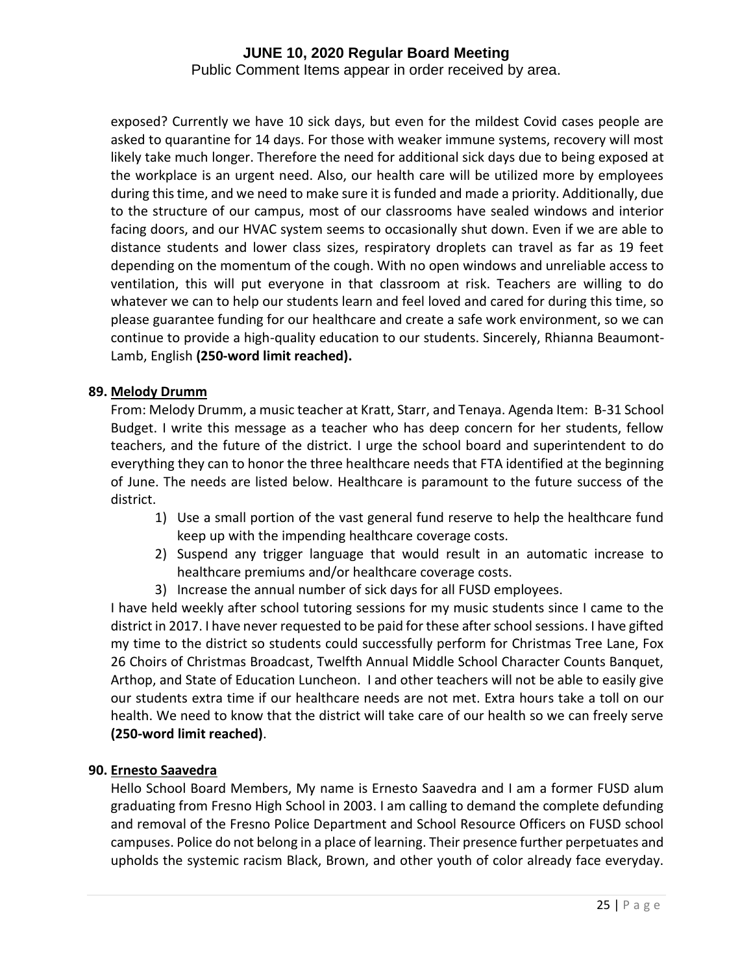Public Comment Items appear in order received by area.

exposed? Currently we have 10 sick days, but even for the mildest Covid cases people are asked to quarantine for 14 days. For those with weaker immune systems, recovery will most likely take much longer. Therefore the need for additional sick days due to being exposed at the workplace is an urgent need. Also, our health care will be utilized more by employees during this time, and we need to make sure it is funded and made a priority. Additionally, due to the structure of our campus, most of our classrooms have sealed windows and interior facing doors, and our HVAC system seems to occasionally shut down. Even if we are able to distance students and lower class sizes, respiratory droplets can travel as far as 19 feet depending on the momentum of the cough. With no open windows and unreliable access to ventilation, this will put everyone in that classroom at risk. Teachers are willing to do whatever we can to help our students learn and feel loved and cared for during this time, so please guarantee funding for our healthcare and create a safe work environment, so we can continue to provide a high-quality education to our students. Sincerely, Rhianna Beaumont-Lamb, English **(250-word limit reached).**

# **89. Melody Drumm**

From: Melody Drumm, a music teacher at Kratt, Starr, and Tenaya. Agenda Item: B-31 School Budget. I write this message as a teacher who has deep concern for her students, fellow teachers, and the future of the district. I urge the school board and superintendent to do everything they can to honor the three healthcare needs that FTA identified at the beginning of June. The needs are listed below. Healthcare is paramount to the future success of the district.

- 1) Use a small portion of the vast general fund reserve to help the healthcare fund keep up with the impending healthcare coverage costs.
- 2) Suspend any trigger language that would result in an automatic increase to healthcare premiums and/or healthcare coverage costs.
- 3) Increase the annual number of sick days for all FUSD employees.

I have held weekly after school tutoring sessions for my music students since I came to the district in 2017. I have never requested to be paid for these after school sessions. I have gifted my time to the district so students could successfully perform for Christmas Tree Lane, Fox 26 Choirs of Christmas Broadcast, Twelfth Annual Middle School Character Counts Banquet, Arthop, and State of Education Luncheon. I and other teachers will not be able to easily give our students extra time if our healthcare needs are not met. Extra hours take a toll on our health. We need to know that the district will take care of our health so we can freely serve **(250-word limit reached)**.

# **90. Ernesto Saavedra**

Hello School Board Members, My name is Ernesto Saavedra and I am a former FUSD alum graduating from Fresno High School in 2003. I am calling to demand the complete defunding and removal of the Fresno Police Department and School Resource Officers on FUSD school campuses. Police do not belong in a place of learning. Their presence further perpetuates and upholds the systemic racism Black, Brown, and other youth of color already face everyday.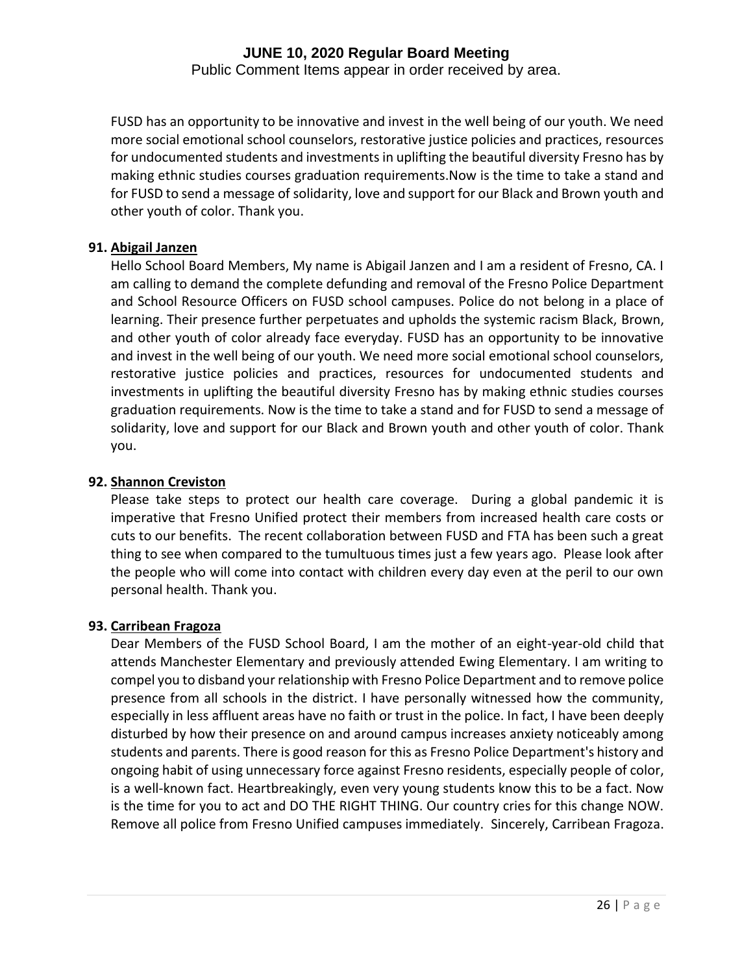Public Comment Items appear in order received by area.

FUSD has an opportunity to be innovative and invest in the well being of our youth. We need more social emotional school counselors, restorative justice policies and practices, resources for undocumented students and investments in uplifting the beautiful diversity Fresno has by making ethnic studies courses graduation requirements.Now is the time to take a stand and for FUSD to send a message of solidarity, love and support for our Black and Brown youth and other youth of color. Thank you.

# **91. Abigail Janzen**

Hello School Board Members, My name is Abigail Janzen and I am a resident of Fresno, CA. I am calling to demand the complete defunding and removal of the Fresno Police Department and School Resource Officers on FUSD school campuses. Police do not belong in a place of learning. Their presence further perpetuates and upholds the systemic racism Black, Brown, and other youth of color already face everyday. FUSD has an opportunity to be innovative and invest in the well being of our youth. We need more social emotional school counselors, restorative justice policies and practices, resources for undocumented students and investments in uplifting the beautiful diversity Fresno has by making ethnic studies courses graduation requirements. Now is the time to take a stand and for FUSD to send a message of solidarity, love and support for our Black and Brown youth and other youth of color. Thank you.

# **92. Shannon Creviston**

Please take steps to protect our health care coverage. During a global pandemic it is imperative that Fresno Unified protect their members from increased health care costs or cuts to our benefits. The recent collaboration between FUSD and FTA has been such a great thing to see when compared to the tumultuous times just a few years ago. Please look after the people who will come into contact with children every day even at the peril to our own personal health. Thank you.

# **93. Carribean Fragoza**

Dear Members of the FUSD School Board, I am the mother of an eight-year-old child that attends Manchester Elementary and previously attended Ewing Elementary. I am writing to compel you to disband your relationship with Fresno Police Department and to remove police presence from all schools in the district. I have personally witnessed how the community, especially in less affluent areas have no faith or trust in the police. In fact, I have been deeply disturbed by how their presence on and around campus increases anxiety noticeably among students and parents. There is good reason for this as Fresno Police Department's history and ongoing habit of using unnecessary force against Fresno residents, especially people of color, is a well-known fact. Heartbreakingly, even very young students know this to be a fact. Now is the time for you to act and DO THE RIGHT THING. Our country cries for this change NOW. Remove all police from Fresno Unified campuses immediately. Sincerely, Carribean Fragoza.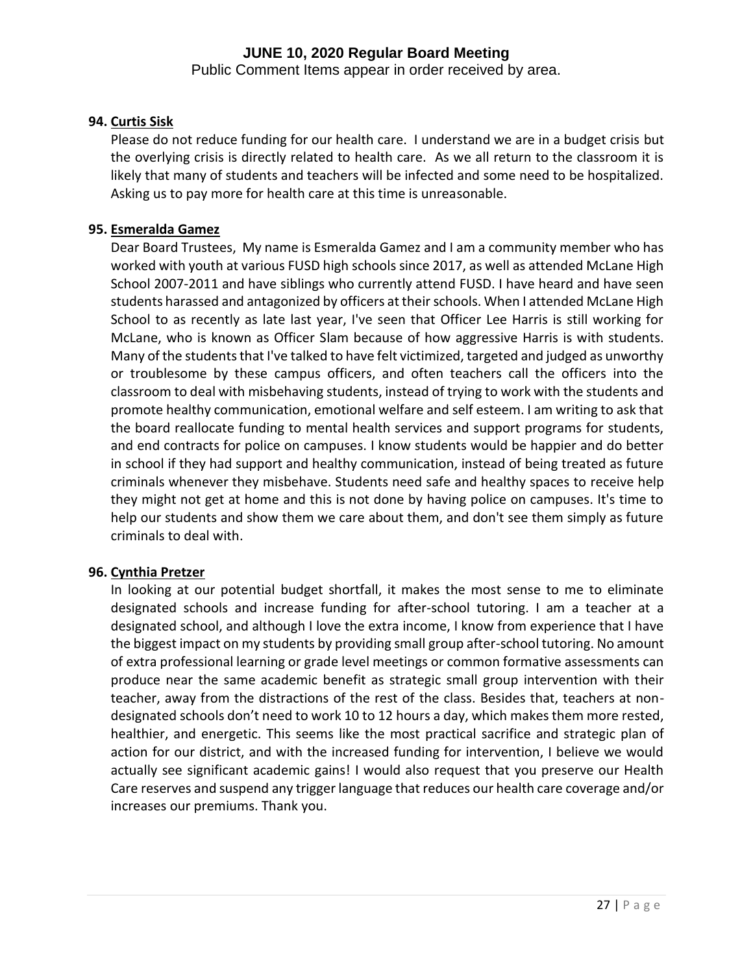Public Comment Items appear in order received by area.

# **94. Curtis Sisk**

Please do not reduce funding for our health care. I understand we are in a budget crisis but the overlying crisis is directly related to health care. As we all return to the classroom it is likely that many of students and teachers will be infected and some need to be hospitalized. Asking us to pay more for health care at this time is unreasonable.

# **95. Esmeralda Gamez**

Dear Board Trustees, My name is Esmeralda Gamez and I am a community member who has worked with youth at various FUSD high schools since 2017, as well as attended McLane High School 2007-2011 and have siblings who currently attend FUSD. I have heard and have seen students harassed and antagonized by officers at their schools. When I attended McLane High School to as recently as late last year, I've seen that Officer Lee Harris is still working for McLane, who is known as Officer Slam because of how aggressive Harris is with students. Many of the students that I've talked to have felt victimized, targeted and judged as unworthy or troublesome by these campus officers, and often teachers call the officers into the classroom to deal with misbehaving students, instead of trying to work with the students and promote healthy communication, emotional welfare and self esteem. I am writing to ask that the board reallocate funding to mental health services and support programs for students, and end contracts for police on campuses. I know students would be happier and do better in school if they had support and healthy communication, instead of being treated as future criminals whenever they misbehave. Students need safe and healthy spaces to receive help they might not get at home and this is not done by having police on campuses. It's time to help our students and show them we care about them, and don't see them simply as future criminals to deal with.

# **96. Cynthia Pretzer**

In looking at our potential budget shortfall, it makes the most sense to me to eliminate designated schools and increase funding for after-school tutoring. I am a teacher at a designated school, and although I love the extra income, I know from experience that I have the biggest impact on my students by providing small group after-school tutoring. No amount of extra professional learning or grade level meetings or common formative assessments can produce near the same academic benefit as strategic small group intervention with their teacher, away from the distractions of the rest of the class. Besides that, teachers at nondesignated schools don't need to work 10 to 12 hours a day, which makes them more rested, healthier, and energetic. This seems like the most practical sacrifice and strategic plan of action for our district, and with the increased funding for intervention, I believe we would actually see significant academic gains! I would also request that you preserve our Health Care reserves and suspend any trigger language that reduces our health care coverage and/or increases our premiums. Thank you.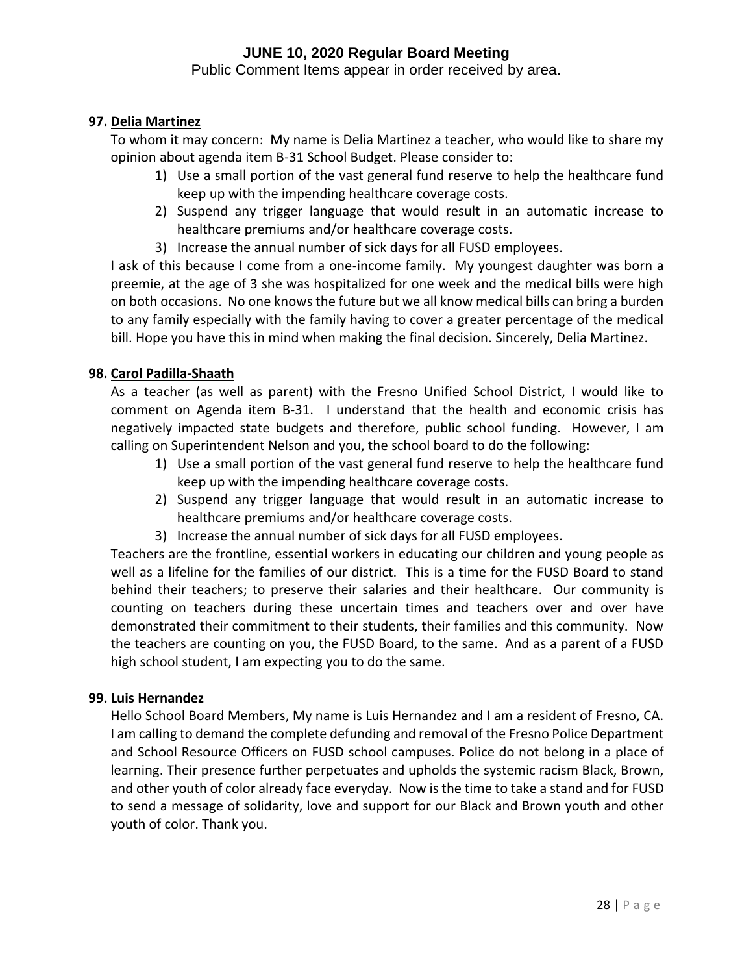Public Comment Items appear in order received by area.

# **97. Delia Martinez**

To whom it may concern: My name is Delia Martinez a teacher, who would like to share my opinion about agenda item B-31 School Budget. Please consider to:

- 1) Use a small portion of the vast general fund reserve to help the healthcare fund keep up with the impending healthcare coverage costs.
- 2) Suspend any trigger language that would result in an automatic increase to healthcare premiums and/or healthcare coverage costs.
- 3) Increase the annual number of sick days for all FUSD employees.

I ask of this because I come from a one-income family. My youngest daughter was born a preemie, at the age of 3 she was hospitalized for one week and the medical bills were high on both occasions. No one knows the future but we all know medical bills can bring a burden to any family especially with the family having to cover a greater percentage of the medical bill. Hope you have this in mind when making the final decision. Sincerely, Delia Martinez.

# **98. Carol Padilla-Shaath**

As a teacher (as well as parent) with the Fresno Unified School District, I would like to comment on Agenda item B-31. I understand that the health and economic crisis has negatively impacted state budgets and therefore, public school funding. However, I am calling on Superintendent Nelson and you, the school board to do the following:

- 1) Use a small portion of the vast general fund reserve to help the healthcare fund keep up with the impending healthcare coverage costs.
- 2) Suspend any trigger language that would result in an automatic increase to healthcare premiums and/or healthcare coverage costs.
- 3) Increase the annual number of sick days for all FUSD employees.

Teachers are the frontline, essential workers in educating our children and young people as well as a lifeline for the families of our district. This is a time for the FUSD Board to stand behind their teachers; to preserve their salaries and their healthcare. Our community is counting on teachers during these uncertain times and teachers over and over have demonstrated their commitment to their students, their families and this community. Now the teachers are counting on you, the FUSD Board, to the same. And as a parent of a FUSD high school student, I am expecting you to do the same.

# **99. Luis Hernandez**

Hello School Board Members, My name is Luis Hernandez and I am a resident of Fresno, CA. I am calling to demand the complete defunding and removal of the Fresno Police Department and School Resource Officers on FUSD school campuses. Police do not belong in a place of learning. Their presence further perpetuates and upholds the systemic racism Black, Brown, and other youth of color already face everyday. Now is the time to take a stand and for FUSD to send a message of solidarity, love and support for our Black and Brown youth and other youth of color. Thank you.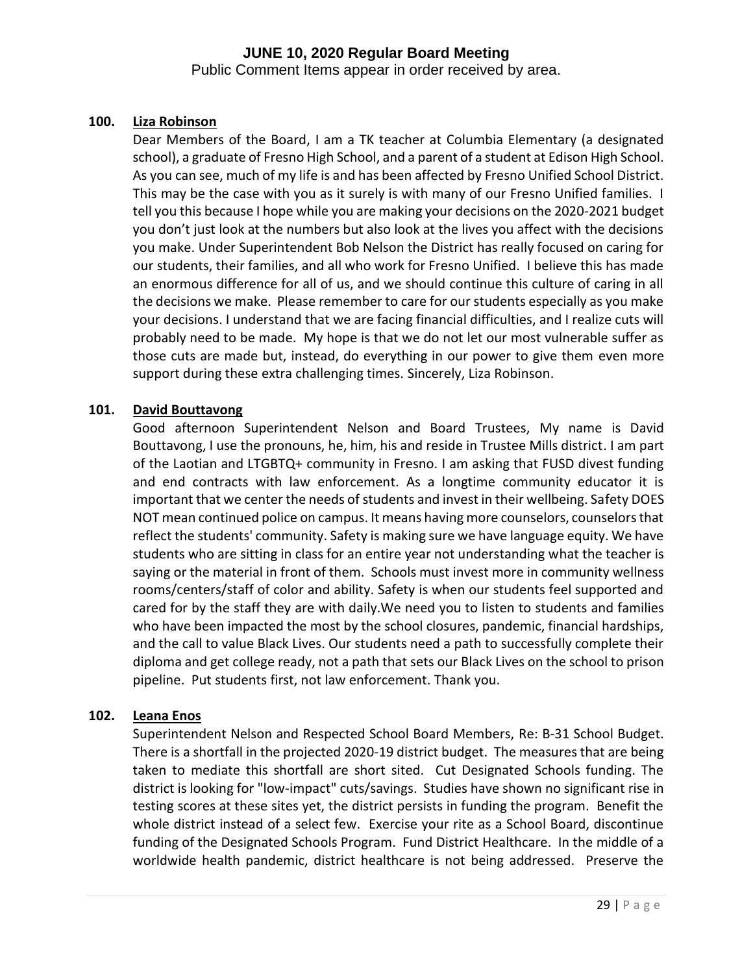Public Comment Items appear in order received by area.

# **100. Liza Robinson**

Dear Members of the Board, I am a TK teacher at Columbia Elementary (a designated school), a graduate of Fresno High School, and a parent of a student at Edison High School. As you can see, much of my life is and has been affected by Fresno Unified School District. This may be the case with you as it surely is with many of our Fresno Unified families. I tell you this because I hope while you are making your decisions on the 2020-2021 budget you don't just look at the numbers but also look at the lives you affect with the decisions you make. Under Superintendent Bob Nelson the District has really focused on caring for our students, their families, and all who work for Fresno Unified. I believe this has made an enormous difference for all of us, and we should continue this culture of caring in all the decisions we make. Please remember to care for our students especially as you make your decisions. I understand that we are facing financial difficulties, and I realize cuts will probably need to be made. My hope is that we do not let our most vulnerable suffer as those cuts are made but, instead, do everything in our power to give them even more support during these extra challenging times. Sincerely, Liza Robinson.

# **101. David Bouttavong**

Good afternoon Superintendent Nelson and Board Trustees, My name is David Bouttavong, I use the pronouns, he, him, his and reside in Trustee Mills district. I am part of the Laotian and LTGBTQ+ community in Fresno. I am asking that FUSD divest funding and end contracts with law enforcement. As a longtime community educator it is important that we center the needs of students and invest in their wellbeing. Safety DOES NOT mean continued police on campus. It means having more counselors, counselors that reflect the students' community. Safety is making sure we have language equity. We have students who are sitting in class for an entire year not understanding what the teacher is saying or the material in front of them. Schools must invest more in community wellness rooms/centers/staff of color and ability. Safety is when our students feel supported and cared for by the staff they are with daily.We need you to listen to students and families who have been impacted the most by the school closures, pandemic, financial hardships, and the call to value Black Lives. Our students need a path to successfully complete their diploma and get college ready, not a path that sets our Black Lives on the school to prison pipeline. Put students first, not law enforcement. Thank you.

# **102. Leana Enos**

Superintendent Nelson and Respected School Board Members, Re: B-31 School Budget. There is a shortfall in the projected 2020-19 district budget. The measures that are being taken to mediate this shortfall are short sited. Cut Designated Schools funding. The district is looking for "low-impact" cuts/savings. Studies have shown no significant rise in testing scores at these sites yet, the district persists in funding the program. Benefit the whole district instead of a select few. Exercise your rite as a School Board, discontinue funding of the Designated Schools Program. Fund District Healthcare. In the middle of a worldwide health pandemic, district healthcare is not being addressed. Preserve the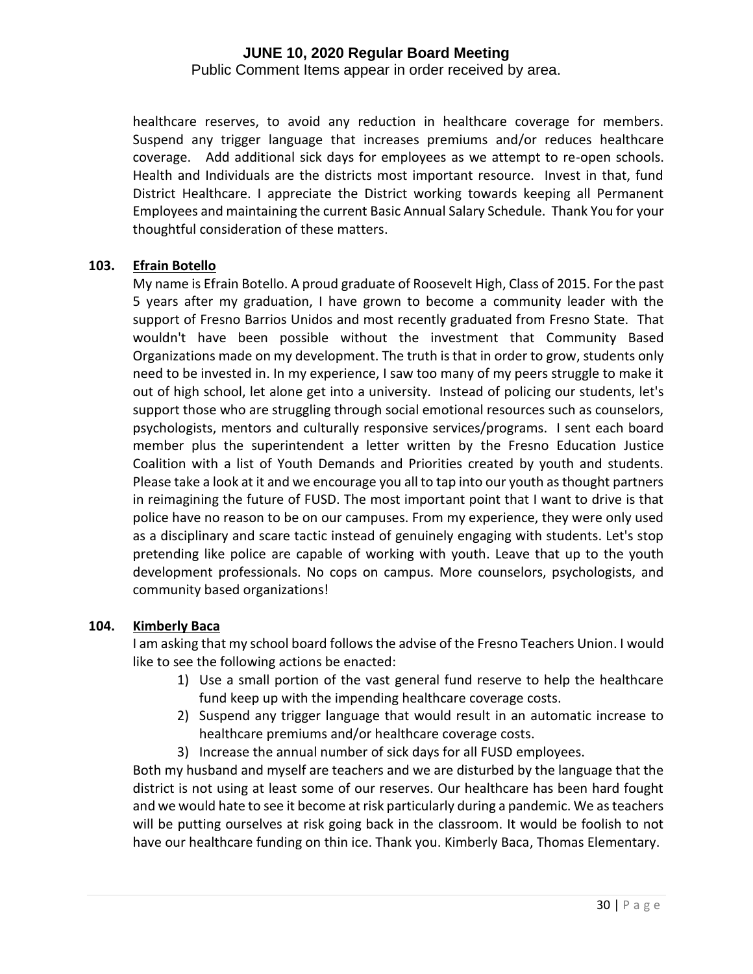Public Comment Items appear in order received by area.

healthcare reserves, to avoid any reduction in healthcare coverage for members. Suspend any trigger language that increases premiums and/or reduces healthcare coverage. Add additional sick days for employees as we attempt to re-open schools. Health and Individuals are the districts most important resource. Invest in that, fund District Healthcare. I appreciate the District working towards keeping all Permanent Employees and maintaining the current Basic Annual Salary Schedule. Thank You for your thoughtful consideration of these matters.

#### **103. Efrain Botello**

My name is Efrain Botello. A proud graduate of Roosevelt High, Class of 2015. For the past 5 years after my graduation, I have grown to become a community leader with the support of Fresno Barrios Unidos and most recently graduated from Fresno State. That wouldn't have been possible without the investment that Community Based Organizations made on my development. The truth is that in order to grow, students only need to be invested in. In my experience, I saw too many of my peers struggle to make it out of high school, let alone get into a university. Instead of policing our students, let's support those who are struggling through social emotional resources such as counselors, psychologists, mentors and culturally responsive services/programs. I sent each board member plus the superintendent a letter written by the Fresno Education Justice Coalition with a list of Youth Demands and Priorities created by youth and students. Please take a look at it and we encourage you all to tap into our youth as thought partners in reimagining the future of FUSD. The most important point that I want to drive is that police have no reason to be on our campuses. From my experience, they were only used as a disciplinary and scare tactic instead of genuinely engaging with students. Let's stop pretending like police are capable of working with youth. Leave that up to the youth development professionals. No cops on campus. More counselors, psychologists, and community based organizations!

# **104. Kimberly Baca**

I am asking that my school board follows the advise of the Fresno Teachers Union. I would like to see the following actions be enacted:

- 1) Use a small portion of the vast general fund reserve to help the healthcare fund keep up with the impending healthcare coverage costs.
- 2) Suspend any trigger language that would result in an automatic increase to healthcare premiums and/or healthcare coverage costs.
- 3) Increase the annual number of sick days for all FUSD employees.

Both my husband and myself are teachers and we are disturbed by the language that the district is not using at least some of our reserves. Our healthcare has been hard fought and we would hate to see it become at risk particularly during a pandemic. We as teachers will be putting ourselves at risk going back in the classroom. It would be foolish to not have our healthcare funding on thin ice. Thank you. Kimberly Baca, Thomas Elementary.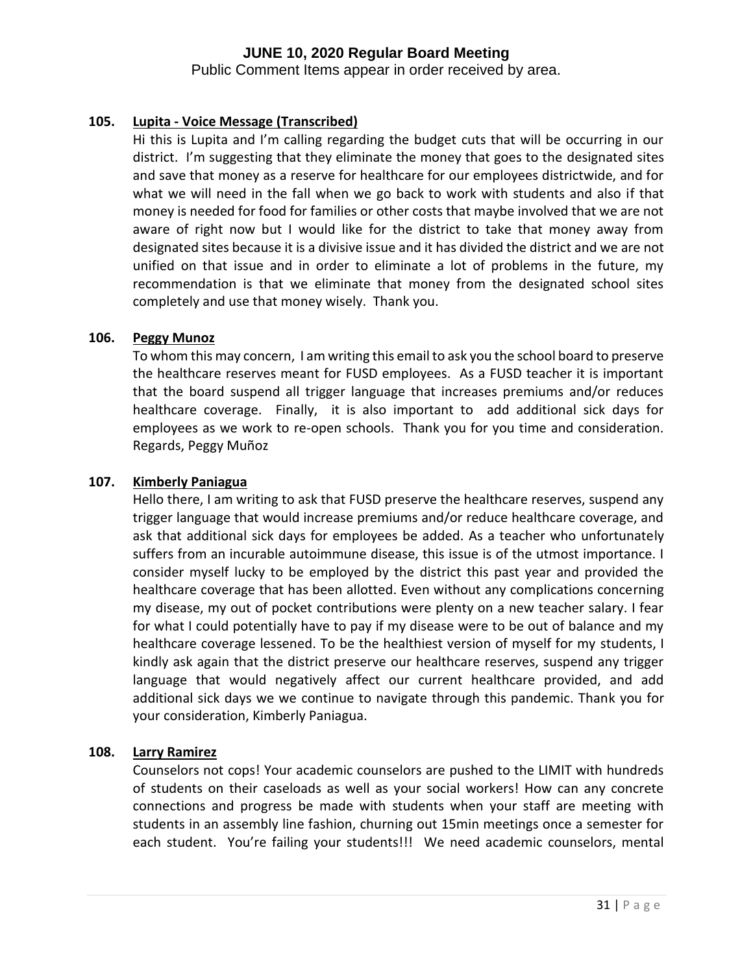Public Comment Items appear in order received by area.

# **105. Lupita - Voice Message (Transcribed)**

Hi this is Lupita and I'm calling regarding the budget cuts that will be occurring in our district. I'm suggesting that they eliminate the money that goes to the designated sites and save that money as a reserve for healthcare for our employees districtwide, and for what we will need in the fall when we go back to work with students and also if that money is needed for food for families or other costs that maybe involved that we are not aware of right now but I would like for the district to take that money away from designated sites because it is a divisive issue and it has divided the district and we are not unified on that issue and in order to eliminate a lot of problems in the future, my recommendation is that we eliminate that money from the designated school sites completely and use that money wisely. Thank you.

# **106. Peggy Munoz**

To whom this may concern, I am writing this email to ask you the school board to preserve the healthcare reserves meant for FUSD employees. As a FUSD teacher it is important that the board suspend all trigger language that increases premiums and/or reduces healthcare coverage. Finally, it is also important to add additional sick days for employees as we work to re-open schools. Thank you for you time and consideration. Regards, Peggy Muñoz

# **107. Kimberly Paniagua**

Hello there, I am writing to ask that FUSD preserve the healthcare reserves, suspend any trigger language that would increase premiums and/or reduce healthcare coverage, and ask that additional sick days for employees be added. As a teacher who unfortunately suffers from an incurable autoimmune disease, this issue is of the utmost importance. I consider myself lucky to be employed by the district this past year and provided the healthcare coverage that has been allotted. Even without any complications concerning my disease, my out of pocket contributions were plenty on a new teacher salary. I fear for what I could potentially have to pay if my disease were to be out of balance and my healthcare coverage lessened. To be the healthiest version of myself for my students, I kindly ask again that the district preserve our healthcare reserves, suspend any trigger language that would negatively affect our current healthcare provided, and add additional sick days we we continue to navigate through this pandemic. Thank you for your consideration, Kimberly Paniagua.

# **108. Larry Ramirez**

Counselors not cops! Your academic counselors are pushed to the LIMIT with hundreds of students on their caseloads as well as your social workers! How can any concrete connections and progress be made with students when your staff are meeting with students in an assembly line fashion, churning out 15min meetings once a semester for each student. You're failing your students!!! We need academic counselors, mental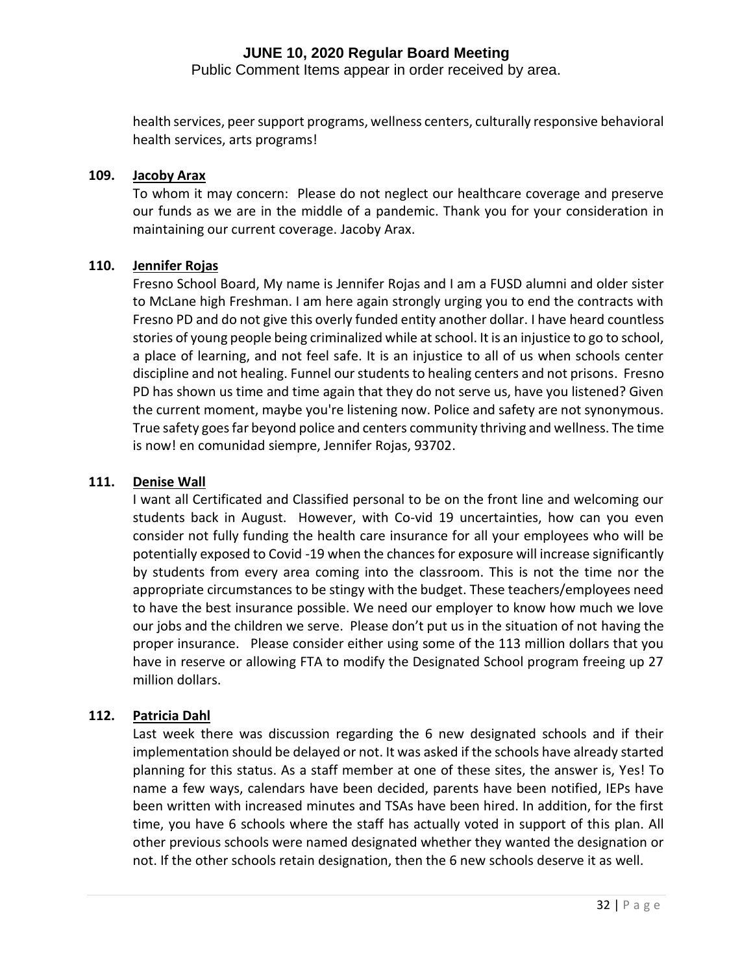Public Comment Items appear in order received by area.

health services, peer support programs, wellness centers, culturally responsive behavioral health services, arts programs!

### **109. Jacoby Arax**

To whom it may concern: Please do not neglect our healthcare coverage and preserve our funds as we are in the middle of a pandemic. Thank you for your consideration in maintaining our current coverage. Jacoby Arax.

#### **110. Jennifer Rojas**

Fresno School Board, My name is Jennifer Rojas and I am a FUSD alumni and older sister to McLane high Freshman. I am here again strongly urging you to end the contracts with Fresno PD and do not give this overly funded entity another dollar. I have heard countless stories of young people being criminalized while at school. It is an injustice to go to school, a place of learning, and not feel safe. It is an injustice to all of us when schools center discipline and not healing. Funnel our students to healing centers and not prisons. Fresno PD has shown us time and time again that they do not serve us, have you listened? Given the current moment, maybe you're listening now. Police and safety are not synonymous. True safety goes far beyond police and centers community thriving and wellness. The time is now! en comunidad siempre, Jennifer Rojas, 93702.

#### **111. Denise Wall**

I want all Certificated and Classified personal to be on the front line and welcoming our students back in August. However, with Co-vid 19 uncertainties, how can you even consider not fully funding the health care insurance for all your employees who will be potentially exposed to Covid -19 when the chances for exposure will increase significantly by students from every area coming into the classroom. This is not the time nor the appropriate circumstances to be stingy with the budget. These teachers/employees need to have the best insurance possible. We need our employer to know how much we love our jobs and the children we serve. Please don't put us in the situation of not having the proper insurance. Please consider either using some of the 113 million dollars that you have in reserve or allowing FTA to modify the Designated School program freeing up 27 million dollars.

# **112. Patricia Dahl**

Last week there was discussion regarding the 6 new designated schools and if their implementation should be delayed or not. It was asked if the schools have already started planning for this status. As a staff member at one of these sites, the answer is, Yes! To name a few ways, calendars have been decided, parents have been notified, IEPs have been written with increased minutes and TSAs have been hired. In addition, for the first time, you have 6 schools where the staff has actually voted in support of this plan. All other previous schools were named designated whether they wanted the designation or not. If the other schools retain designation, then the 6 new schools deserve it as well.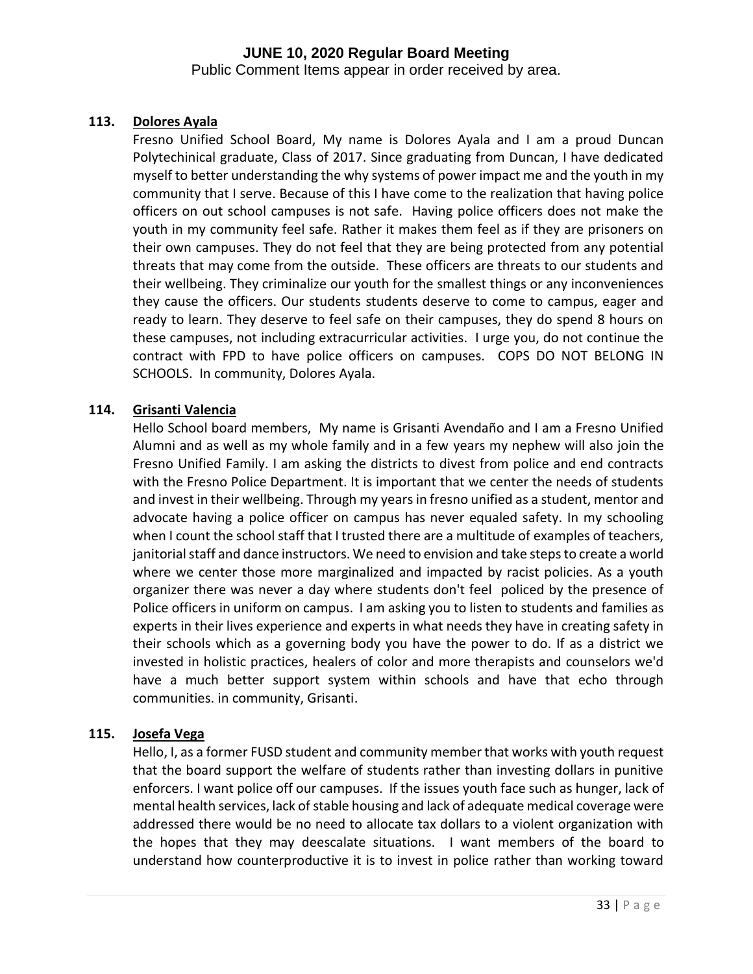Public Comment Items appear in order received by area.

# **113. Dolores Ayala**

Fresno Unified School Board, My name is Dolores Ayala and I am a proud Duncan Polytechinical graduate, Class of 2017. Since graduating from Duncan, I have dedicated myself to better understanding the why systems of power impact me and the youth in my community that I serve. Because of this I have come to the realization that having police officers on out school campuses is not safe. Having police officers does not make the youth in my community feel safe. Rather it makes them feel as if they are prisoners on their own campuses. They do not feel that they are being protected from any potential threats that may come from the outside. These officers are threats to our students and their wellbeing. They criminalize our youth for the smallest things or any inconveniences they cause the officers. Our students students deserve to come to campus, eager and ready to learn. They deserve to feel safe on their campuses, they do spend 8 hours on these campuses, not including extracurricular activities. I urge you, do not continue the contract with FPD to have police officers on campuses. COPS DO NOT BELONG IN SCHOOLS. In community, Dolores Ayala.

# **114. Grisanti Valencia**

Hello School board members, My name is Grisanti Avendaño and I am a Fresno Unified Alumni and as well as my whole family and in a few years my nephew will also join the Fresno Unified Family. I am asking the districts to divest from police and end contracts with the Fresno Police Department. It is important that we center the needs of students and invest in their wellbeing. Through my years in fresno unified as a student, mentor and advocate having a police officer on campus has never equaled safety. In my schooling when I count the school staff that I trusted there are a multitude of examples of teachers, janitorial staff and dance instructors. We need to envision and take steps to create a world where we center those more marginalized and impacted by racist policies. As a youth organizer there was never a day where students don't feel policed by the presence of Police officers in uniform on campus. I am asking you to listen to students and families as experts in their lives experience and experts in what needs they have in creating safety in their schools which as a governing body you have the power to do. If as a district we invested in holistic practices, healers of color and more therapists and counselors we'd have a much better support system within schools and have that echo through communities. in community, Grisanti.

# **115. Josefa Vega**

Hello, I, as a former FUSD student and community member that works with youth request that the board support the welfare of students rather than investing dollars in punitive enforcers. I want police off our campuses. If the issues youth face such as hunger, lack of mental health services, lack of stable housing and lack of adequate medical coverage were addressed there would be no need to allocate tax dollars to a violent organization with the hopes that they may deescalate situations. I want members of the board to understand how counterproductive it is to invest in police rather than working toward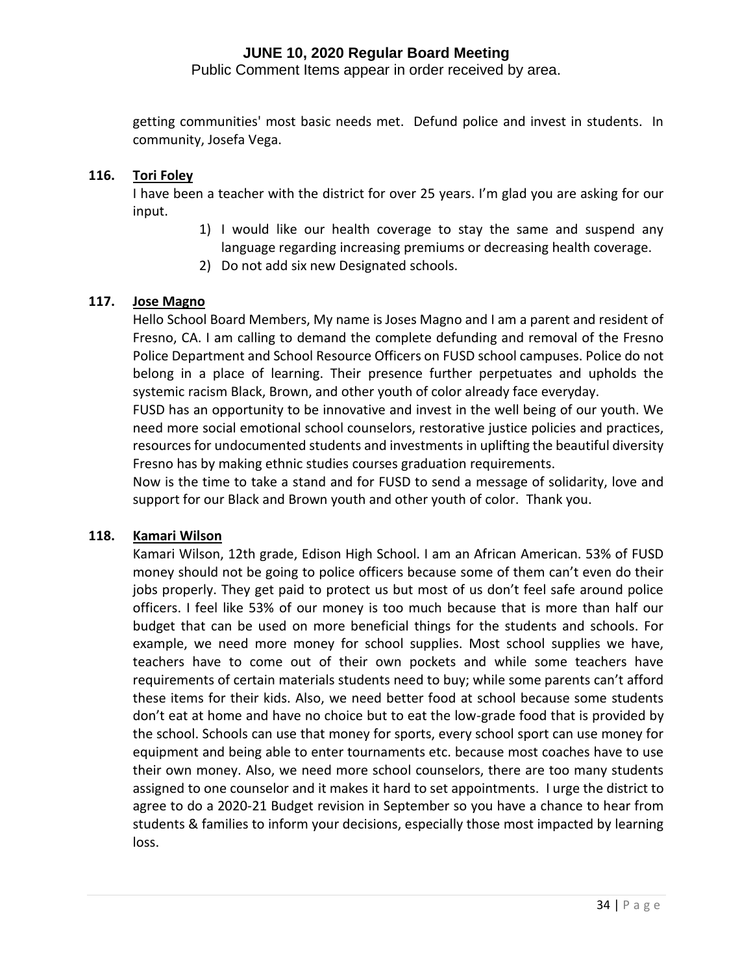Public Comment Items appear in order received by area.

getting communities' most basic needs met. Defund police and invest in students. In community, Josefa Vega.

### **116. Tori Foley**

I have been a teacher with the district for over 25 years. I'm glad you are asking for our input.

- 1) I would like our health coverage to stay the same and suspend any language regarding increasing premiums or decreasing health coverage.
- 2) Do not add six new Designated schools.

# **117. Jose Magno**

Hello School Board Members, My name is Joses Magno and I am a parent and resident of Fresno, CA. I am calling to demand the complete defunding and removal of the Fresno Police Department and School Resource Officers on FUSD school campuses. Police do not belong in a place of learning. Their presence further perpetuates and upholds the systemic racism Black, Brown, and other youth of color already face everyday.

FUSD has an opportunity to be innovative and invest in the well being of our youth. We need more social emotional school counselors, restorative justice policies and practices, resources for undocumented students and investments in uplifting the beautiful diversity Fresno has by making ethnic studies courses graduation requirements.

Now is the time to take a stand and for FUSD to send a message of solidarity, love and support for our Black and Brown youth and other youth of color. Thank you.

#### **118. Kamari Wilson**

Kamari Wilson, 12th grade, Edison High School. I am an African American. 53% of FUSD money should not be going to police officers because some of them can't even do their jobs properly. They get paid to protect us but most of us don't feel safe around police officers. I feel like 53% of our money is too much because that is more than half our budget that can be used on more beneficial things for the students and schools. For example, we need more money for school supplies. Most school supplies we have, teachers have to come out of their own pockets and while some teachers have requirements of certain materials students need to buy; while some parents can't afford these items for their kids. Also, we need better food at school because some students don't eat at home and have no choice but to eat the low-grade food that is provided by the school. Schools can use that money for sports, every school sport can use money for equipment and being able to enter tournaments etc. because most coaches have to use their own money. Also, we need more school counselors, there are too many students assigned to one counselor and it makes it hard to set appointments. I urge the district to agree to do a 2020-21 Budget revision in September so you have a chance to hear from students & families to inform your decisions, especially those most impacted by learning loss.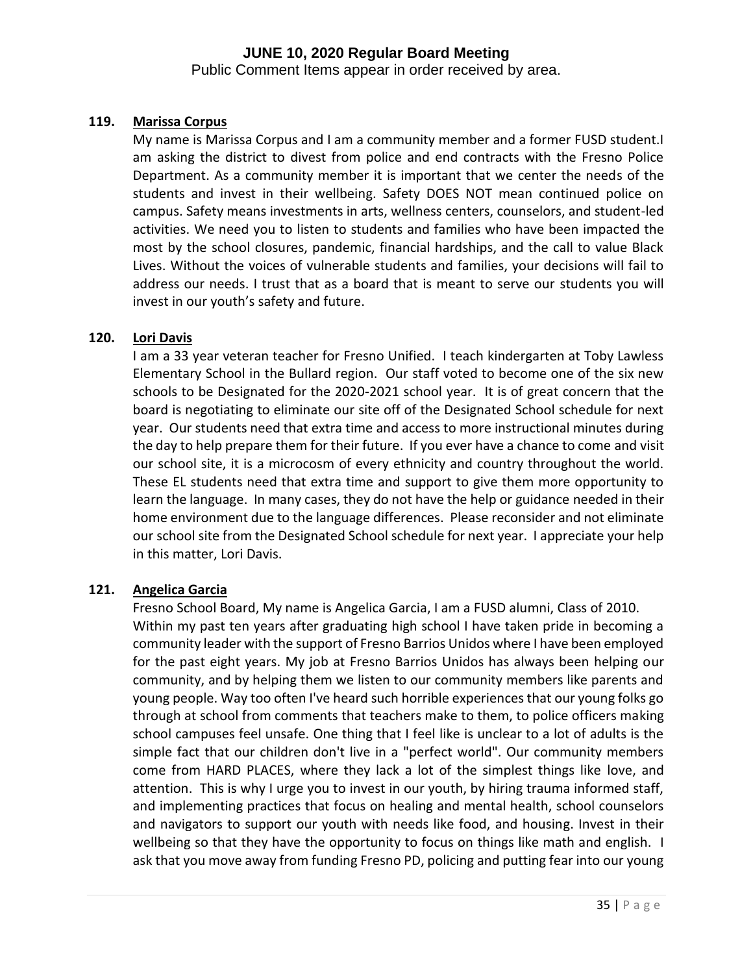Public Comment Items appear in order received by area.

# **119. Marissa Corpus**

My name is Marissa Corpus and I am a community member and a former FUSD student.I am asking the district to divest from police and end contracts with the Fresno Police Department. As a community member it is important that we center the needs of the students and invest in their wellbeing. Safety DOES NOT mean continued police on campus. Safety means investments in arts, wellness centers, counselors, and student-led activities. We need you to listen to students and families who have been impacted the most by the school closures, pandemic, financial hardships, and the call to value Black Lives. Without the voices of vulnerable students and families, your decisions will fail to address our needs. I trust that as a board that is meant to serve our students you will invest in our youth's safety and future.

# **120. Lori Davis**

I am a 33 year veteran teacher for Fresno Unified. I teach kindergarten at Toby Lawless Elementary School in the Bullard region. Our staff voted to become one of the six new schools to be Designated for the 2020-2021 school year. It is of great concern that the board is negotiating to eliminate our site off of the Designated School schedule for next year. Our students need that extra time and access to more instructional minutes during the day to help prepare them for their future. If you ever have a chance to come and visit our school site, it is a microcosm of every ethnicity and country throughout the world. These EL students need that extra time and support to give them more opportunity to learn the language. In many cases, they do not have the help or guidance needed in their home environment due to the language differences. Please reconsider and not eliminate our school site from the Designated School schedule for next year. I appreciate your help in this matter, Lori Davis.

# **121. Angelica Garcia**

Fresno School Board, My name is Angelica Garcia, I am a FUSD alumni, Class of 2010. Within my past ten years after graduating high school I have taken pride in becoming a community leader with the support of Fresno Barrios Unidos where I have been employed for the past eight years. My job at Fresno Barrios Unidos has always been helping our community, and by helping them we listen to our community members like parents and young people. Way too often I've heard such horrible experiences that our young folks go through at school from comments that teachers make to them, to police officers making school campuses feel unsafe. One thing that I feel like is unclear to a lot of adults is the simple fact that our children don't live in a "perfect world". Our community members come from HARD PLACES, where they lack a lot of the simplest things like love, and attention. This is why I urge you to invest in our youth, by hiring trauma informed staff, and implementing practices that focus on healing and mental health, school counselors and navigators to support our youth with needs like food, and housing. Invest in their wellbeing so that they have the opportunity to focus on things like math and english. I ask that you move away from funding Fresno PD, policing and putting fear into our young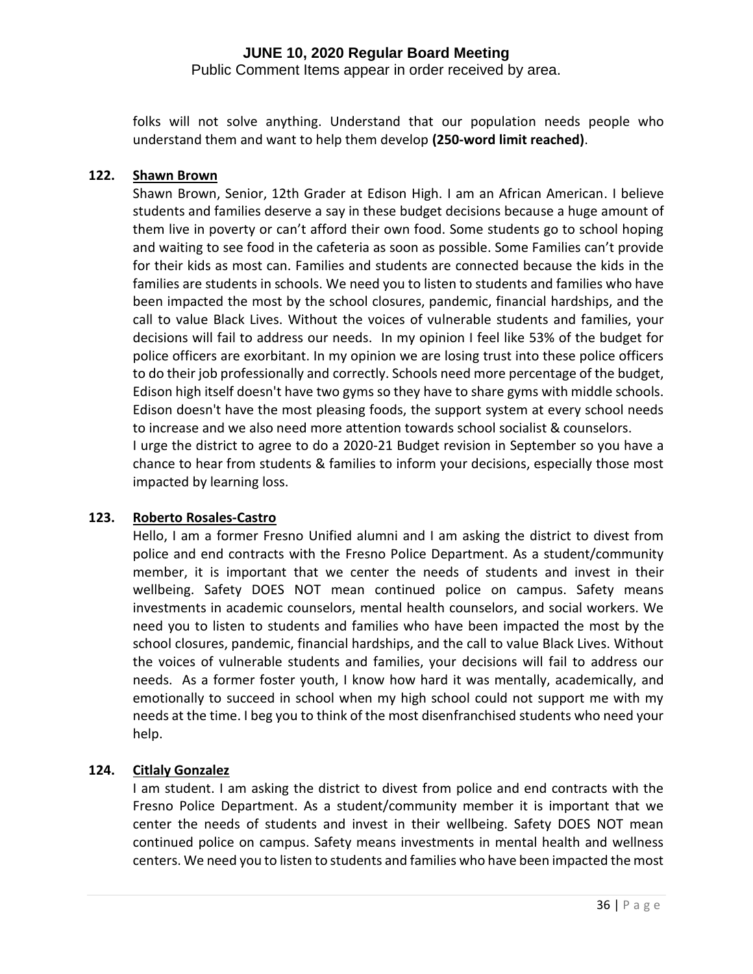Public Comment Items appear in order received by area.

folks will not solve anything. Understand that our population needs people who understand them and want to help them develop **(250-word limit reached)**.

# **122. Shawn Brown**

Shawn Brown, Senior, 12th Grader at Edison High. I am an African American. I believe students and families deserve a say in these budget decisions because a huge amount of them live in poverty or can't afford their own food. Some students go to school hoping and waiting to see food in the cafeteria as soon as possible. Some Families can't provide for their kids as most can. Families and students are connected because the kids in the families are students in schools. We need you to listen to students and families who have been impacted the most by the school closures, pandemic, financial hardships, and the call to value Black Lives. Without the voices of vulnerable students and families, your decisions will fail to address our needs. In my opinion I feel like 53% of the budget for police officers are exorbitant. In my opinion we are losing trust into these police officers to do their job professionally and correctly. Schools need more percentage of the budget, Edison high itself doesn't have two gyms so they have to share gyms with middle schools. Edison doesn't have the most pleasing foods, the support system at every school needs to increase and we also need more attention towards school socialist & counselors. I urge the district to agree to do a 2020-21 Budget revision in September so you have a chance to hear from students & families to inform your decisions, especially those most impacted by learning loss.

# **123. Roberto Rosales-Castro**

Hello, I am a former Fresno Unified alumni and I am asking the district to divest from police and end contracts with the Fresno Police Department. As a student/community member, it is important that we center the needs of students and invest in their wellbeing. Safety DOES NOT mean continued police on campus. Safety means investments in academic counselors, mental health counselors, and social workers. We need you to listen to students and families who have been impacted the most by the school closures, pandemic, financial hardships, and the call to value Black Lives. Without the voices of vulnerable students and families, your decisions will fail to address our needs. As a former foster youth, I know how hard it was mentally, academically, and emotionally to succeed in school when my high school could not support me with my needs at the time. I beg you to think of the most disenfranchised students who need your help.

# **124. Citlaly Gonzalez**

I am student. I am asking the district to divest from police and end contracts with the Fresno Police Department. As a student/community member it is important that we center the needs of students and invest in their wellbeing. Safety DOES NOT mean continued police on campus. Safety means investments in mental health and wellness centers. We need you to listen to students and families who have been impacted the most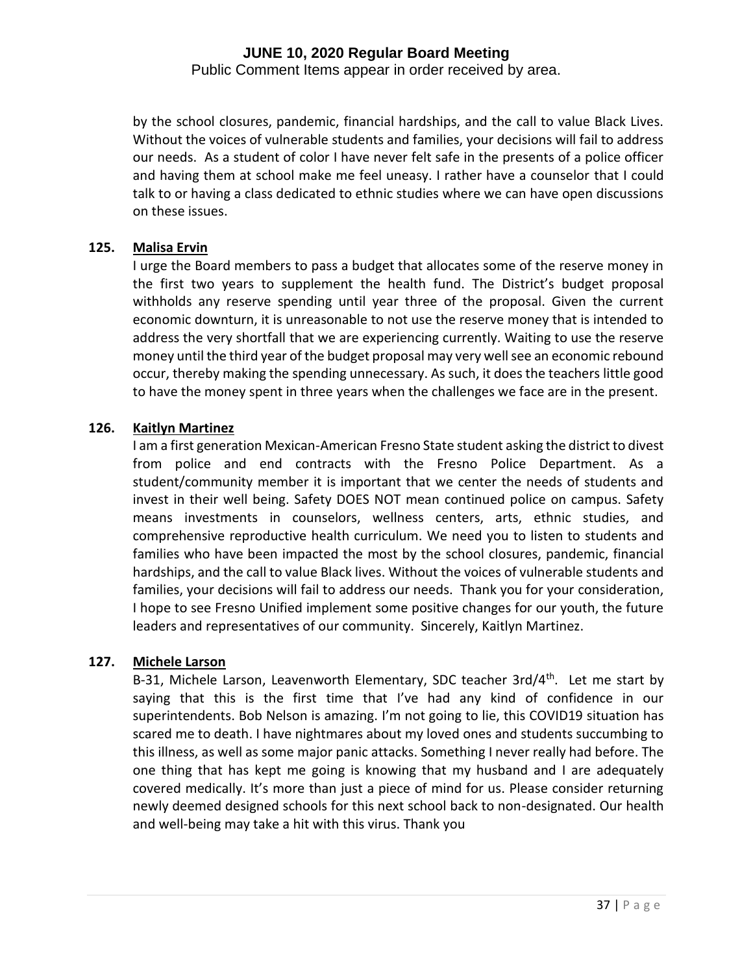Public Comment Items appear in order received by area.

by the school closures, pandemic, financial hardships, and the call to value Black Lives. Without the voices of vulnerable students and families, your decisions will fail to address our needs. As a student of color I have never felt safe in the presents of a police officer and having them at school make me feel uneasy. I rather have a counselor that I could talk to or having a class dedicated to ethnic studies where we can have open discussions on these issues.

#### **125. Malisa Ervin**

I urge the Board members to pass a budget that allocates some of the reserve money in the first two years to supplement the health fund. The District's budget proposal withholds any reserve spending until year three of the proposal. Given the current economic downturn, it is unreasonable to not use the reserve money that is intended to address the very shortfall that we are experiencing currently. Waiting to use the reserve money until the third year of the budget proposal may very well see an economic rebound occur, thereby making the spending unnecessary. As such, it does the teachers little good to have the money spent in three years when the challenges we face are in the present.

#### **126. Kaitlyn Martinez**

I am a first generation Mexican-American Fresno State student asking the district to divest from police and end contracts with the Fresno Police Department. As a student/community member it is important that we center the needs of students and invest in their well being. Safety DOES NOT mean continued police on campus. Safety means investments in counselors, wellness centers, arts, ethnic studies, and comprehensive reproductive health curriculum. We need you to listen to students and families who have been impacted the most by the school closures, pandemic, financial hardships, and the call to value Black lives. Without the voices of vulnerable students and families, your decisions will fail to address our needs. Thank you for your consideration, I hope to see Fresno Unified implement some positive changes for our youth, the future leaders and representatives of our community. Sincerely, Kaitlyn Martinez.

#### **127. Michele Larson**

B-31, Michele Larson, Leavenworth Elementary, SDC teacher 3rd/4<sup>th</sup>. Let me start by saying that this is the first time that I've had any kind of confidence in our superintendents. Bob Nelson is amazing. I'm not going to lie, this COVID19 situation has scared me to death. I have nightmares about my loved ones and students succumbing to this illness, as well as some major panic attacks. Something I never really had before. The one thing that has kept me going is knowing that my husband and I are adequately covered medically. It's more than just a piece of mind for us. Please consider returning newly deemed designed schools for this next school back to non-designated. Our health and well-being may take a hit with this virus. Thank you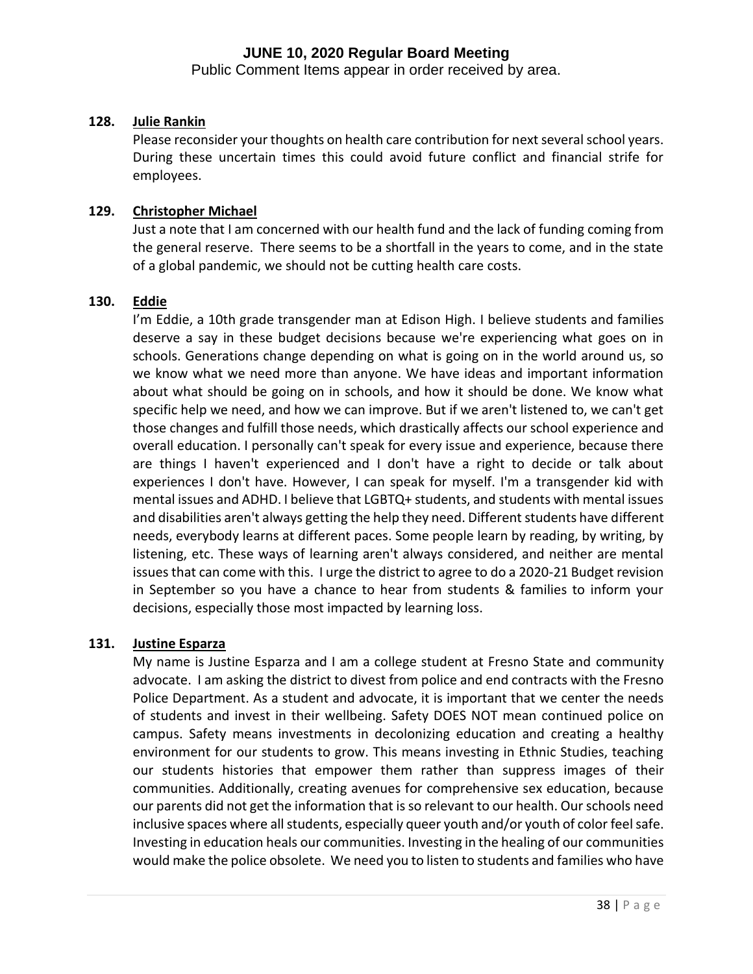Public Comment Items appear in order received by area.

#### **128. Julie Rankin**

Please reconsider your thoughts on health care contribution for next several school years. During these uncertain times this could avoid future conflict and financial strife for employees.

#### **129. Christopher Michael**

Just a note that I am concerned with our health fund and the lack of funding coming from the general reserve. There seems to be a shortfall in the years to come, and in the state of a global pandemic, we should not be cutting health care costs.

#### **130. Eddie**

I'm Eddie, a 10th grade transgender man at Edison High. I believe students and families deserve a say in these budget decisions because we're experiencing what goes on in schools. Generations change depending on what is going on in the world around us, so we know what we need more than anyone. We have ideas and important information about what should be going on in schools, and how it should be done. We know what specific help we need, and how we can improve. But if we aren't listened to, we can't get those changes and fulfill those needs, which drastically affects our school experience and overall education. I personally can't speak for every issue and experience, because there are things I haven't experienced and I don't have a right to decide or talk about experiences I don't have. However, I can speak for myself. I'm a transgender kid with mental issues and ADHD. I believe that LGBTQ+ students, and students with mental issues and disabilities aren't always getting the help they need. Different students have different needs, everybody learns at different paces. Some people learn by reading, by writing, by listening, etc. These ways of learning aren't always considered, and neither are mental issues that can come with this. I urge the district to agree to do a 2020-21 Budget revision in September so you have a chance to hear from students & families to inform your decisions, especially those most impacted by learning loss.

#### **131. Justine Esparza**

My name is Justine Esparza and I am a college student at Fresno State and community advocate. I am asking the district to divest from police and end contracts with the Fresno Police Department. As a student and advocate, it is important that we center the needs of students and invest in their wellbeing. Safety DOES NOT mean continued police on campus. Safety means investments in decolonizing education and creating a healthy environment for our students to grow. This means investing in Ethnic Studies, teaching our students histories that empower them rather than suppress images of their communities. Additionally, creating avenues for comprehensive sex education, because our parents did not get the information that is so relevant to our health. Our schools need inclusive spaces where all students, especially queer youth and/or youth of color feel safe. Investing in education heals our communities. Investing in the healing of our communities would make the police obsolete. We need you to listen to students and families who have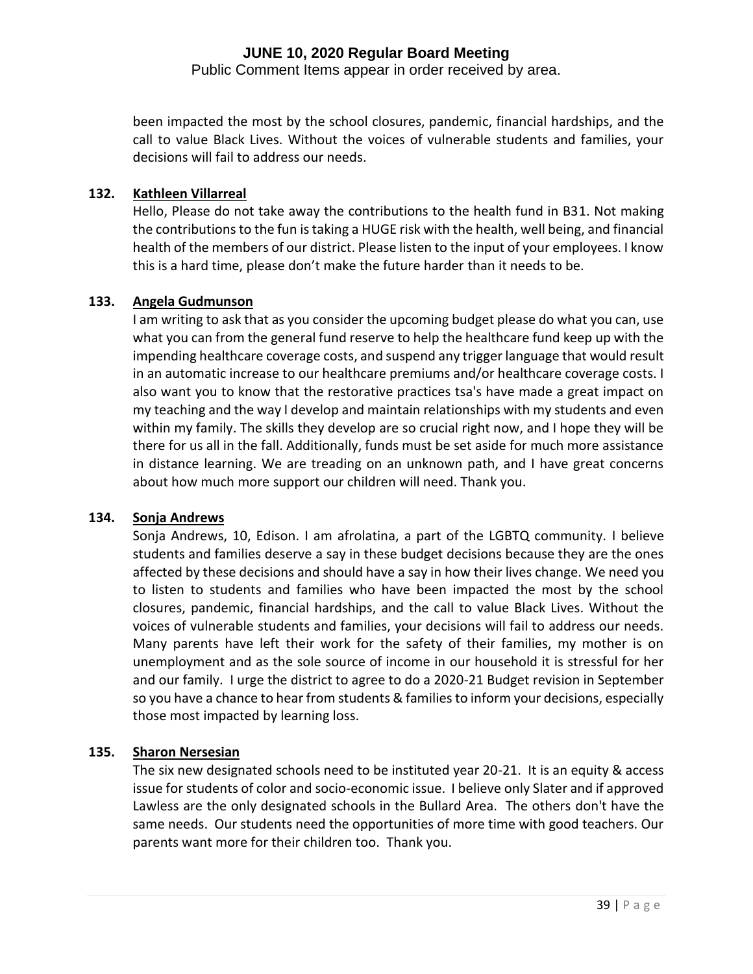Public Comment Items appear in order received by area.

been impacted the most by the school closures, pandemic, financial hardships, and the call to value Black Lives. Without the voices of vulnerable students and families, your decisions will fail to address our needs.

#### **132. Kathleen Villarreal**

Hello, Please do not take away the contributions to the health fund in B31. Not making the contributions to the fun is taking a HUGE risk with the health, well being, and financial health of the members of our district. Please listen to the input of your employees. I know this is a hard time, please don't make the future harder than it needs to be.

#### **133. Angela Gudmunson**

I am writing to ask that as you consider the upcoming budget please do what you can, use what you can from the general fund reserve to help the healthcare fund keep up with the impending healthcare coverage costs, and suspend any trigger language that would result in an automatic increase to our healthcare premiums and/or healthcare coverage costs. I also want you to know that the restorative practices tsa's have made a great impact on my teaching and the way I develop and maintain relationships with my students and even within my family. The skills they develop are so crucial right now, and I hope they will be there for us all in the fall. Additionally, funds must be set aside for much more assistance in distance learning. We are treading on an unknown path, and I have great concerns about how much more support our children will need. Thank you.

#### **134. Sonja Andrews**

Sonja Andrews, 10, Edison. I am afrolatina, a part of the LGBTQ community. I believe students and families deserve a say in these budget decisions because they are the ones affected by these decisions and should have a say in how their lives change. We need you to listen to students and families who have been impacted the most by the school closures, pandemic, financial hardships, and the call to value Black Lives. Without the voices of vulnerable students and families, your decisions will fail to address our needs. Many parents have left their work for the safety of their families, my mother is on unemployment and as the sole source of income in our household it is stressful for her and our family. I urge the district to agree to do a 2020-21 Budget revision in September so you have a chance to hear from students & families to inform your decisions, especially those most impacted by learning loss.

#### **135. Sharon Nersesian**

The six new designated schools need to be instituted year 20-21. It is an equity & access issue for students of color and socio-economic issue. I believe only Slater and if approved Lawless are the only designated schools in the Bullard Area. The others don't have the same needs. Our students need the opportunities of more time with good teachers. Our parents want more for their children too. Thank you.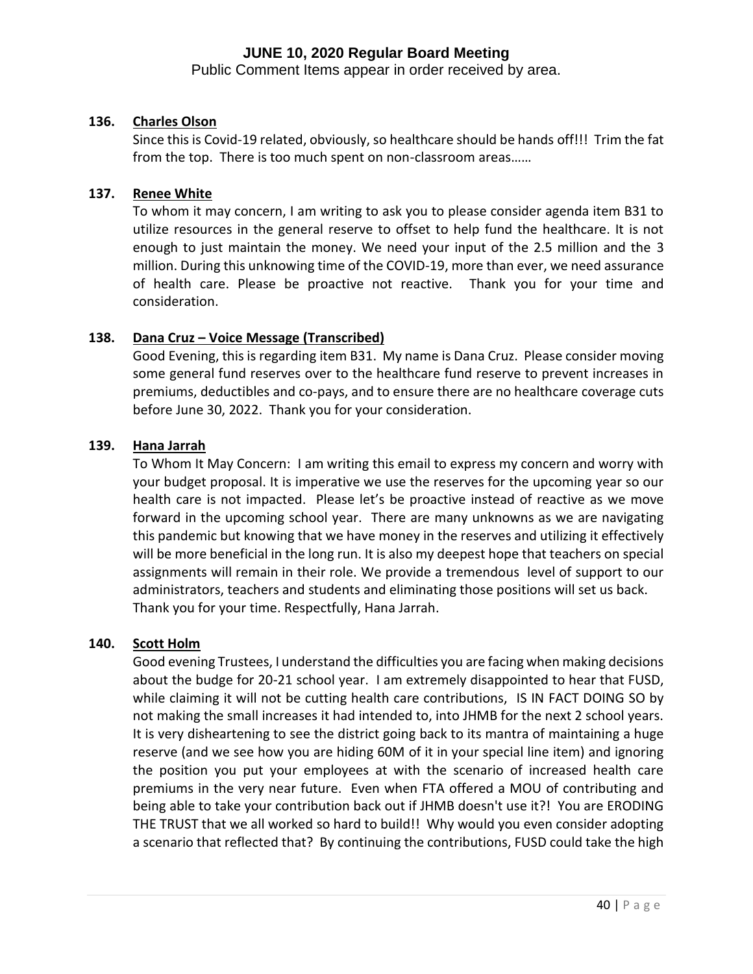Public Comment Items appear in order received by area.

## **136. Charles Olson**

Since this is Covid-19 related, obviously, so healthcare should be hands off!!! Trim the fat from the top. There is too much spent on non-classroom areas……

#### **137. Renee White**

To whom it may concern, I am writing to ask you to please consider agenda item B31 to utilize resources in the general reserve to offset to help fund the healthcare. It is not enough to just maintain the money. We need your input of the 2.5 million and the 3 million. During this unknowing time of the COVID-19, more than ever, we need assurance of health care. Please be proactive not reactive. Thank you for your time and consideration.

#### **138. Dana Cruz – Voice Message (Transcribed)**

Good Evening, this is regarding item B31. My name is Dana Cruz. Please consider moving some general fund reserves over to the healthcare fund reserve to prevent increases in premiums, deductibles and co-pays, and to ensure there are no healthcare coverage cuts before June 30, 2022. Thank you for your consideration.

#### **139. Hana Jarrah**

To Whom It May Concern: I am writing this email to express my concern and worry with your budget proposal. It is imperative we use the reserves for the upcoming year so our health care is not impacted. Please let's be proactive instead of reactive as we move forward in the upcoming school year. There are many unknowns as we are navigating this pandemic but knowing that we have money in the reserves and utilizing it effectively will be more beneficial in the long run. It is also my deepest hope that teachers on special assignments will remain in their role. We provide a tremendous level of support to our administrators, teachers and students and eliminating those positions will set us back. Thank you for your time. Respectfully, Hana Jarrah.

#### **140. Scott Holm**

Good evening Trustees, I understand the difficulties you are facing when making decisions about the budge for 20-21 school year. I am extremely disappointed to hear that FUSD, while claiming it will not be cutting health care contributions, IS IN FACT DOING SO by not making the small increases it had intended to, into JHMB for the next 2 school years. It is very disheartening to see the district going back to its mantra of maintaining a huge reserve (and we see how you are hiding 60M of it in your special line item) and ignoring the position you put your employees at with the scenario of increased health care premiums in the very near future. Even when FTA offered a MOU of contributing and being able to take your contribution back out if JHMB doesn't use it?! You are ERODING THE TRUST that we all worked so hard to build!! Why would you even consider adopting a scenario that reflected that? By continuing the contributions, FUSD could take the high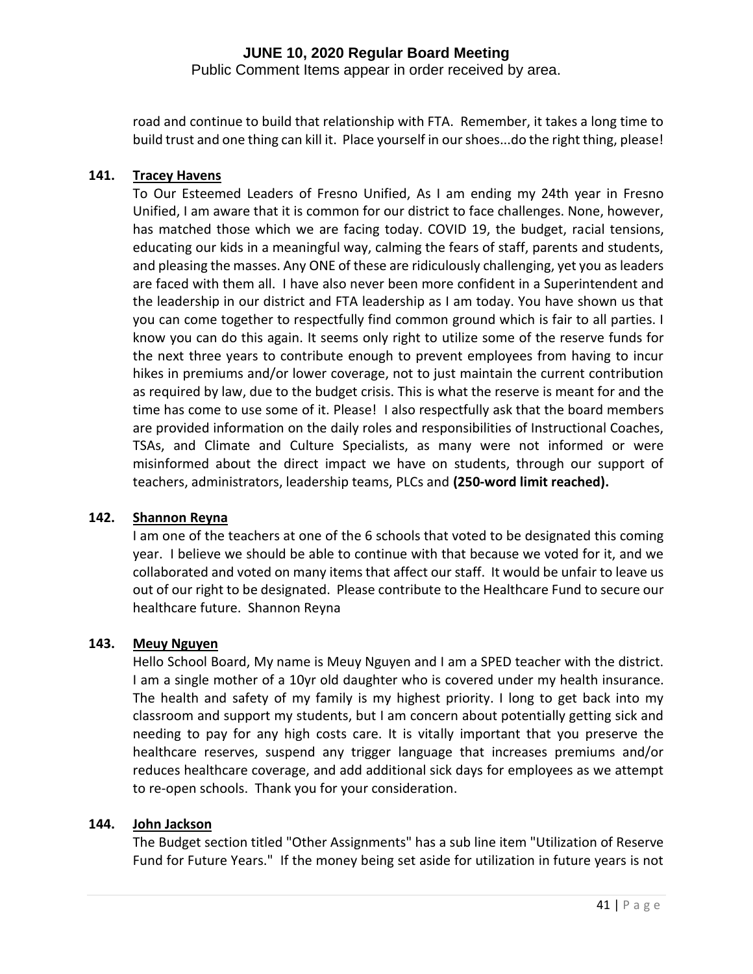Public Comment Items appear in order received by area.

road and continue to build that relationship with FTA. Remember, it takes a long time to build trust and one thing can kill it. Place yourself in our shoes...do the right thing, please!

#### **141. Tracey Havens**

To Our Esteemed Leaders of Fresno Unified, As I am ending my 24th year in Fresno Unified, I am aware that it is common for our district to face challenges. None, however, has matched those which we are facing today. COVID 19, the budget, racial tensions, educating our kids in a meaningful way, calming the fears of staff, parents and students, and pleasing the masses. Any ONE of these are ridiculously challenging, yet you as leaders are faced with them all. I have also never been more confident in a Superintendent and the leadership in our district and FTA leadership as I am today. You have shown us that you can come together to respectfully find common ground which is fair to all parties. I know you can do this again. It seems only right to utilize some of the reserve funds for the next three years to contribute enough to prevent employees from having to incur hikes in premiums and/or lower coverage, not to just maintain the current contribution as required by law, due to the budget crisis. This is what the reserve is meant for and the time has come to use some of it. Please! I also respectfully ask that the board members are provided information on the daily roles and responsibilities of Instructional Coaches, TSAs, and Climate and Culture Specialists, as many were not informed or were misinformed about the direct impact we have on students, through our support of teachers, administrators, leadership teams, PLCs and **(250-word limit reached).**

#### **142. Shannon Reyna**

I am one of the teachers at one of the 6 schools that voted to be designated this coming year. I believe we should be able to continue with that because we voted for it, and we collaborated and voted on many items that affect our staff. It would be unfair to leave us out of our right to be designated. Please contribute to the Healthcare Fund to secure our healthcare future. Shannon Reyna

#### **143. Meuy Nguyen**

Hello School Board, My name is Meuy Nguyen and I am a SPED teacher with the district. I am a single mother of a 10yr old daughter who is covered under my health insurance. The health and safety of my family is my highest priority. I long to get back into my classroom and support my students, but I am concern about potentially getting sick and needing to pay for any high costs care. It is vitally important that you preserve the healthcare reserves, suspend any trigger language that increases premiums and/or reduces healthcare coverage, and add additional sick days for employees as we attempt to re-open schools. Thank you for your consideration.

#### **144. John Jackson**

The Budget section titled "Other Assignments" has a sub line item "Utilization of Reserve Fund for Future Years." If the money being set aside for utilization in future years is not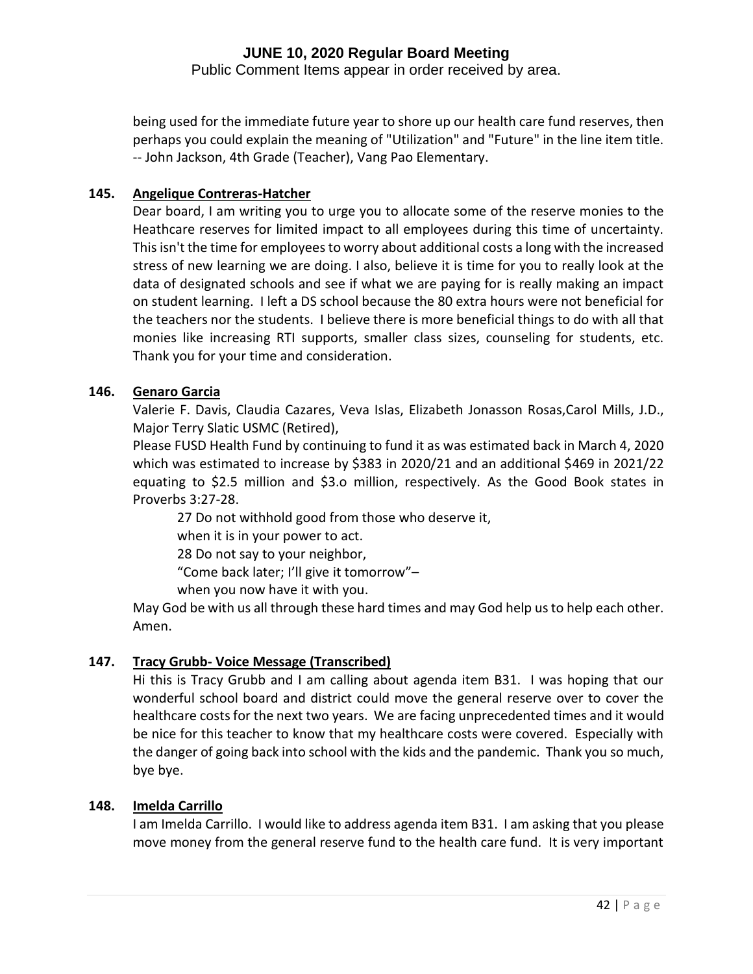Public Comment Items appear in order received by area.

being used for the immediate future year to shore up our health care fund reserves, then perhaps you could explain the meaning of "Utilization" and "Future" in the line item title. -- John Jackson, 4th Grade (Teacher), Vang Pao Elementary.

#### **145. Angelique Contreras-Hatcher**

Dear board, I am writing you to urge you to allocate some of the reserve monies to the Heathcare reserves for limited impact to all employees during this time of uncertainty. This isn't the time for employees to worry about additional costs a long with the increased stress of new learning we are doing. I also, believe it is time for you to really look at the data of designated schools and see if what we are paying for is really making an impact on student learning. I left a DS school because the 80 extra hours were not beneficial for the teachers nor the students. I believe there is more beneficial things to do with all that monies like increasing RTI supports, smaller class sizes, counseling for students, etc. Thank you for your time and consideration.

## **146. Genaro Garcia**

Valerie F. Davis, Claudia Cazares, Veva Islas, Elizabeth Jonasson Rosas,Carol Mills, J.D., Major Terry Slatic USMC (Retired),

Please FUSD Health Fund by continuing to fund it as was estimated back in March 4, 2020 which was estimated to increase by \$383 in 2020/21 and an additional \$469 in 2021/22 equating to \$2.5 million and \$3.o million, respectively. As the Good Book states in Proverbs 3:27-28.

27 Do not withhold good from those who deserve it,

when it is in your power to act.

28 Do not say to your neighbor,

"Come back later; I'll give it tomorrow"–

when you now have it with you.

May God be with us all through these hard times and may God help us to help each other. Amen.

## **147. Tracy Grubb- Voice Message (Transcribed)**

Hi this is Tracy Grubb and I am calling about agenda item B31. I was hoping that our wonderful school board and district could move the general reserve over to cover the healthcare costs for the next two years. We are facing unprecedented times and it would be nice for this teacher to know that my healthcare costs were covered. Especially with the danger of going back into school with the kids and the pandemic. Thank you so much, bye bye.

#### **148. Imelda Carrillo**

I am Imelda Carrillo. I would like to address agenda item B31. I am asking that you please move money from the general reserve fund to the health care fund. It is very important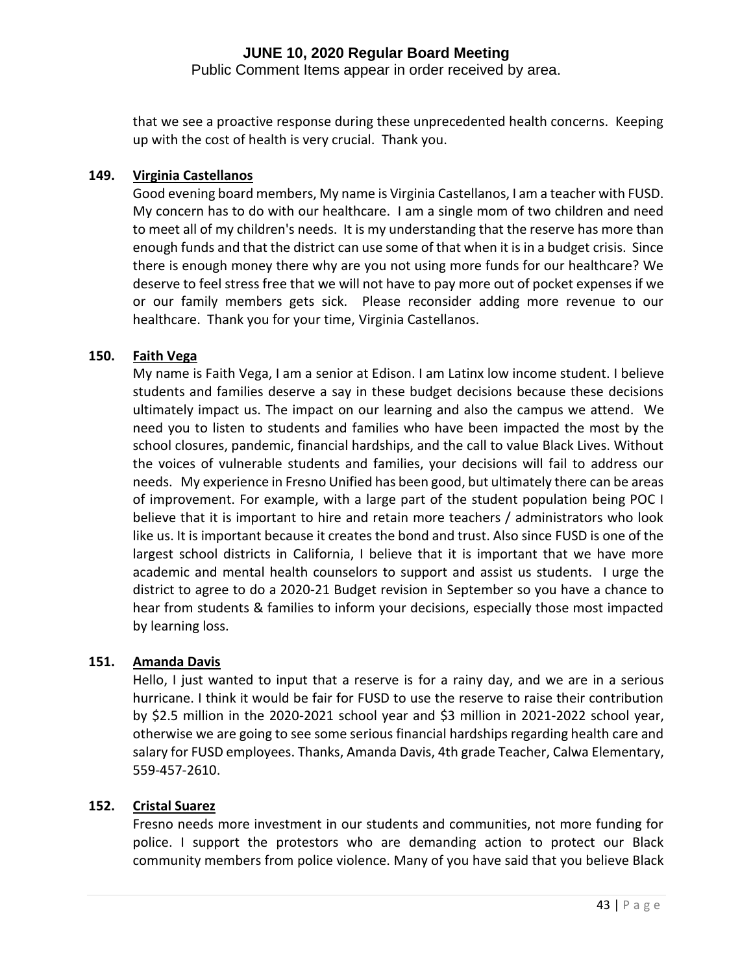Public Comment Items appear in order received by area.

that we see a proactive response during these unprecedented health concerns. Keeping up with the cost of health is very crucial. Thank you.

## **149. Virginia Castellanos**

Good evening board members, My name is Virginia Castellanos, I am a teacher with FUSD. My concern has to do with our healthcare. I am a single mom of two children and need to meet all of my children's needs. It is my understanding that the reserve has more than enough funds and that the district can use some of that when it is in a budget crisis. Since there is enough money there why are you not using more funds for our healthcare? We deserve to feel stress free that we will not have to pay more out of pocket expenses if we or our family members gets sick. Please reconsider adding more revenue to our healthcare. Thank you for your time, Virginia Castellanos.

#### **150. Faith Vega**

My name is Faith Vega, I am a senior at Edison. I am Latinx low income student. I believe students and families deserve a say in these budget decisions because these decisions ultimately impact us. The impact on our learning and also the campus we attend. We need you to listen to students and families who have been impacted the most by the school closures, pandemic, financial hardships, and the call to value Black Lives. Without the voices of vulnerable students and families, your decisions will fail to address our needs. My experience in Fresno Unified has been good, but ultimately there can be areas of improvement. For example, with a large part of the student population being POC I believe that it is important to hire and retain more teachers / administrators who look like us. It is important because it creates the bond and trust. Also since FUSD is one of the largest school districts in California, I believe that it is important that we have more academic and mental health counselors to support and assist us students. I urge the district to agree to do a 2020-21 Budget revision in September so you have a chance to hear from students & families to inform your decisions, especially those most impacted by learning loss.

#### **151. Amanda Davis**

Hello, I just wanted to input that a reserve is for a rainy day, and we are in a serious hurricane. I think it would be fair for FUSD to use the reserve to raise their contribution by \$2.5 million in the 2020-2021 school year and \$3 million in 2021-2022 school year, otherwise we are going to see some serious financial hardships regarding health care and salary for FUSD employees. Thanks, Amanda Davis, 4th grade Teacher, Calwa Elementary, 559-457-2610.

#### **152. Cristal Suarez**

Fresno needs more investment in our students and communities, not more funding for police. I support the protestors who are demanding action to protect our Black community members from police violence. Many of you have said that you believe Black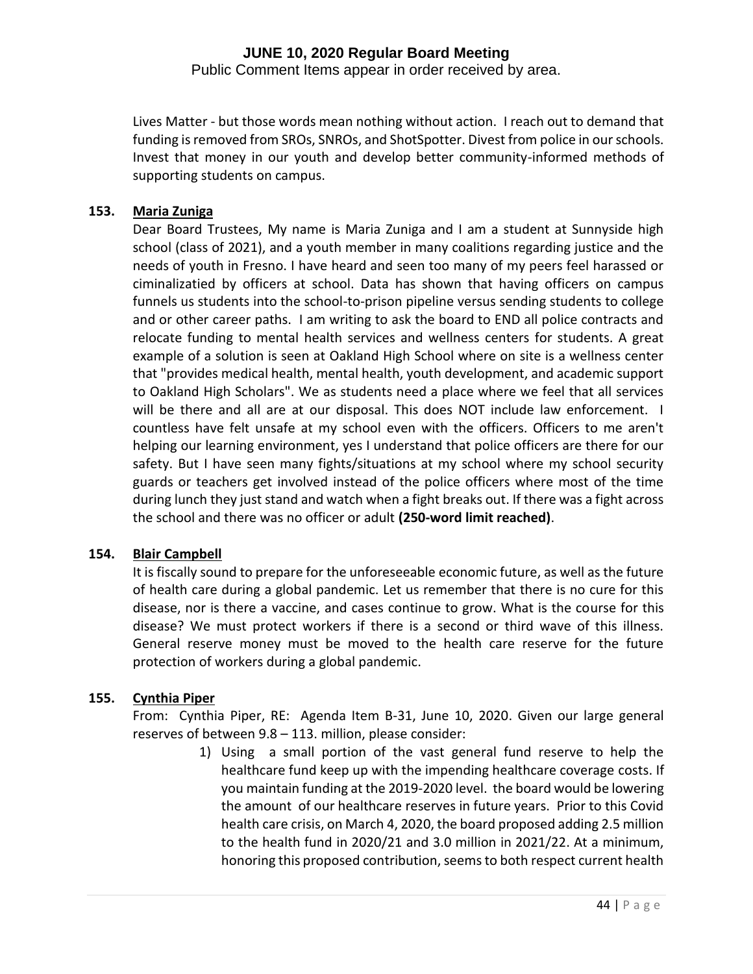Public Comment Items appear in order received by area.

Lives Matter - but those words mean nothing without action. I reach out to demand that funding is removed from SROs, SNROs, and ShotSpotter. Divest from police in our schools. Invest that money in our youth and develop better community-informed methods of supporting students on campus.

#### **153. Maria Zuniga**

Dear Board Trustees, My name is Maria Zuniga and I am a student at Sunnyside high school (class of 2021), and a youth member in many coalitions regarding justice and the needs of youth in Fresno. I have heard and seen too many of my peers feel harassed or ciminalizatied by officers at school. Data has shown that having officers on campus funnels us students into the school-to-prison pipeline versus sending students to college and or other career paths. I am writing to ask the board to END all police contracts and relocate funding to mental health services and wellness centers for students. A great example of a solution is seen at Oakland High School where on site is a wellness center that "provides medical health, mental health, youth development, and academic support to Oakland High Scholars". We as students need a place where we feel that all services will be there and all are at our disposal. This does NOT include law enforcement. I countless have felt unsafe at my school even with the officers. Officers to me aren't helping our learning environment, yes I understand that police officers are there for our safety. But I have seen many fights/situations at my school where my school security guards or teachers get involved instead of the police officers where most of the time during lunch they just stand and watch when a fight breaks out. If there was a fight across the school and there was no officer or adult **(250-word limit reached)**.

#### **154. Blair Campbell**

It is fiscally sound to prepare for the unforeseeable economic future, as well as the future of health care during a global pandemic. Let us remember that there is no cure for this disease, nor is there a vaccine, and cases continue to grow. What is the course for this disease? We must protect workers if there is a second or third wave of this illness. General reserve money must be moved to the health care reserve for the future protection of workers during a global pandemic.

#### **155. Cynthia Piper**

From: Cynthia Piper, RE: Agenda Item B-31, June 10, 2020. Given our large general reserves of between 9.8 – 113. million, please consider:

> 1) Using a small portion of the vast general fund reserve to help the healthcare fund keep up with the impending healthcare coverage costs. If you maintain funding at the 2019-2020 level. the board would be lowering the amount of our healthcare reserves in future years. Prior to this Covid health care crisis, on March 4, 2020, the board proposed adding 2.5 million to the health fund in 2020/21 and 3.0 million in 2021/22. At a minimum, honoring this proposed contribution, seems to both respect current health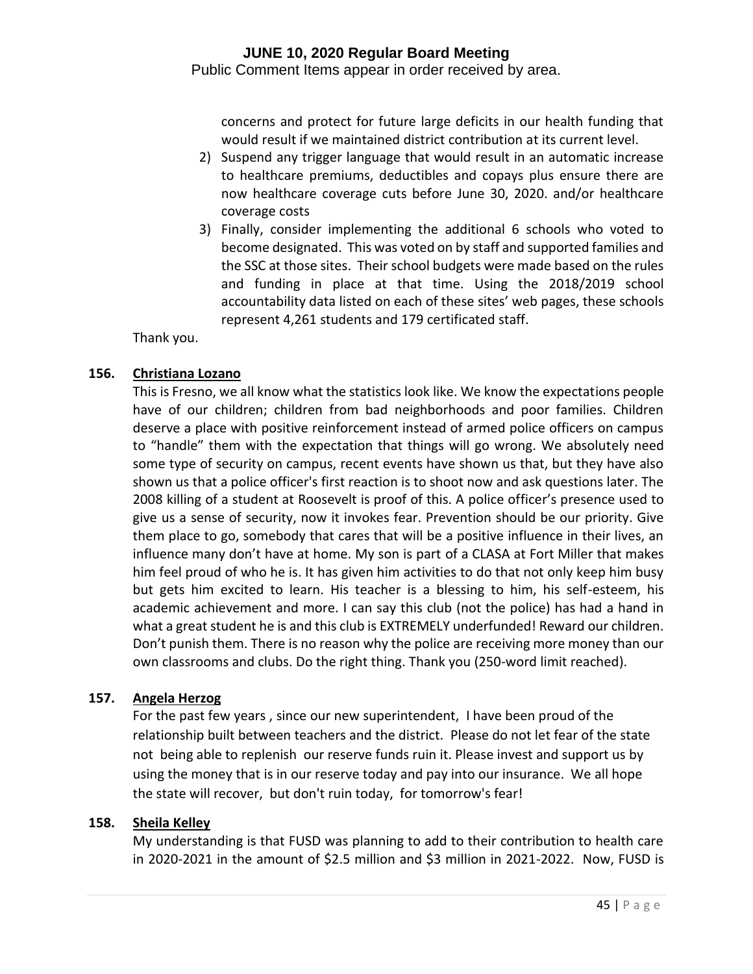Public Comment Items appear in order received by area.

concerns and protect for future large deficits in our health funding that would result if we maintained district contribution at its current level.

- 2) Suspend any trigger language that would result in an automatic increase to healthcare premiums, deductibles and copays plus ensure there are now healthcare coverage cuts before June 30, 2020. and/or healthcare coverage costs
- 3) Finally, consider implementing the additional 6 schools who voted to become designated. This was voted on by staff and supported families and the SSC at those sites. Their school budgets were made based on the rules and funding in place at that time. Using the 2018/2019 school accountability data listed on each of these sites' web pages, these schools represent 4,261 students and 179 certificated staff.

Thank you.

#### **156. Christiana Lozano**

This is Fresno, we all know what the statistics look like. We know the expectations people have of our children; children from bad neighborhoods and poor families. Children deserve a place with positive reinforcement instead of armed police officers on campus to "handle" them with the expectation that things will go wrong. We absolutely need some type of security on campus, recent events have shown us that, but they have also shown us that a police officer's first reaction is to shoot now and ask questions later. The 2008 killing of a student at Roosevelt is proof of this. A police officer's presence used to give us a sense of security, now it invokes fear. Prevention should be our priority. Give them place to go, somebody that cares that will be a positive influence in their lives, an influence many don't have at home. My son is part of a CLASA at Fort Miller that makes him feel proud of who he is. It has given him activities to do that not only keep him busy but gets him excited to learn. His teacher is a blessing to him, his self-esteem, his academic achievement and more. I can say this club (not the police) has had a hand in what a great student he is and this club is EXTREMELY underfunded! Reward our children. Don't punish them. There is no reason why the police are receiving more money than our own classrooms and clubs. Do the right thing. Thank you (250-word limit reached).

#### **157. Angela Herzog**

For the past few years , since our new superintendent, I have been proud of the relationship built between teachers and the district. Please do not let fear of the state not being able to replenish our reserve funds ruin it. Please invest and support us by using the money that is in our reserve today and pay into our insurance. We all hope the state will recover, but don't ruin today, for tomorrow's fear!

#### **158. Sheila Kelley**

My understanding is that FUSD was planning to add to their contribution to health care in 2020-2021 in the amount of \$2.5 million and \$3 million in 2021-2022. Now, FUSD is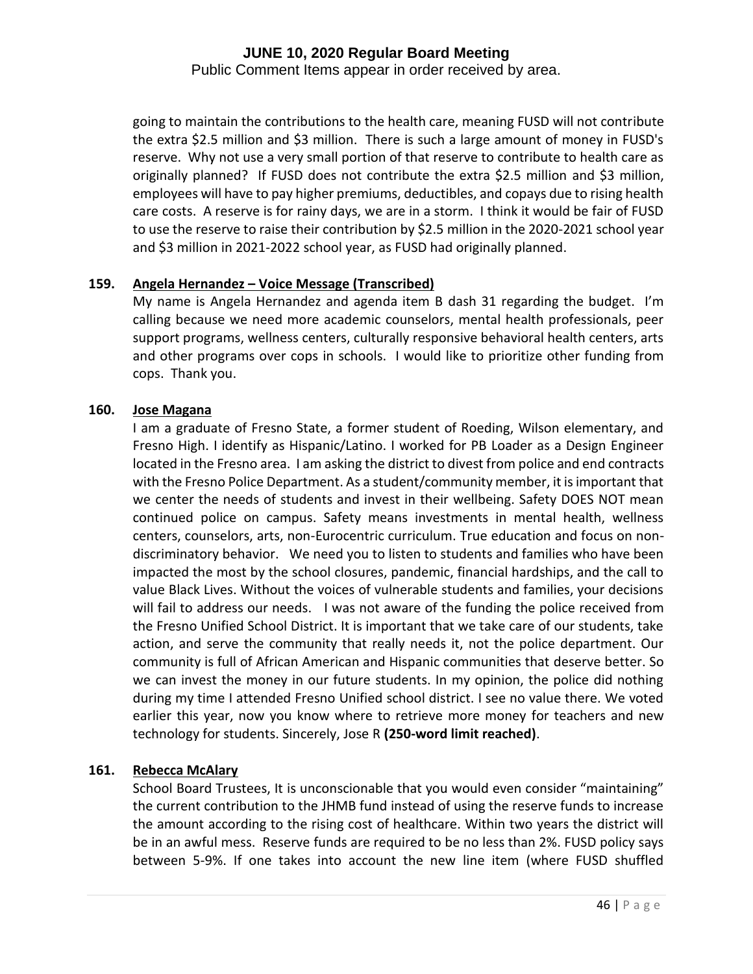Public Comment Items appear in order received by area.

going to maintain the contributions to the health care, meaning FUSD will not contribute the extra \$2.5 million and \$3 million. There is such a large amount of money in FUSD's reserve. Why not use a very small portion of that reserve to contribute to health care as originally planned? If FUSD does not contribute the extra \$2.5 million and \$3 million, employees will have to pay higher premiums, deductibles, and copays due to rising health care costs. A reserve is for rainy days, we are in a storm. I think it would be fair of FUSD to use the reserve to raise their contribution by \$2.5 million in the 2020-2021 school year and \$3 million in 2021-2022 school year, as FUSD had originally planned.

#### **159. Angela Hernandez – Voice Message (Transcribed)**

My name is Angela Hernandez and agenda item B dash 31 regarding the budget. I'm calling because we need more academic counselors, mental health professionals, peer support programs, wellness centers, culturally responsive behavioral health centers, arts and other programs over cops in schools. I would like to prioritize other funding from cops. Thank you.

#### **160. Jose Magana**

I am a graduate of Fresno State, a former student of Roeding, Wilson elementary, and Fresno High. I identify as Hispanic/Latino. I worked for PB Loader as a Design Engineer located in the Fresno area. I am asking the district to divest from police and end contracts with the Fresno Police Department. As a student/community member, it is important that we center the needs of students and invest in their wellbeing. Safety DOES NOT mean continued police on campus. Safety means investments in mental health, wellness centers, counselors, arts, non-Eurocentric curriculum. True education and focus on nondiscriminatory behavior. We need you to listen to students and families who have been impacted the most by the school closures, pandemic, financial hardships, and the call to value Black Lives. Without the voices of vulnerable students and families, your decisions will fail to address our needs. I was not aware of the funding the police received from the Fresno Unified School District. It is important that we take care of our students, take action, and serve the community that really needs it, not the police department. Our community is full of African American and Hispanic communities that deserve better. So we can invest the money in our future students. In my opinion, the police did nothing during my time I attended Fresno Unified school district. I see no value there. We voted earlier this year, now you know where to retrieve more money for teachers and new technology for students. Sincerely, Jose R **(250-word limit reached)**.

#### **161. Rebecca McAlary**

School Board Trustees, It is unconscionable that you would even consider "maintaining" the current contribution to the JHMB fund instead of using the reserve funds to increase the amount according to the rising cost of healthcare. Within two years the district will be in an awful mess. Reserve funds are required to be no less than 2%. FUSD policy says between 5-9%. If one takes into account the new line item (where FUSD shuffled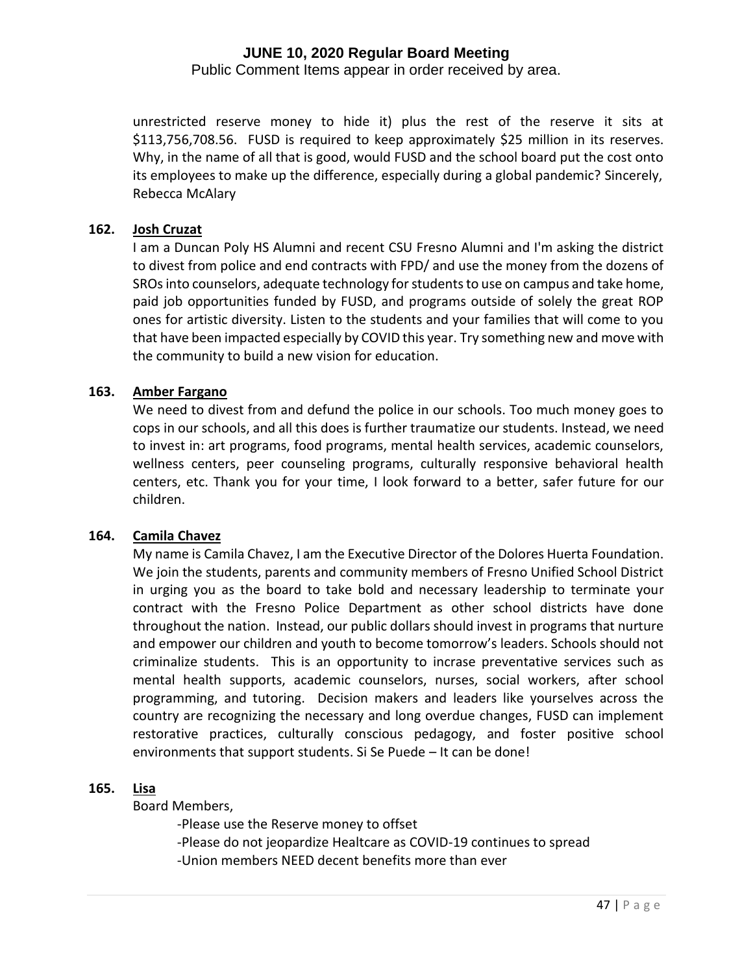Public Comment Items appear in order received by area.

unrestricted reserve money to hide it) plus the rest of the reserve it sits at \$113,756,708.56. FUSD is required to keep approximately \$25 million in its reserves. Why, in the name of all that is good, would FUSD and the school board put the cost onto its employees to make up the difference, especially during a global pandemic? Sincerely, Rebecca McAlary

#### **162. Josh Cruzat**

I am a Duncan Poly HS Alumni and recent CSU Fresno Alumni and I'm asking the district to divest from police and end contracts with FPD/ and use the money from the dozens of SROs into counselors, adequate technology for students to use on campus and take home, paid job opportunities funded by FUSD, and programs outside of solely the great ROP ones for artistic diversity. Listen to the students and your families that will come to you that have been impacted especially by COVID this year. Try something new and move with the community to build a new vision for education.

#### **163. Amber Fargano**

We need to divest from and defund the police in our schools. Too much money goes to cops in our schools, and all this does is further traumatize our students. Instead, we need to invest in: art programs, food programs, mental health services, academic counselors, wellness centers, peer counseling programs, culturally responsive behavioral health centers, etc. Thank you for your time, I look forward to a better, safer future for our children.

#### **164. Camila Chavez**

My name is Camila Chavez, I am the Executive Director of the Dolores Huerta Foundation. We join the students, parents and community members of Fresno Unified School District in urging you as the board to take bold and necessary leadership to terminate your contract with the Fresno Police Department as other school districts have done throughout the nation. Instead, our public dollars should invest in programs that nurture and empower our children and youth to become tomorrow's leaders. Schools should not criminalize students. This is an opportunity to incrase preventative services such as mental health supports, academic counselors, nurses, social workers, after school programming, and tutoring. Decision makers and leaders like yourselves across the country are recognizing the necessary and long overdue changes, FUSD can implement restorative practices, culturally conscious pedagogy, and foster positive school environments that support students. Si Se Puede – It can be done!

#### **165. Lisa**

Board Members,

-Please use the Reserve money to offset -Please do not jeopardize Healtcare as COVID-19 continues to spread -Union members NEED decent benefits more than ever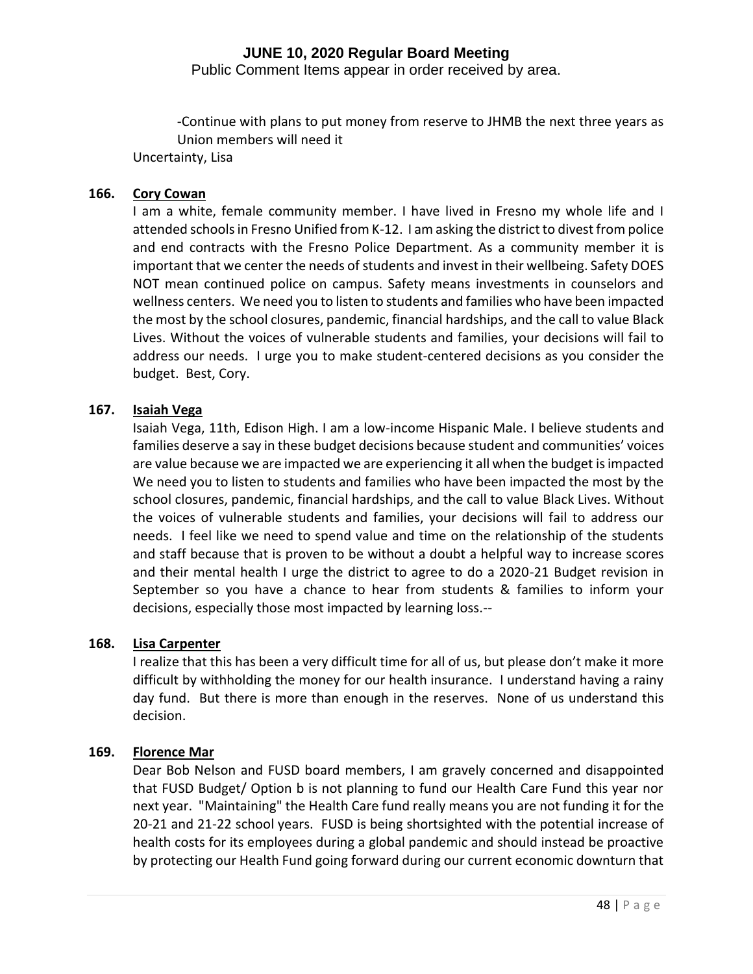Public Comment Items appear in order received by area.

-Continue with plans to put money from reserve to JHMB the next three years as Union members will need it Uncertainty, Lisa

# **166. Cory Cowan**

I am a white, female community member. I have lived in Fresno my whole life and I attended schools in Fresno Unified from K-12. I am asking the district to divest from police and end contracts with the Fresno Police Department. As a community member it is important that we center the needs of students and invest in their wellbeing. Safety DOES NOT mean continued police on campus. Safety means investments in counselors and wellness centers. We need you to listen to students and families who have been impacted the most by the school closures, pandemic, financial hardships, and the call to value Black Lives. Without the voices of vulnerable students and families, your decisions will fail to address our needs. I urge you to make student-centered decisions as you consider the budget. Best, Cory.

#### **167. Isaiah Vega**

Isaiah Vega, 11th, Edison High. I am a low-income Hispanic Male. I believe students and families deserve a say in these budget decisions because student and communities' voices are value because we are impacted we are experiencing it all when the budget is impacted We need you to listen to students and families who have been impacted the most by the school closures, pandemic, financial hardships, and the call to value Black Lives. Without the voices of vulnerable students and families, your decisions will fail to address our needs. I feel like we need to spend value and time on the relationship of the students and staff because that is proven to be without a doubt a helpful way to increase scores and their mental health I urge the district to agree to do a 2020-21 Budget revision in September so you have a chance to hear from students & families to inform your decisions, especially those most impacted by learning loss.--

#### **168. Lisa Carpenter**

I realize that this has been a very difficult time for all of us, but please don't make it more difficult by withholding the money for our health insurance. I understand having a rainy day fund. But there is more than enough in the reserves. None of us understand this decision.

## **169. Florence Mar**

Dear Bob Nelson and FUSD board members, I am gravely concerned and disappointed that FUSD Budget/ Option b is not planning to fund our Health Care Fund this year nor next year. "Maintaining" the Health Care fund really means you are not funding it for the 20-21 and 21-22 school years. FUSD is being shortsighted with the potential increase of health costs for its employees during a global pandemic and should instead be proactive by protecting our Health Fund going forward during our current economic downturn that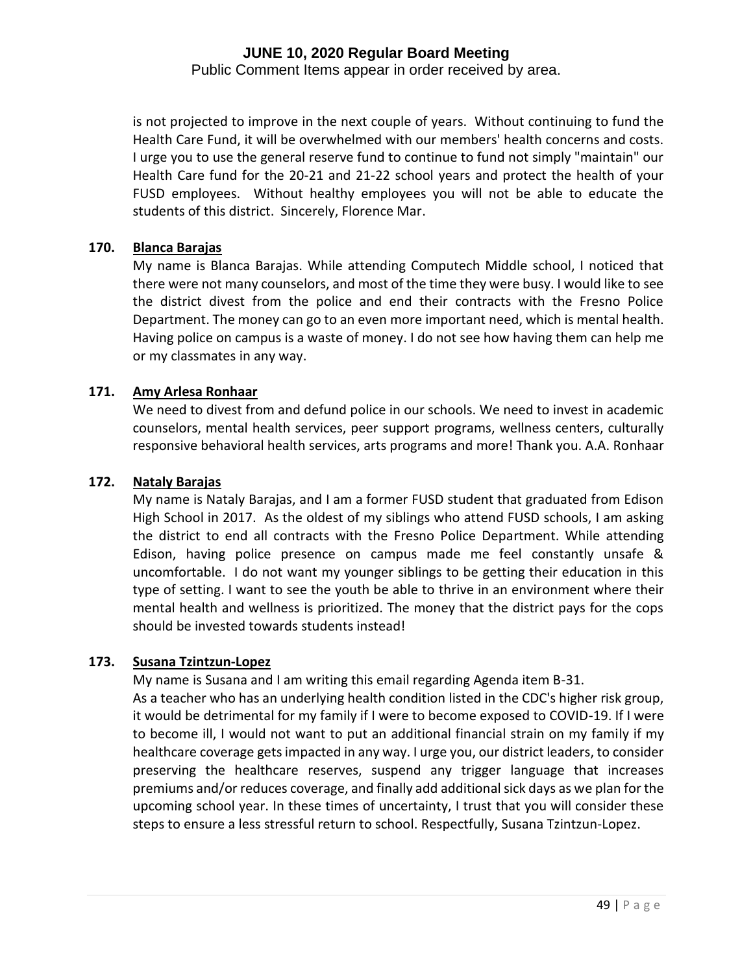Public Comment Items appear in order received by area.

is not projected to improve in the next couple of years. Without continuing to fund the Health Care Fund, it will be overwhelmed with our members' health concerns and costs. I urge you to use the general reserve fund to continue to fund not simply "maintain" our Health Care fund for the 20-21 and 21-22 school years and protect the health of your FUSD employees. Without healthy employees you will not be able to educate the students of this district. Sincerely, Florence Mar.

#### **170. Blanca Barajas**

My name is Blanca Barajas. While attending Computech Middle school, I noticed that there were not many counselors, and most of the time they were busy. I would like to see the district divest from the police and end their contracts with the Fresno Police Department. The money can go to an even more important need, which is mental health. Having police on campus is a waste of money. I do not see how having them can help me or my classmates in any way.

#### **171. Amy Arlesa Ronhaar**

We need to divest from and defund police in our schools. We need to invest in academic counselors, mental health services, peer support programs, wellness centers, culturally responsive behavioral health services, arts programs and more! Thank you. A.A. Ronhaar

#### **172. Nataly Barajas**

My name is Nataly Barajas, and I am a former FUSD student that graduated from Edison High School in 2017. As the oldest of my siblings who attend FUSD schools, I am asking the district to end all contracts with the Fresno Police Department. While attending Edison, having police presence on campus made me feel constantly unsafe & uncomfortable. I do not want my younger siblings to be getting their education in this type of setting. I want to see the youth be able to thrive in an environment where their mental health and wellness is prioritized. The money that the district pays for the cops should be invested towards students instead!

#### **173. Susana Tzintzun-Lopez**

My name is Susana and I am writing this email regarding Agenda item B-31.

As a teacher who has an underlying health condition listed in the CDC's higher risk group, it would be detrimental for my family if I were to become exposed to COVID-19. If I were to become ill, I would not want to put an additional financial strain on my family if my healthcare coverage gets impacted in any way. I urge you, our district leaders, to consider preserving the healthcare reserves, suspend any trigger language that increases premiums and/or reduces coverage, and finally add additional sick days as we plan for the upcoming school year. In these times of uncertainty, I trust that you will consider these steps to ensure a less stressful return to school. Respectfully, Susana Tzintzun-Lopez.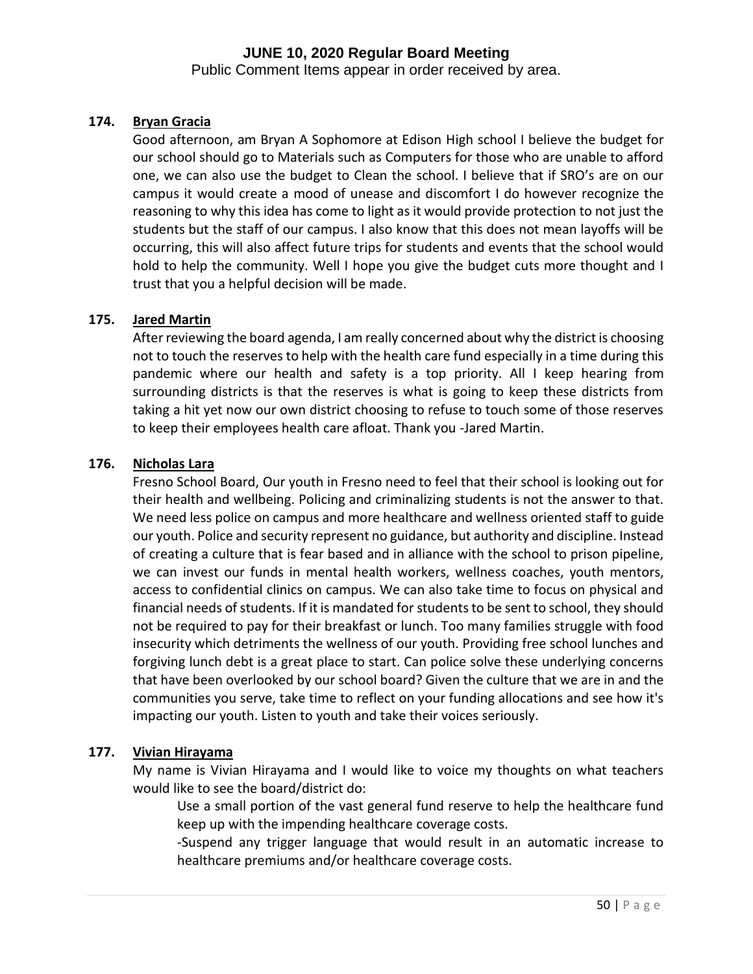Public Comment Items appear in order received by area.

## **174. Bryan Gracia**

Good afternoon, am Bryan A Sophomore at Edison High school I believe the budget for our school should go to Materials such as Computers for those who are unable to afford one, we can also use the budget to Clean the school. I believe that if SRO's are on our campus it would create a mood of unease and discomfort I do however recognize the reasoning to why this idea has come to light as it would provide protection to not just the students but the staff of our campus. I also know that this does not mean layoffs will be occurring, this will also affect future trips for students and events that the school would hold to help the community. Well I hope you give the budget cuts more thought and I trust that you a helpful decision will be made.

#### **175. Jared Martin**

After reviewing the board agenda, I am really concerned about why the district is choosing not to touch the reserves to help with the health care fund especially in a time during this pandemic where our health and safety is a top priority. All I keep hearing from surrounding districts is that the reserves is what is going to keep these districts from taking a hit yet now our own district choosing to refuse to touch some of those reserves to keep their employees health care afloat. Thank you -Jared Martin.

#### **176. Nicholas Lara**

Fresno School Board, Our youth in Fresno need to feel that their school is looking out for their health and wellbeing. Policing and criminalizing students is not the answer to that. We need less police on campus and more healthcare and wellness oriented staff to guide our youth. Police and security represent no guidance, but authority and discipline. Instead of creating a culture that is fear based and in alliance with the school to prison pipeline, we can invest our funds in mental health workers, wellness coaches, youth mentors, access to confidential clinics on campus. We can also take time to focus on physical and financial needs of students. If it is mandated for students to be sent to school, they should not be required to pay for their breakfast or lunch. Too many families struggle with food insecurity which detriments the wellness of our youth. Providing free school lunches and forgiving lunch debt is a great place to start. Can police solve these underlying concerns that have been overlooked by our school board? Given the culture that we are in and the communities you serve, take time to reflect on your funding allocations and see how it's impacting our youth. Listen to youth and take their voices seriously.

#### **177. Vivian Hirayama**

My name is Vivian Hirayama and I would like to voice my thoughts on what teachers would like to see the board/district do:

Use a small portion of the vast general fund reserve to help the healthcare fund keep up with the impending healthcare coverage costs.

-Suspend any trigger language that would result in an automatic increase to healthcare premiums and/or healthcare coverage costs.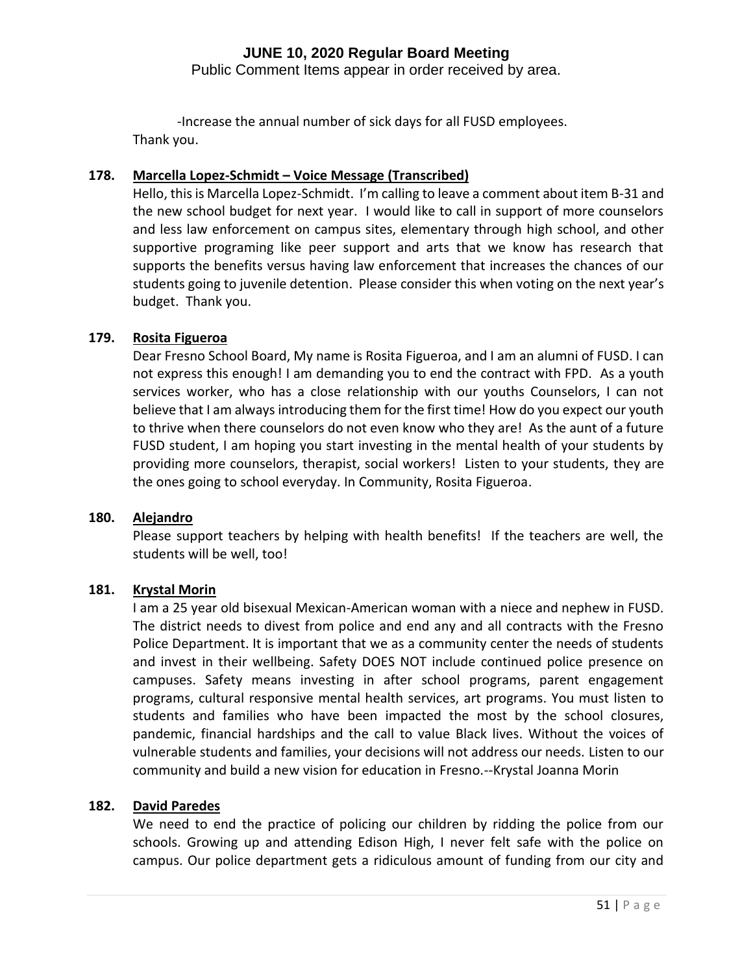Public Comment Items appear in order received by area.

-Increase the annual number of sick days for all FUSD employees. Thank you.

## **178. Marcella Lopez-Schmidt – Voice Message (Transcribed)**

Hello, this is Marcella Lopez-Schmidt. I'm calling to leave a comment about item B-31 and the new school budget for next year. I would like to call in support of more counselors and less law enforcement on campus sites, elementary through high school, and other supportive programing like peer support and arts that we know has research that supports the benefits versus having law enforcement that increases the chances of our students going to juvenile detention. Please consider this when voting on the next year's budget. Thank you.

## **179. Rosita Figueroa**

Dear Fresno School Board, My name is Rosita Figueroa, and I am an alumni of FUSD. I can not express this enough! I am demanding you to end the contract with FPD. As a youth services worker, who has a close relationship with our youths Counselors, I can not believe that I am always introducing them for the first time! How do you expect our youth to thrive when there counselors do not even know who they are! As the aunt of a future FUSD student, I am hoping you start investing in the mental health of your students by providing more counselors, therapist, social workers! Listen to your students, they are the ones going to school everyday. In Community, Rosita Figueroa.

#### **180. Alejandro**

Please support teachers by helping with health benefits! If the teachers are well, the students will be well, too!

#### **181. Krystal Morin**

I am a 25 year old bisexual Mexican-American woman with a niece and nephew in FUSD. The district needs to divest from police and end any and all contracts with the Fresno Police Department. It is important that we as a community center the needs of students and invest in their wellbeing. Safety DOES NOT include continued police presence on campuses. Safety means investing in after school programs, parent engagement programs, cultural responsive mental health services, art programs. You must listen to students and families who have been impacted the most by the school closures, pandemic, financial hardships and the call to value Black lives. Without the voices of vulnerable students and families, your decisions will not address our needs. Listen to our community and build a new vision for education in Fresno.--Krystal Joanna Morin

#### **182. David Paredes**

We need to end the practice of policing our children by ridding the police from our schools. Growing up and attending Edison High, I never felt safe with the police on campus. Our police department gets a ridiculous amount of funding from our city and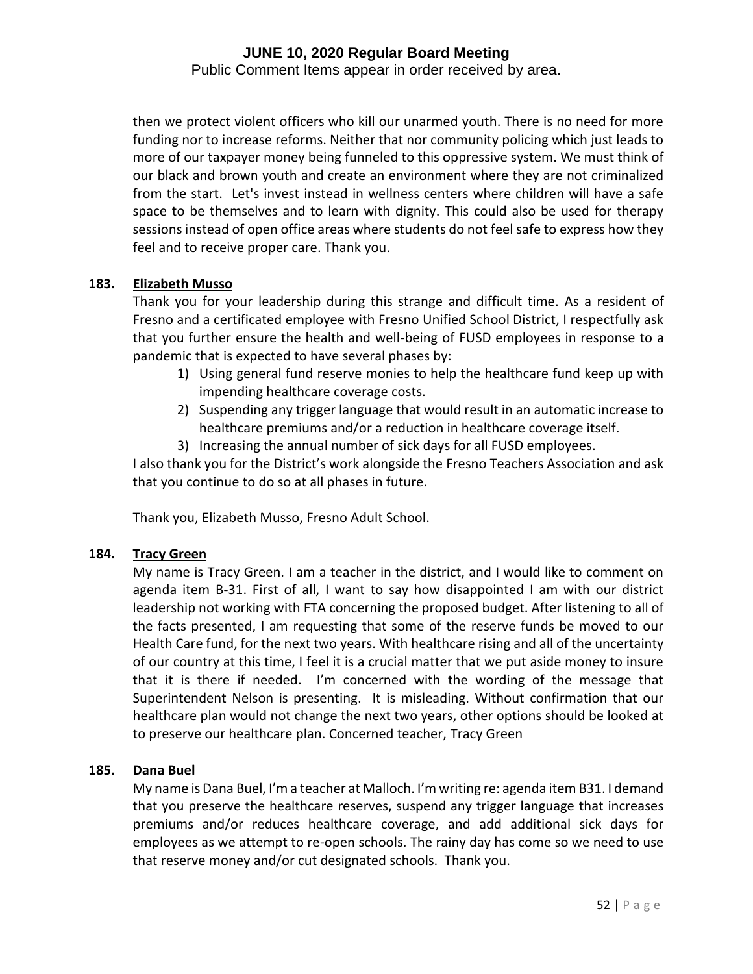Public Comment Items appear in order received by area.

then we protect violent officers who kill our unarmed youth. There is no need for more funding nor to increase reforms. Neither that nor community policing which just leads to more of our taxpayer money being funneled to this oppressive system. We must think of our black and brown youth and create an environment where they are not criminalized from the start. Let's invest instead in wellness centers where children will have a safe space to be themselves and to learn with dignity. This could also be used for therapy sessions instead of open office areas where students do not feel safe to express how they feel and to receive proper care. Thank you.

#### **183. Elizabeth Musso**

Thank you for your leadership during this strange and difficult time. As a resident of Fresno and a certificated employee with Fresno Unified School District, I respectfully ask that you further ensure the health and well-being of FUSD employees in response to a pandemic that is expected to have several phases by:

- 1) Using general fund reserve monies to help the healthcare fund keep up with impending healthcare coverage costs.
- 2) Suspending any trigger language that would result in an automatic increase to healthcare premiums and/or a reduction in healthcare coverage itself.
- 3) Increasing the annual number of sick days for all FUSD employees.

I also thank you for the District's work alongside the Fresno Teachers Association and ask that you continue to do so at all phases in future.

Thank you, Elizabeth Musso, Fresno Adult School.

#### **184. Tracy Green**

My name is Tracy Green. I am a teacher in the district, and I would like to comment on agenda item B-31. First of all, I want to say how disappointed I am with our district leadership not working with FTA concerning the proposed budget. After listening to all of the facts presented, I am requesting that some of the reserve funds be moved to our Health Care fund, for the next two years. With healthcare rising and all of the uncertainty of our country at this time, I feel it is a crucial matter that we put aside money to insure that it is there if needed. I'm concerned with the wording of the message that Superintendent Nelson is presenting. It is misleading. Without confirmation that our healthcare plan would not change the next two years, other options should be looked at to preserve our healthcare plan. Concerned teacher, Tracy Green

#### **185. Dana Buel**

My name is Dana Buel, I'm a teacher at Malloch. I'm writing re: agenda item B31. I demand that you preserve the healthcare reserves, suspend any trigger language that increases premiums and/or reduces healthcare coverage, and add additional sick days for employees as we attempt to re-open schools. The rainy day has come so we need to use that reserve money and/or cut designated schools. Thank you.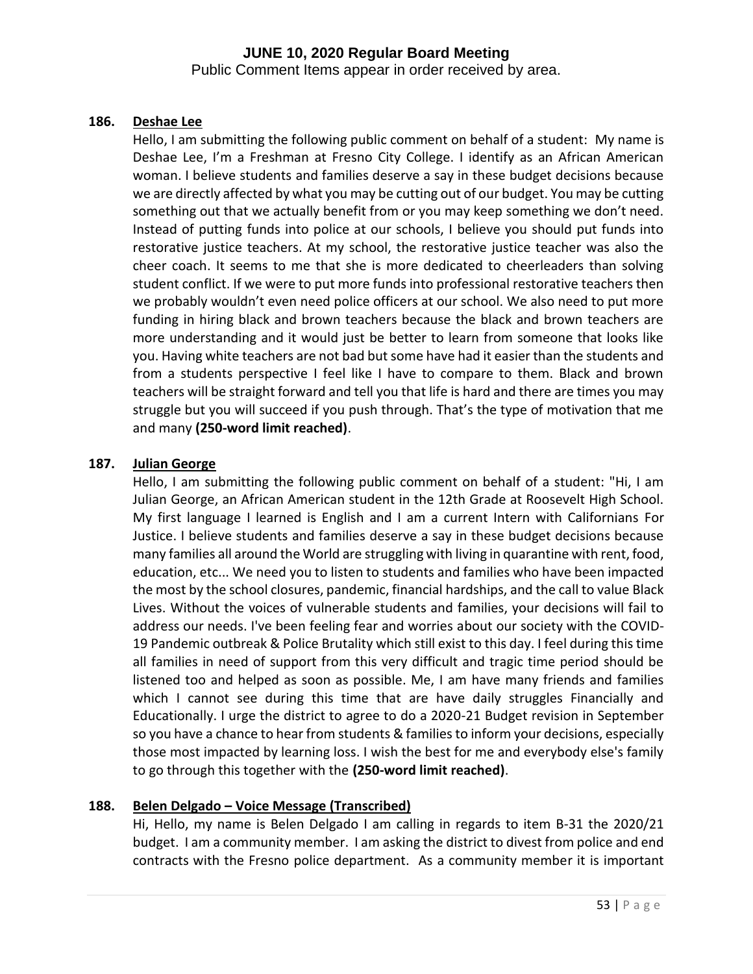Public Comment Items appear in order received by area.

#### **186. Deshae Lee**

Hello, I am submitting the following public comment on behalf of a student: My name is Deshae Lee, I'm a Freshman at Fresno City College. I identify as an African American woman. I believe students and families deserve a say in these budget decisions because we are directly affected by what you may be cutting out of our budget. You may be cutting something out that we actually benefit from or you may keep something we don't need. Instead of putting funds into police at our schools, I believe you should put funds into restorative justice teachers. At my school, the restorative justice teacher was also the cheer coach. It seems to me that she is more dedicated to cheerleaders than solving student conflict. If we were to put more funds into professional restorative teachers then we probably wouldn't even need police officers at our school. We also need to put more funding in hiring black and brown teachers because the black and brown teachers are more understanding and it would just be better to learn from someone that looks like you. Having white teachers are not bad but some have had it easier than the students and from a students perspective I feel like I have to compare to them. Black and brown teachers will be straight forward and tell you that life is hard and there are times you may struggle but you will succeed if you push through. That's the type of motivation that me and many **(250-word limit reached)**.

#### **187. Julian George**

Hello, I am submitting the following public comment on behalf of a student: "Hi, I am Julian George, an African American student in the 12th Grade at Roosevelt High School. My first language I learned is English and I am a current Intern with Californians For Justice. I believe students and families deserve a say in these budget decisions because many families all around the World are struggling with living in quarantine with rent, food, education, etc... We need you to listen to students and families who have been impacted the most by the school closures, pandemic, financial hardships, and the call to value Black Lives. Without the voices of vulnerable students and families, your decisions will fail to address our needs. I've been feeling fear and worries about our society with the COVID-19 Pandemic outbreak & Police Brutality which still exist to this day. I feel during this time all families in need of support from this very difficult and tragic time period should be listened too and helped as soon as possible. Me, I am have many friends and families which I cannot see during this time that are have daily struggles Financially and Educationally. I urge the district to agree to do a 2020-21 Budget revision in September so you have a chance to hear from students & families to inform your decisions, especially those most impacted by learning loss. I wish the best for me and everybody else's family to go through this together with the **(250-word limit reached)**.

#### **188. Belen Delgado – Voice Message (Transcribed)**

Hi, Hello, my name is Belen Delgado I am calling in regards to item B-31 the 2020/21 budget. I am a community member. I am asking the district to divest from police and end contracts with the Fresno police department. As a community member it is important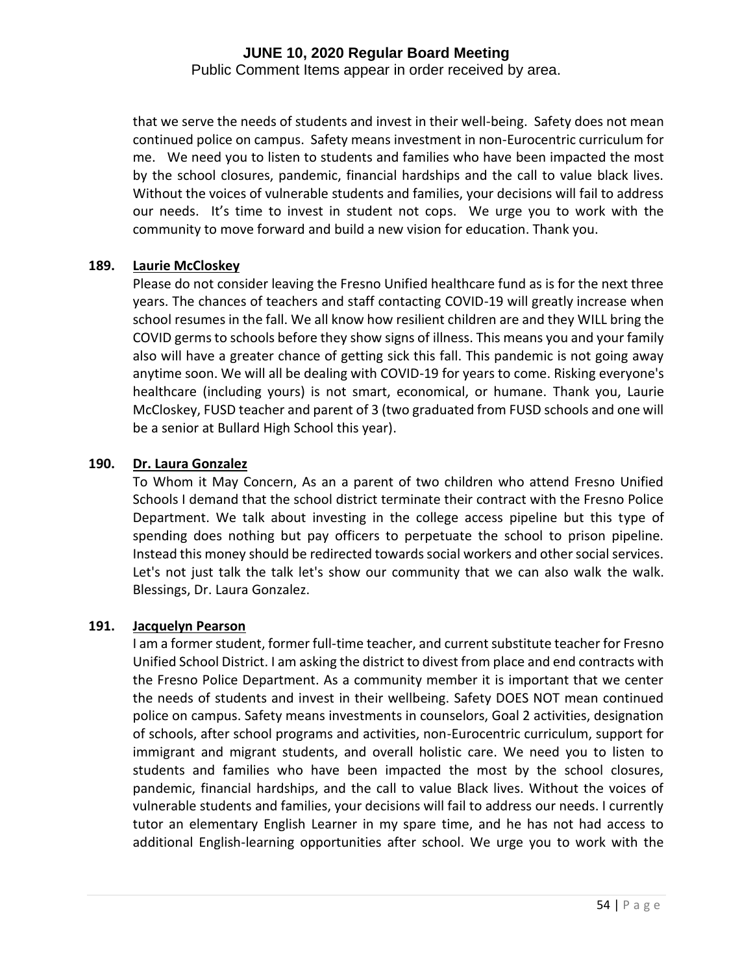Public Comment Items appear in order received by area.

that we serve the needs of students and invest in their well-being. Safety does not mean continued police on campus. Safety means investment in non-Eurocentric curriculum for me. We need you to listen to students and families who have been impacted the most by the school closures, pandemic, financial hardships and the call to value black lives. Without the voices of vulnerable students and families, your decisions will fail to address our needs. It's time to invest in student not cops. We urge you to work with the community to move forward and build a new vision for education. Thank you.

#### **189. Laurie McCloskey**

Please do not consider leaving the Fresno Unified healthcare fund as is for the next three years. The chances of teachers and staff contacting COVID-19 will greatly increase when school resumes in the fall. We all know how resilient children are and they WILL bring the COVID germs to schools before they show signs of illness. This means you and your family also will have a greater chance of getting sick this fall. This pandemic is not going away anytime soon. We will all be dealing with COVID-19 for years to come. Risking everyone's healthcare (including yours) is not smart, economical, or humane. Thank you, Laurie McCloskey, FUSD teacher and parent of 3 (two graduated from FUSD schools and one will be a senior at Bullard High School this year).

#### **190. Dr. Laura Gonzalez**

To Whom it May Concern, As an a parent of two children who attend Fresno Unified Schools I demand that the school district terminate their contract with the Fresno Police Department. We talk about investing in the college access pipeline but this type of spending does nothing but pay officers to perpetuate the school to prison pipeline. Instead this money should be redirected towards social workers and other social services. Let's not just talk the talk let's show our community that we can also walk the walk. Blessings, Dr. Laura Gonzalez.

#### **191. Jacquelyn Pearson**

I am a former student, former full-time teacher, and current substitute teacher for Fresno Unified School District. I am asking the district to divest from place and end contracts with the Fresno Police Department. As a community member it is important that we center the needs of students and invest in their wellbeing. Safety DOES NOT mean continued police on campus. Safety means investments in counselors, Goal 2 activities, designation of schools, after school programs and activities, non-Eurocentric curriculum, support for immigrant and migrant students, and overall holistic care. We need you to listen to students and families who have been impacted the most by the school closures, pandemic, financial hardships, and the call to value Black lives. Without the voices of vulnerable students and families, your decisions will fail to address our needs. I currently tutor an elementary English Learner in my spare time, and he has not had access to additional English-learning opportunities after school. We urge you to work with the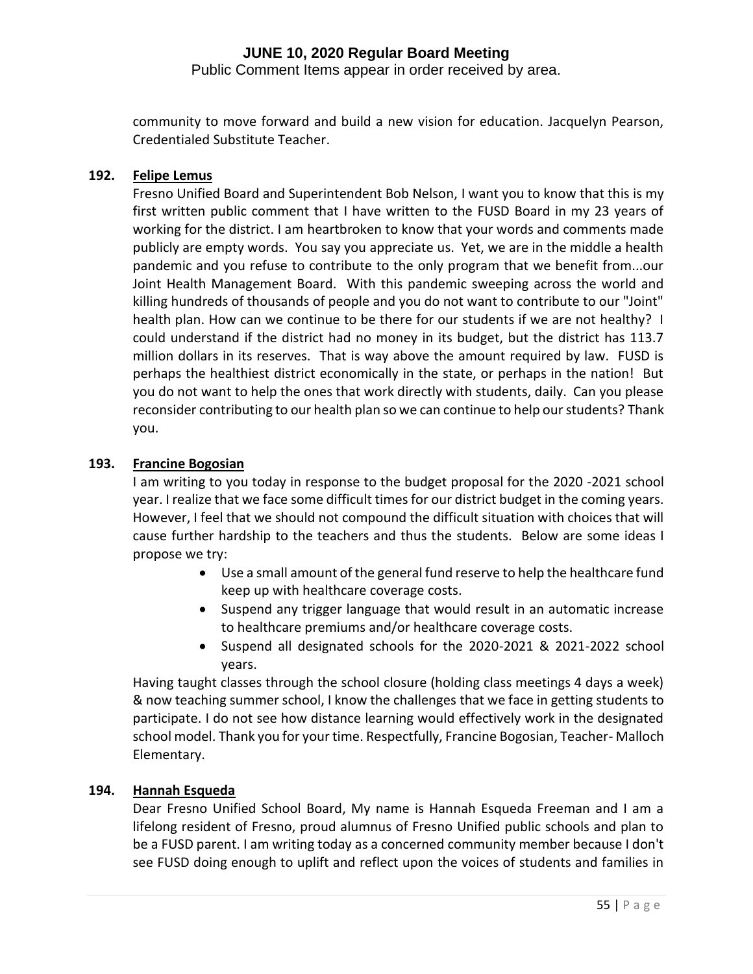Public Comment Items appear in order received by area.

community to move forward and build a new vision for education. Jacquelyn Pearson, Credentialed Substitute Teacher.

## **192. Felipe Lemus**

Fresno Unified Board and Superintendent Bob Nelson, I want you to know that this is my first written public comment that I have written to the FUSD Board in my 23 years of working for the district. I am heartbroken to know that your words and comments made publicly are empty words. You say you appreciate us. Yet, we are in the middle a health pandemic and you refuse to contribute to the only program that we benefit from...our Joint Health Management Board. With this pandemic sweeping across the world and killing hundreds of thousands of people and you do not want to contribute to our "Joint" health plan. How can we continue to be there for our students if we are not healthy? I could understand if the district had no money in its budget, but the district has 113.7 million dollars in its reserves. That is way above the amount required by law. FUSD is perhaps the healthiest district economically in the state, or perhaps in the nation! But you do not want to help the ones that work directly with students, daily. Can you please reconsider contributing to our health plan so we can continue to help our students? Thank you.

## **193. Francine Bogosian**

I am writing to you today in response to the budget proposal for the 2020 -2021 school year. I realize that we face some difficult times for our district budget in the coming years. However, I feel that we should not compound the difficult situation with choices that will cause further hardship to the teachers and thus the students. Below are some ideas I propose we try:

- Use a small amount of the general fund reserve to help the healthcare fund keep up with healthcare coverage costs.
- Suspend any trigger language that would result in an automatic increase to healthcare premiums and/or healthcare coverage costs.
- Suspend all designated schools for the 2020-2021 & 2021-2022 school years.

Having taught classes through the school closure (holding class meetings 4 days a week) & now teaching summer school, I know the challenges that we face in getting students to participate. I do not see how distance learning would effectively work in the designated school model. Thank you for your time. Respectfully, Francine Bogosian, Teacher- Malloch Elementary.

#### **194. Hannah Esqueda**

Dear Fresno Unified School Board, My name is Hannah Esqueda Freeman and I am a lifelong resident of Fresno, proud alumnus of Fresno Unified public schools and plan to be a FUSD parent. I am writing today as a concerned community member because I don't see FUSD doing enough to uplift and reflect upon the voices of students and families in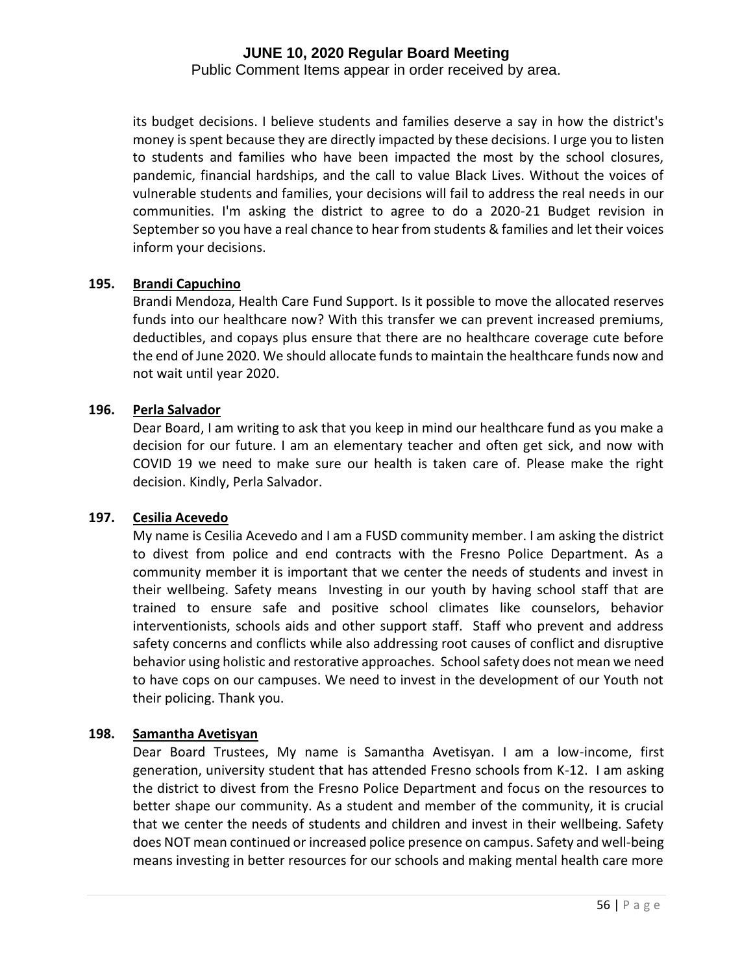Public Comment Items appear in order received by area.

its budget decisions. I believe students and families deserve a say in how the district's money is spent because they are directly impacted by these decisions. I urge you to listen to students and families who have been impacted the most by the school closures, pandemic, financial hardships, and the call to value Black Lives. Without the voices of vulnerable students and families, your decisions will fail to address the real needs in our communities. I'm asking the district to agree to do a 2020-21 Budget revision in September so you have a real chance to hear from students & families and let their voices inform your decisions.

#### **195. Brandi Capuchino**

Brandi Mendoza, Health Care Fund Support. Is it possible to move the allocated reserves funds into our healthcare now? With this transfer we can prevent increased premiums, deductibles, and copays plus ensure that there are no healthcare coverage cute before the end of June 2020. We should allocate funds to maintain the healthcare funds now and not wait until year 2020.

## **196. Perla Salvador**

Dear Board, I am writing to ask that you keep in mind our healthcare fund as you make a decision for our future. I am an elementary teacher and often get sick, and now with COVID 19 we need to make sure our health is taken care of. Please make the right decision. Kindly, Perla Salvador.

#### **197. Cesilia Acevedo**

My name is Cesilia Acevedo and I am a FUSD community member. I am asking the district to divest from police and end contracts with the Fresno Police Department. As a community member it is important that we center the needs of students and invest in their wellbeing. Safety means Investing in our youth by having school staff that are trained to ensure safe and positive school climates like counselors, behavior interventionists, schools aids and other support staff. Staff who prevent and address safety concerns and conflicts while also addressing root causes of conflict and disruptive behavior using holistic and restorative approaches. School safety does not mean we need to have cops on our campuses. We need to invest in the development of our Youth not their policing. Thank you.

#### **198. Samantha Avetisyan**

Dear Board Trustees, My name is Samantha Avetisyan. I am a low-income, first generation, university student that has attended Fresno schools from K-12. I am asking the district to divest from the Fresno Police Department and focus on the resources to better shape our community. As a student and member of the community, it is crucial that we center the needs of students and children and invest in their wellbeing. Safety does NOT mean continued or increased police presence on campus. Safety and well-being means investing in better resources for our schools and making mental health care more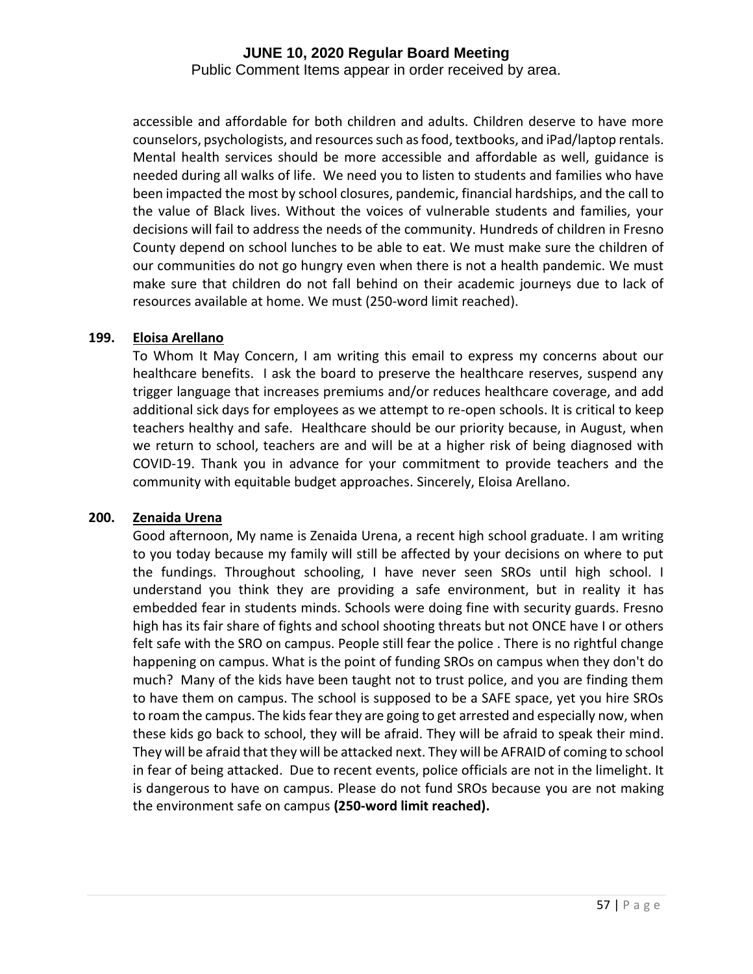Public Comment Items appear in order received by area.

accessible and affordable for both children and adults. Children deserve to have more counselors, psychologists, and resources such as food, textbooks, and iPad/laptop rentals. Mental health services should be more accessible and affordable as well, guidance is needed during all walks of life. We need you to listen to students and families who have been impacted the most by school closures, pandemic, financial hardships, and the call to the value of Black lives. Without the voices of vulnerable students and families, your decisions will fail to address the needs of the community. Hundreds of children in Fresno County depend on school lunches to be able to eat. We must make sure the children of our communities do not go hungry even when there is not a health pandemic. We must make sure that children do not fall behind on their academic journeys due to lack of resources available at home. We must (250-word limit reached).

#### **199. Eloisa Arellano**

To Whom It May Concern, I am writing this email to express my concerns about our healthcare benefits. I ask the board to preserve the healthcare reserves, suspend any trigger language that increases premiums and/or reduces healthcare coverage, and add additional sick days for employees as we attempt to re-open schools. It is critical to keep teachers healthy and safe. Healthcare should be our priority because, in August, when we return to school, teachers are and will be at a higher risk of being diagnosed with COVID-19. Thank you in advance for your commitment to provide teachers and the community with equitable budget approaches. Sincerely, Eloisa Arellano.

#### **200. Zenaida Urena**

Good afternoon, My name is Zenaida Urena, a recent high school graduate. I am writing to you today because my family will still be affected by your decisions on where to put the fundings. Throughout schooling, I have never seen SROs until high school. I understand you think they are providing a safe environment, but in reality it has embedded fear in students minds. Schools were doing fine with security guards. Fresno high has its fair share of fights and school shooting threats but not ONCE have I or others felt safe with the SRO on campus. People still fear the police . There is no rightful change happening on campus. What is the point of funding SROs on campus when they don't do much? Many of the kids have been taught not to trust police, and you are finding them to have them on campus. The school is supposed to be a SAFE space, yet you hire SROs to roam the campus. The kids fear they are going to get arrested and especially now, when these kids go back to school, they will be afraid. They will be afraid to speak their mind. They will be afraid that they will be attacked next. They will be AFRAID of coming to school in fear of being attacked. Due to recent events, police officials are not in the limelight. It is dangerous to have on campus. Please do not fund SROs because you are not making the environment safe on campus **(250-word limit reached).**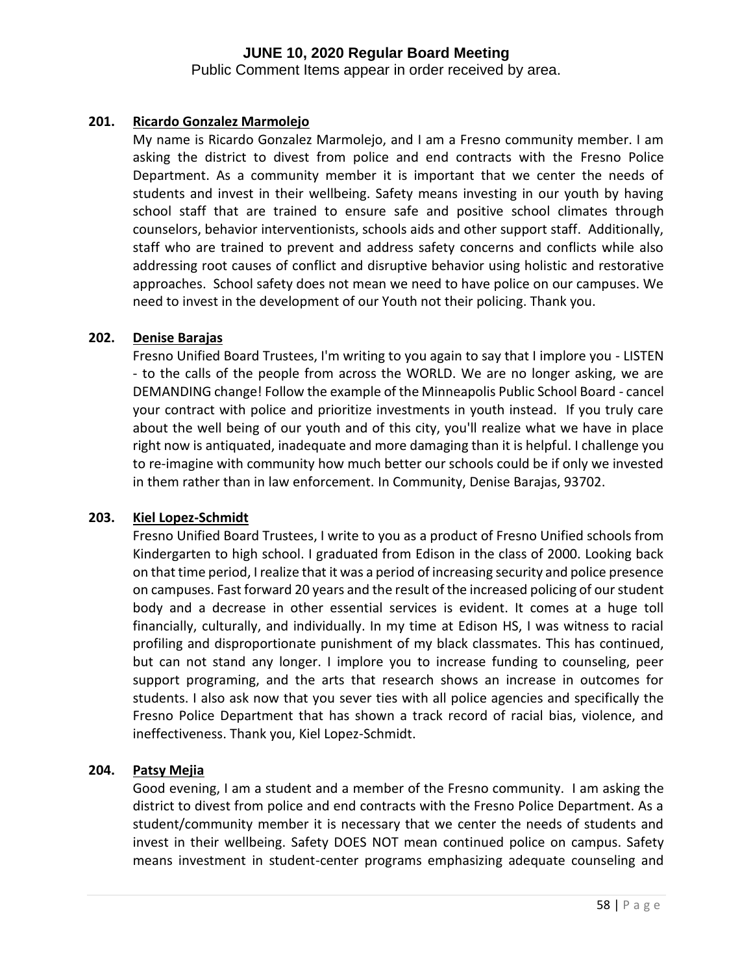Public Comment Items appear in order received by area.

## **201. Ricardo Gonzalez Marmolejo**

My name is Ricardo Gonzalez Marmolejo, and I am a Fresno community member. I am asking the district to divest from police and end contracts with the Fresno Police Department. As a community member it is important that we center the needs of students and invest in their wellbeing. Safety means investing in our youth by having school staff that are trained to ensure safe and positive school climates through counselors, behavior interventionists, schools aids and other support staff. Additionally, staff who are trained to prevent and address safety concerns and conflicts while also addressing root causes of conflict and disruptive behavior using holistic and restorative approaches. School safety does not mean we need to have police on our campuses. We need to invest in the development of our Youth not their policing. Thank you.

#### **202. Denise Barajas**

Fresno Unified Board Trustees, I'm writing to you again to say that I implore you - LISTEN - to the calls of the people from across the WORLD. We are no longer asking, we are DEMANDING change! Follow the example of the Minneapolis Public School Board - cancel your contract with police and prioritize investments in youth instead. If you truly care about the well being of our youth and of this city, you'll realize what we have in place right now is antiquated, inadequate and more damaging than it is helpful. I challenge you to re-imagine with community how much better our schools could be if only we invested in them rather than in law enforcement. In Community, Denise Barajas, 93702.

#### **203. Kiel Lopez-Schmidt**

Fresno Unified Board Trustees, I write to you as a product of Fresno Unified schools from Kindergarten to high school. I graduated from Edison in the class of 2000. Looking back on that time period, I realize that it was a period of increasing security and police presence on campuses. Fast forward 20 years and the result of the increased policing of our student body and a decrease in other essential services is evident. It comes at a huge toll financially, culturally, and individually. In my time at Edison HS, I was witness to racial profiling and disproportionate punishment of my black classmates. This has continued, but can not stand any longer. I implore you to increase funding to counseling, peer support programing, and the arts that research shows an increase in outcomes for students. I also ask now that you sever ties with all police agencies and specifically the Fresno Police Department that has shown a track record of racial bias, violence, and ineffectiveness. Thank you, Kiel Lopez-Schmidt.

#### **204. Patsy Mejia**

Good evening, I am a student and a member of the Fresno community. I am asking the district to divest from police and end contracts with the Fresno Police Department. As a student/community member it is necessary that we center the needs of students and invest in their wellbeing. Safety DOES NOT mean continued police on campus. Safety means investment in student-center programs emphasizing adequate counseling and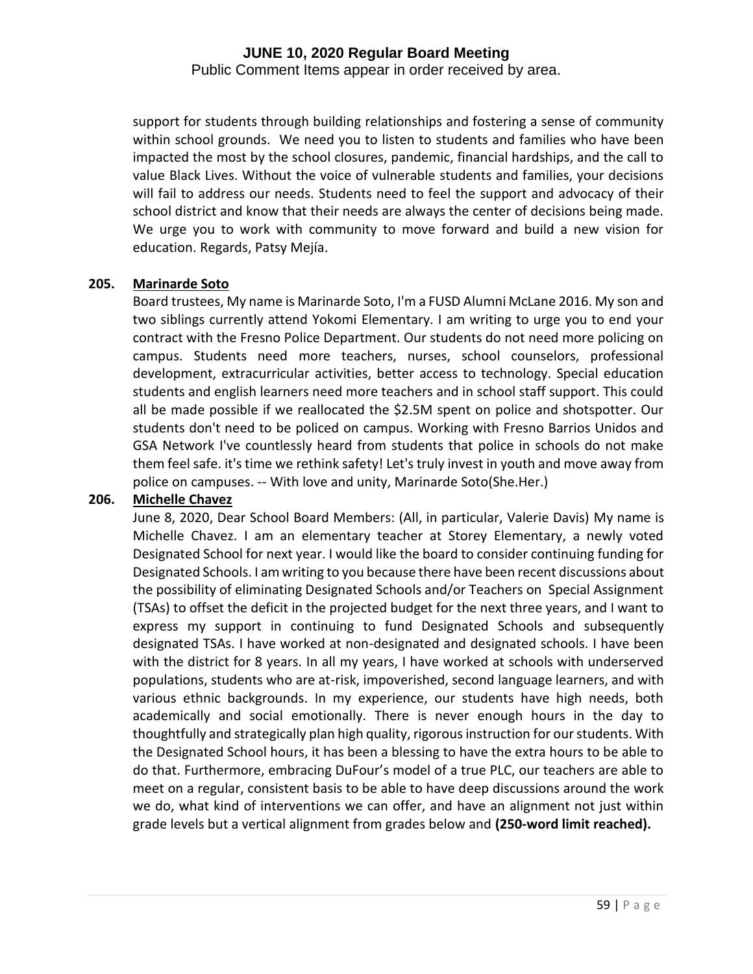Public Comment Items appear in order received by area.

support for students through building relationships and fostering a sense of community within school grounds. We need you to listen to students and families who have been impacted the most by the school closures, pandemic, financial hardships, and the call to value Black Lives. Without the voice of vulnerable students and families, your decisions will fail to address our needs. Students need to feel the support and advocacy of their school district and know that their needs are always the center of decisions being made. We urge you to work with community to move forward and build a new vision for education. Regards, Patsy Mejía.

#### **205. Marinarde Soto**

Board trustees, My name is Marinarde Soto, I'm a FUSD Alumni McLane 2016. My son and two siblings currently attend Yokomi Elementary. I am writing to urge you to end your contract with the Fresno Police Department. Our students do not need more policing on campus. Students need more teachers, nurses, school counselors, professional development, extracurricular activities, better access to technology. Special education students and english learners need more teachers and in school staff support. This could all be made possible if we reallocated the \$2.5M spent on police and shotspotter. Our students don't need to be policed on campus. Working with Fresno Barrios Unidos and GSA Network I've countlessly heard from students that police in schools do not make them feel safe. it's time we rethink safety! Let's truly invest in youth and move away from police on campuses. -- With love and unity, Marinarde Soto(She.Her.)

#### **206. Michelle Chavez**

June 8, 2020, Dear School Board Members: (All, in particular, Valerie Davis) My name is Michelle Chavez. I am an elementary teacher at Storey Elementary, a newly voted Designated School for next year. I would like the board to consider continuing funding for Designated Schools. I am writing to you because there have been recent discussions about the possibility of eliminating Designated Schools and/or Teachers on Special Assignment (TSAs) to offset the deficit in the projected budget for the next three years, and I want to express my support in continuing to fund Designated Schools and subsequently designated TSAs. I have worked at non-designated and designated schools. I have been with the district for 8 years. In all my years, I have worked at schools with underserved populations, students who are at-risk, impoverished, second language learners, and with various ethnic backgrounds. In my experience, our students have high needs, both academically and social emotionally. There is never enough hours in the day to thoughtfully and strategically plan high quality, rigorous instruction for our students. With the Designated School hours, it has been a blessing to have the extra hours to be able to do that. Furthermore, embracing DuFour's model of a true PLC, our teachers are able to meet on a regular, consistent basis to be able to have deep discussions around the work we do, what kind of interventions we can offer, and have an alignment not just within grade levels but a vertical alignment from grades below and **(250-word limit reached).**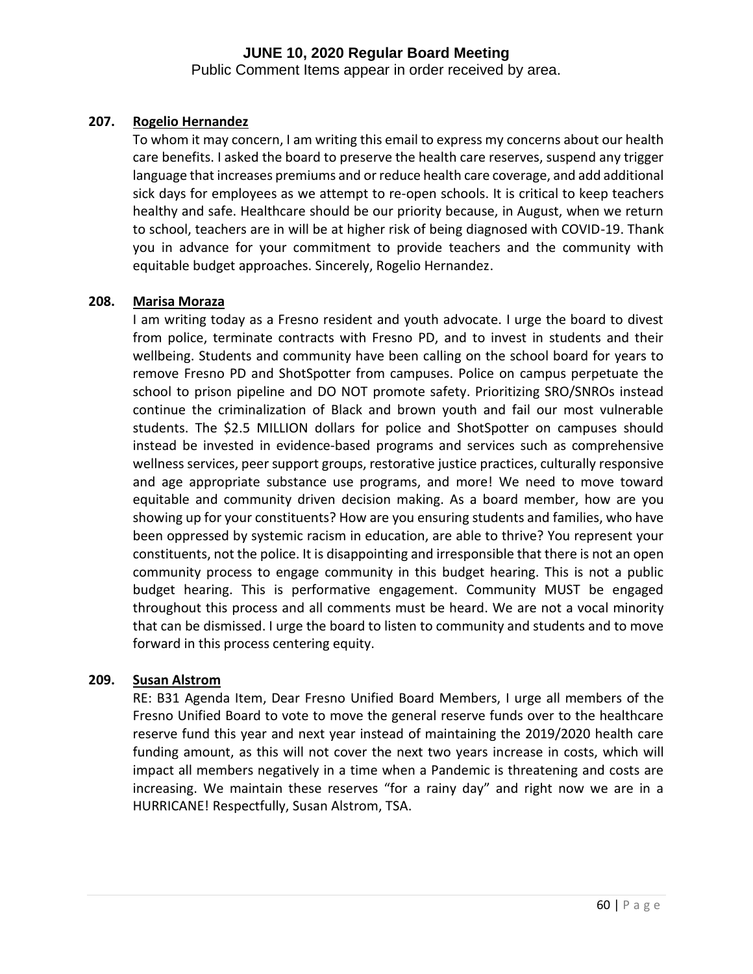Public Comment Items appear in order received by area.

## **207. Rogelio Hernandez**

To whom it may concern, I am writing this email to express my concerns about our health care benefits. I asked the board to preserve the health care reserves, suspend any trigger language that increases premiums and or reduce health care coverage, and add additional sick days for employees as we attempt to re-open schools. It is critical to keep teachers healthy and safe. Healthcare should be our priority because, in August, when we return to school, teachers are in will be at higher risk of being diagnosed with COVID-19. Thank you in advance for your commitment to provide teachers and the community with equitable budget approaches. Sincerely, Rogelio Hernandez.

#### **208. Marisa Moraza**

I am writing today as a Fresno resident and youth advocate. I urge the board to divest from police, terminate contracts with Fresno PD, and to invest in students and their wellbeing. Students and community have been calling on the school board for years to remove Fresno PD and ShotSpotter from campuses. Police on campus perpetuate the school to prison pipeline and DO NOT promote safety. Prioritizing SRO/SNROs instead continue the criminalization of Black and brown youth and fail our most vulnerable students. The \$2.5 MILLION dollars for police and ShotSpotter on campuses should instead be invested in evidence-based programs and services such as comprehensive wellness services, peer support groups, restorative justice practices, culturally responsive and age appropriate substance use programs, and more! We need to move toward equitable and community driven decision making. As a board member, how are you showing up for your constituents? How are you ensuring students and families, who have been oppressed by systemic racism in education, are able to thrive? You represent your constituents, not the police. It is disappointing and irresponsible that there is not an open community process to engage community in this budget hearing. This is not a public budget hearing. This is performative engagement. Community MUST be engaged throughout this process and all comments must be heard. We are not a vocal minority that can be dismissed. I urge the board to listen to community and students and to move forward in this process centering equity.

#### **209. Susan Alstrom**

RE: B31 Agenda Item, Dear Fresno Unified Board Members, I urge all members of the Fresno Unified Board to vote to move the general reserve funds over to the healthcare reserve fund this year and next year instead of maintaining the 2019/2020 health care funding amount, as this will not cover the next two years increase in costs, which will impact all members negatively in a time when a Pandemic is threatening and costs are increasing. We maintain these reserves "for a rainy day" and right now we are in a HURRICANE! Respectfully, Susan Alstrom, TSA.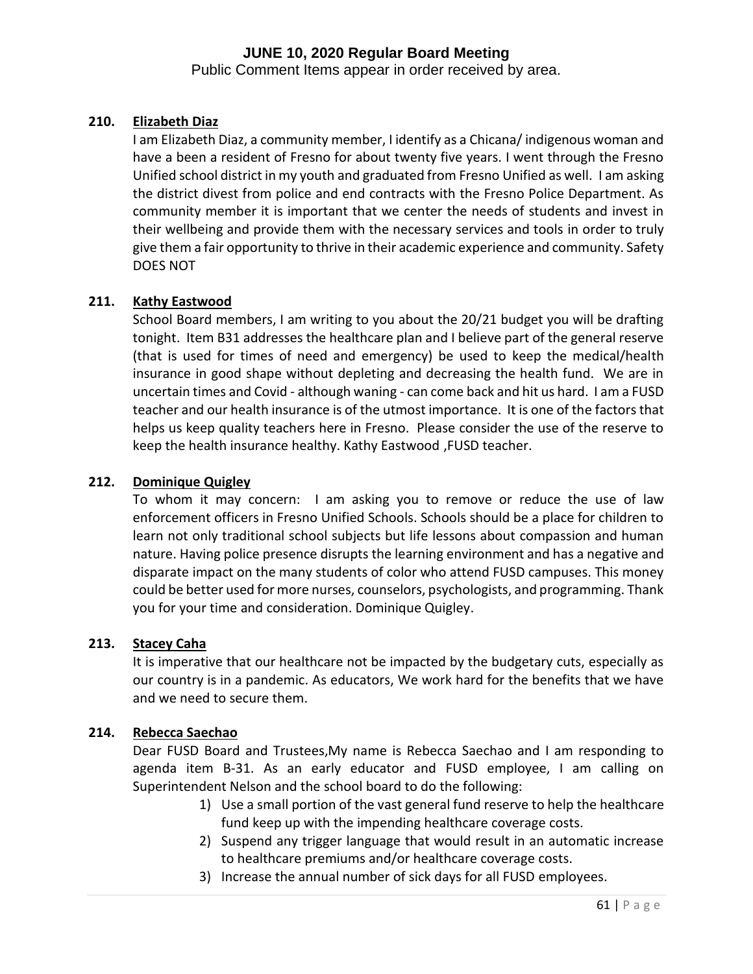Public Comment Items appear in order received by area.

#### **210. Elizabeth Diaz**

I am Elizabeth Diaz, a community member, I identify as a Chicana/ indigenous woman and have a been a resident of Fresno for about twenty five years. I went through the Fresno Unified school district in my youth and graduated from Fresno Unified as well. I am asking the district divest from police and end contracts with the Fresno Police Department. As community member it is important that we center the needs of students and invest in their wellbeing and provide them with the necessary services and tools in order to truly give them a fair opportunity to thrive in their academic experience and community. Safety DOES NOT

#### **211. Kathy Eastwood**

School Board members, I am writing to you about the 20/21 budget you will be drafting tonight. Item B31 addresses the healthcare plan and I believe part of the general reserve (that is used for times of need and emergency) be used to keep the medical/health insurance in good shape without depleting and decreasing the health fund. We are in uncertain times and Covid - although waning - can come back and hit us hard. I am a FUSD teacher and our health insurance is of the utmost importance. It is one of the factors that helps us keep quality teachers here in Fresno. Please consider the use of the reserve to keep the health insurance healthy. Kathy Eastwood ,FUSD teacher.

#### **212. Dominique Quigley**

To whom it may concern: I am asking you to remove or reduce the use of law enforcement officers in Fresno Unified Schools. Schools should be a place for children to learn not only traditional school subjects but life lessons about compassion and human nature. Having police presence disrupts the learning environment and has a negative and disparate impact on the many students of color who attend FUSD campuses. This money could be better used for more nurses, counselors, psychologists, and programming. Thank you for your time and consideration. Dominique Quigley.

#### **213. Stacey Caha**

It is imperative that our healthcare not be impacted by the budgetary cuts, especially as our country is in a pandemic. As educators, We work hard for the benefits that we have and we need to secure them.

#### **214. Rebecca Saechao**

Dear FUSD Board and Trustees,My name is Rebecca Saechao and I am responding to agenda item B-31. As an early educator and FUSD employee, I am calling on Superintendent Nelson and the school board to do the following:

- 1) Use a small portion of the vast general fund reserve to help the healthcare fund keep up with the impending healthcare coverage costs.
- 2) Suspend any trigger language that would result in an automatic increase to healthcare premiums and/or healthcare coverage costs.
- 3) Increase the annual number of sick days for all FUSD employees.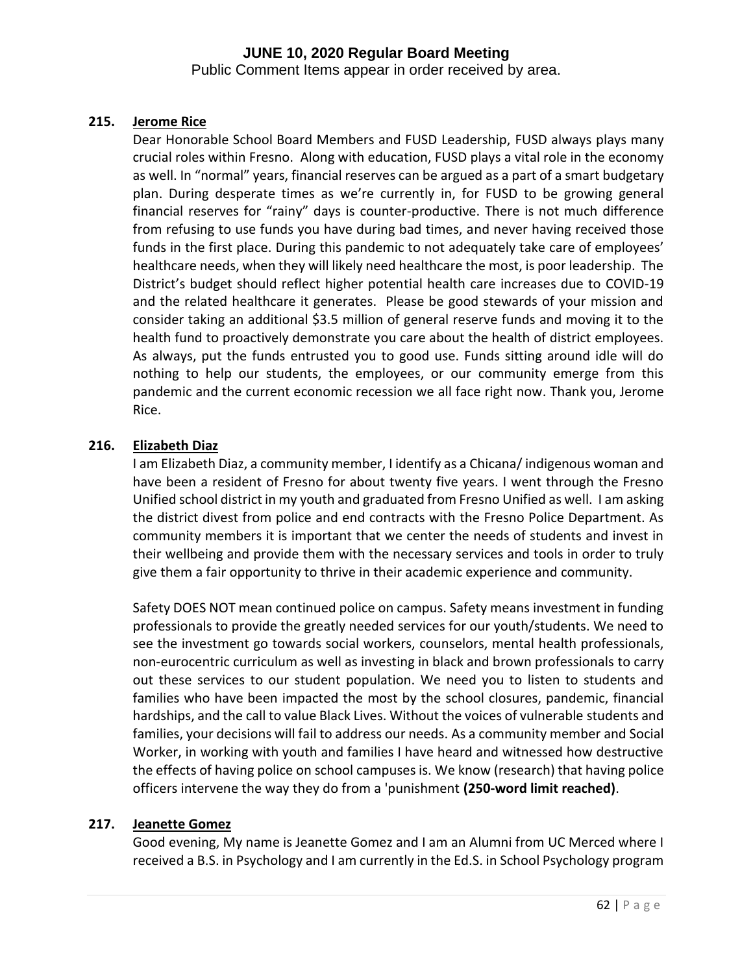Public Comment Items appear in order received by area.

#### **215. Jerome Rice**

Dear Honorable School Board Members and FUSD Leadership, FUSD always plays many crucial roles within Fresno. Along with education, FUSD plays a vital role in the economy as well. In "normal" years, financial reserves can be argued as a part of a smart budgetary plan. During desperate times as we're currently in, for FUSD to be growing general financial reserves for "rainy" days is counter-productive. There is not much difference from refusing to use funds you have during bad times, and never having received those funds in the first place. During this pandemic to not adequately take care of employees' healthcare needs, when they will likely need healthcare the most, is poor leadership. The District's budget should reflect higher potential health care increases due to COVID-19 and the related healthcare it generates. Please be good stewards of your mission and consider taking an additional \$3.5 million of general reserve funds and moving it to the health fund to proactively demonstrate you care about the health of district employees. As always, put the funds entrusted you to good use. Funds sitting around idle will do nothing to help our students, the employees, or our community emerge from this pandemic and the current economic recession we all face right now. Thank you, Jerome Rice.

## **216. Elizabeth Diaz**

I am Elizabeth Diaz, a community member, I identify as a Chicana/ indigenous woman and have been a resident of Fresno for about twenty five years. I went through the Fresno Unified school district in my youth and graduated from Fresno Unified as well. I am asking the district divest from police and end contracts with the Fresno Police Department. As community members it is important that we center the needs of students and invest in their wellbeing and provide them with the necessary services and tools in order to truly give them a fair opportunity to thrive in their academic experience and community.

Safety DOES NOT mean continued police on campus. Safety means investment in funding professionals to provide the greatly needed services for our youth/students. We need to see the investment go towards social workers, counselors, mental health professionals, non-eurocentric curriculum as well as investing in black and brown professionals to carry out these services to our student population. We need you to listen to students and families who have been impacted the most by the school closures, pandemic, financial hardships, and the call to value Black Lives. Without the voices of vulnerable students and families, your decisions will fail to address our needs. As a community member and Social Worker, in working with youth and families I have heard and witnessed how destructive the effects of having police on school campuses is. We know (research) that having police officers intervene the way they do from a 'punishment **(250-word limit reached)**.

## **217. Jeanette Gomez**

Good evening, My name is Jeanette Gomez and I am an Alumni from UC Merced where I received a B.S. in Psychology and I am currently in the Ed.S. in School Psychology program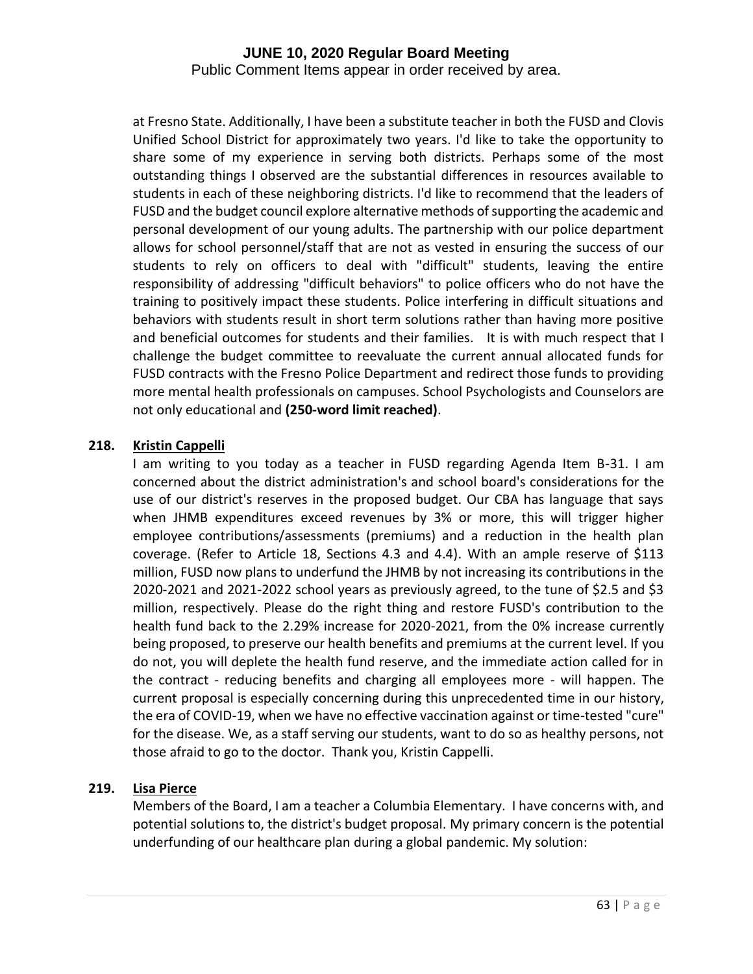Public Comment Items appear in order received by area.

at Fresno State. Additionally, I have been a substitute teacher in both the FUSD and Clovis Unified School District for approximately two years. I'd like to take the opportunity to share some of my experience in serving both districts. Perhaps some of the most outstanding things I observed are the substantial differences in resources available to students in each of these neighboring districts. I'd like to recommend that the leaders of FUSD and the budget council explore alternative methods of supporting the academic and personal development of our young adults. The partnership with our police department allows for school personnel/staff that are not as vested in ensuring the success of our students to rely on officers to deal with "difficult" students, leaving the entire responsibility of addressing "difficult behaviors" to police officers who do not have the training to positively impact these students. Police interfering in difficult situations and behaviors with students result in short term solutions rather than having more positive and beneficial outcomes for students and their families. It is with much respect that I challenge the budget committee to reevaluate the current annual allocated funds for FUSD contracts with the Fresno Police Department and redirect those funds to providing more mental health professionals on campuses. School Psychologists and Counselors are not only educational and **(250-word limit reached)**.

#### **218. Kristin Cappelli**

I am writing to you today as a teacher in FUSD regarding Agenda Item B-31. I am concerned about the district administration's and school board's considerations for the use of our district's reserves in the proposed budget. Our CBA has language that says when JHMB expenditures exceed revenues by 3% or more, this will trigger higher employee contributions/assessments (premiums) and a reduction in the health plan coverage. (Refer to Article 18, Sections 4.3 and 4.4). With an ample reserve of \$113 million, FUSD now plans to underfund the JHMB by not increasing its contributions in the 2020-2021 and 2021-2022 school years as previously agreed, to the tune of \$2.5 and \$3 million, respectively. Please do the right thing and restore FUSD's contribution to the health fund back to the 2.29% increase for 2020-2021, from the 0% increase currently being proposed, to preserve our health benefits and premiums at the current level. If you do not, you will deplete the health fund reserve, and the immediate action called for in the contract - reducing benefits and charging all employees more - will happen. The current proposal is especially concerning during this unprecedented time in our history, the era of COVID-19, when we have no effective vaccination against or time-tested "cure" for the disease. We, as a staff serving our students, want to do so as healthy persons, not those afraid to go to the doctor. Thank you, Kristin Cappelli.

#### **219. Lisa Pierce**

Members of the Board, I am a teacher a Columbia Elementary. I have concerns with, and potential solutions to, the district's budget proposal. My primary concern is the potential underfunding of our healthcare plan during a global pandemic. My solution: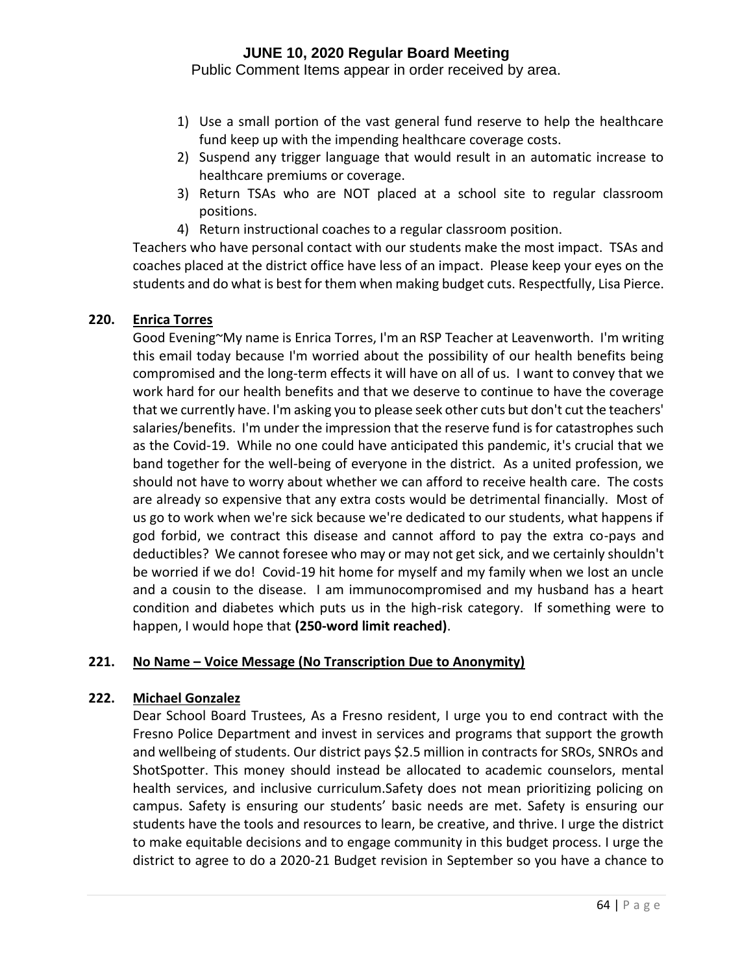Public Comment Items appear in order received by area.

- 1) Use a small portion of the vast general fund reserve to help the healthcare fund keep up with the impending healthcare coverage costs.
- 2) Suspend any trigger language that would result in an automatic increase to healthcare premiums or coverage.
- 3) Return TSAs who are NOT placed at a school site to regular classroom positions.
- 4) Return instructional coaches to a regular classroom position.

Teachers who have personal contact with our students make the most impact. TSAs and coaches placed at the district office have less of an impact. Please keep your eyes on the students and do what is best for them when making budget cuts. Respectfully, Lisa Pierce.

#### **220. Enrica Torres**

Good Evening~My name is Enrica Torres, I'm an RSP Teacher at Leavenworth. I'm writing this email today because I'm worried about the possibility of our health benefits being compromised and the long-term effects it will have on all of us. I want to convey that we work hard for our health benefits and that we deserve to continue to have the coverage that we currently have. I'm asking you to please seek other cuts but don't cut the teachers' salaries/benefits. I'm under the impression that the reserve fund is for catastrophes such as the Covid-19. While no one could have anticipated this pandemic, it's crucial that we band together for the well-being of everyone in the district. As a united profession, we should not have to worry about whether we can afford to receive health care. The costs are already so expensive that any extra costs would be detrimental financially. Most of us go to work when we're sick because we're dedicated to our students, what happens if god forbid, we contract this disease and cannot afford to pay the extra co-pays and deductibles? We cannot foresee who may or may not get sick, and we certainly shouldn't be worried if we do! Covid-19 hit home for myself and my family when we lost an uncle and a cousin to the disease. I am immunocompromised and my husband has a heart condition and diabetes which puts us in the high-risk category. If something were to happen, I would hope that **(250-word limit reached)**.

#### **221. No Name – Voice Message (No Transcription Due to Anonymity)**

#### **222. Michael Gonzalez**

Dear School Board Trustees, As a Fresno resident, I urge you to end contract with the Fresno Police Department and invest in services and programs that support the growth and wellbeing of students. Our district pays \$2.5 million in contracts for SROs, SNROs and ShotSpotter. This money should instead be allocated to academic counselors, mental health services, and inclusive curriculum.Safety does not mean prioritizing policing on campus. Safety is ensuring our students' basic needs are met. Safety is ensuring our students have the tools and resources to learn, be creative, and thrive. I urge the district to make equitable decisions and to engage community in this budget process. I urge the district to agree to do a 2020-21 Budget revision in September so you have a chance to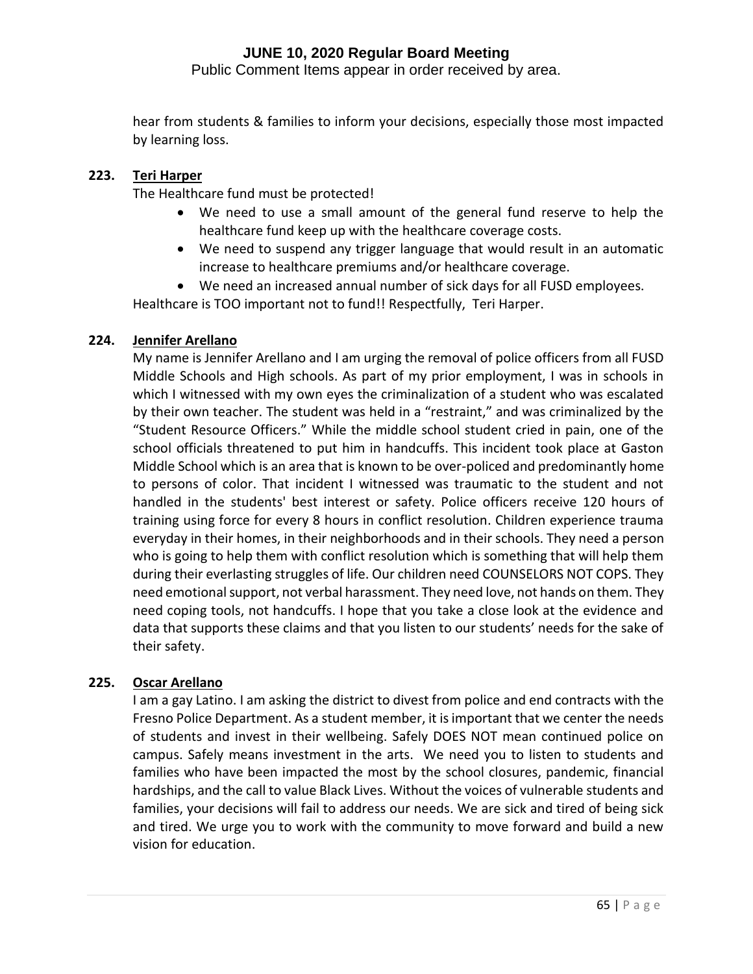Public Comment Items appear in order received by area.

hear from students & families to inform your decisions, especially those most impacted by learning loss.

## **223. Teri Harper**

The Healthcare fund must be protected!

- We need to use a small amount of the general fund reserve to help the healthcare fund keep up with the healthcare coverage costs.
- We need to suspend any trigger language that would result in an automatic increase to healthcare premiums and/or healthcare coverage.
- We need an increased annual number of sick days for all FUSD employees.

Healthcare is TOO important not to fund!! Respectfully, Teri Harper.

## **224. Jennifer Arellano**

My name is Jennifer Arellano and I am urging the removal of police officers from all FUSD Middle Schools and High schools. As part of my prior employment, I was in schools in which I witnessed with my own eyes the criminalization of a student who was escalated by their own teacher. The student was held in a "restraint," and was criminalized by the "Student Resource Officers." While the middle school student cried in pain, one of the school officials threatened to put him in handcuffs. This incident took place at Gaston Middle School which is an area that is known to be over-policed and predominantly home to persons of color. That incident I witnessed was traumatic to the student and not handled in the students' best interest or safety. Police officers receive 120 hours of training using force for every 8 hours in conflict resolution. Children experience trauma everyday in their homes, in their neighborhoods and in their schools. They need a person who is going to help them with conflict resolution which is something that will help them during their everlasting struggles of life. Our children need COUNSELORS NOT COPS. They need emotional support, not verbal harassment. They need love, not hands on them. They need coping tools, not handcuffs. I hope that you take a close look at the evidence and data that supports these claims and that you listen to our students' needs for the sake of their safety.

#### **225. Oscar Arellano**

I am a gay Latino. I am asking the district to divest from police and end contracts with the Fresno Police Department. As a student member, it is important that we center the needs of students and invest in their wellbeing. Safely DOES NOT mean continued police on campus. Safely means investment in the arts. We need you to listen to students and families who have been impacted the most by the school closures, pandemic, financial hardships, and the call to value Black Lives. Without the voices of vulnerable students and families, your decisions will fail to address our needs. We are sick and tired of being sick and tired. We urge you to work with the community to move forward and build a new vision for education.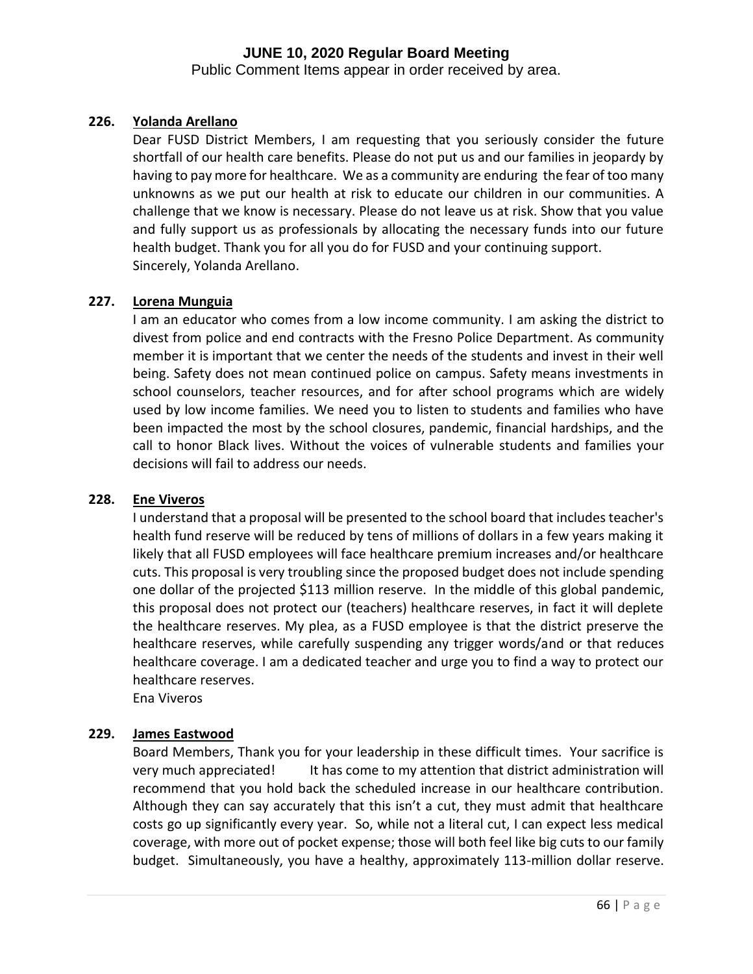Public Comment Items appear in order received by area.

## **226. Yolanda Arellano**

Dear FUSD District Members, I am requesting that you seriously consider the future shortfall of our health care benefits. Please do not put us and our families in jeopardy by having to pay more for healthcare. We as a community are enduring the fear of too many unknowns as we put our health at risk to educate our children in our communities. A challenge that we know is necessary. Please do not leave us at risk. Show that you value and fully support us as professionals by allocating the necessary funds into our future health budget. Thank you for all you do for FUSD and your continuing support. Sincerely, Yolanda Arellano.

## **227. Lorena Munguia**

I am an educator who comes from a low income community. I am asking the district to divest from police and end contracts with the Fresno Police Department. As community member it is important that we center the needs of the students and invest in their well being. Safety does not mean continued police on campus. Safety means investments in school counselors, teacher resources, and for after school programs which are widely used by low income families. We need you to listen to students and families who have been impacted the most by the school closures, pandemic, financial hardships, and the call to honor Black lives. Without the voices of vulnerable students and families your decisions will fail to address our needs.

#### **228. Ene Viveros**

I understand that a proposal will be presented to the school board that includes teacher's health fund reserve will be reduced by tens of millions of dollars in a few years making it likely that all FUSD employees will face healthcare premium increases and/or healthcare cuts. This proposal is very troubling since the proposed budget does not include spending one dollar of the projected \$113 million reserve. In the middle of this global pandemic, this proposal does not protect our (teachers) healthcare reserves, in fact it will deplete the healthcare reserves. My plea, as a FUSD employee is that the district preserve the healthcare reserves, while carefully suspending any trigger words/and or that reduces healthcare coverage. I am a dedicated teacher and urge you to find a way to protect our healthcare reserves.

Ena Viveros

#### **229. James Eastwood**

Board Members, Thank you for your leadership in these difficult times. Your sacrifice is very much appreciated! It has come to my attention that district administration will recommend that you hold back the scheduled increase in our healthcare contribution. Although they can say accurately that this isn't a cut, they must admit that healthcare costs go up significantly every year. So, while not a literal cut, I can expect less medical coverage, with more out of pocket expense; those will both feel like big cuts to our family budget. Simultaneously, you have a healthy, approximately 113-million dollar reserve.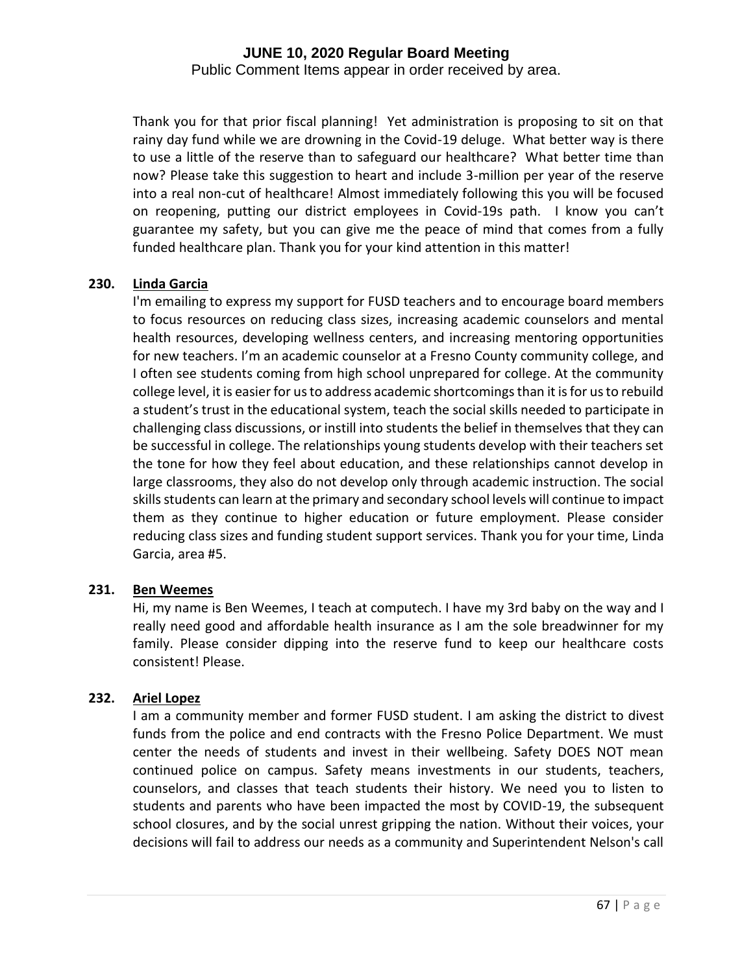Public Comment Items appear in order received by area.

Thank you for that prior fiscal planning! Yet administration is proposing to sit on that rainy day fund while we are drowning in the Covid-19 deluge. What better way is there to use a little of the reserve than to safeguard our healthcare? What better time than now? Please take this suggestion to heart and include 3-million per year of the reserve into a real non-cut of healthcare! Almost immediately following this you will be focused on reopening, putting our district employees in Covid-19s path. I know you can't guarantee my safety, but you can give me the peace of mind that comes from a fully funded healthcare plan. Thank you for your kind attention in this matter!

## **230. Linda Garcia**

I'm emailing to express my support for FUSD teachers and to encourage board members to focus resources on reducing class sizes, increasing academic counselors and mental health resources, developing wellness centers, and increasing mentoring opportunities for new teachers. I'm an academic counselor at a Fresno County community college, and I often see students coming from high school unprepared for college. At the community college level, it is easier for us to address academic shortcomings than it is for us to rebuild a student's trust in the educational system, teach the social skills needed to participate in challenging class discussions, or instill into students the belief in themselves that they can be successful in college. The relationships young students develop with their teachers set the tone for how they feel about education, and these relationships cannot develop in large classrooms, they also do not develop only through academic instruction. The social skills students can learn at the primary and secondary school levels will continue to impact them as they continue to higher education or future employment. Please consider reducing class sizes and funding student support services. Thank you for your time, Linda Garcia, area #5.

#### **231. Ben Weemes**

Hi, my name is Ben Weemes, I teach at computech. I have my 3rd baby on the way and I really need good and affordable health insurance as I am the sole breadwinner for my family. Please consider dipping into the reserve fund to keep our healthcare costs consistent! Please.

#### **232. Ariel Lopez**

I am a community member and former FUSD student. I am asking the district to divest funds from the police and end contracts with the Fresno Police Department. We must center the needs of students and invest in their wellbeing. Safety DOES NOT mean continued police on campus. Safety means investments in our students, teachers, counselors, and classes that teach students their history. We need you to listen to students and parents who have been impacted the most by COVID-19, the subsequent school closures, and by the social unrest gripping the nation. Without their voices, your decisions will fail to address our needs as a community and Superintendent Nelson's call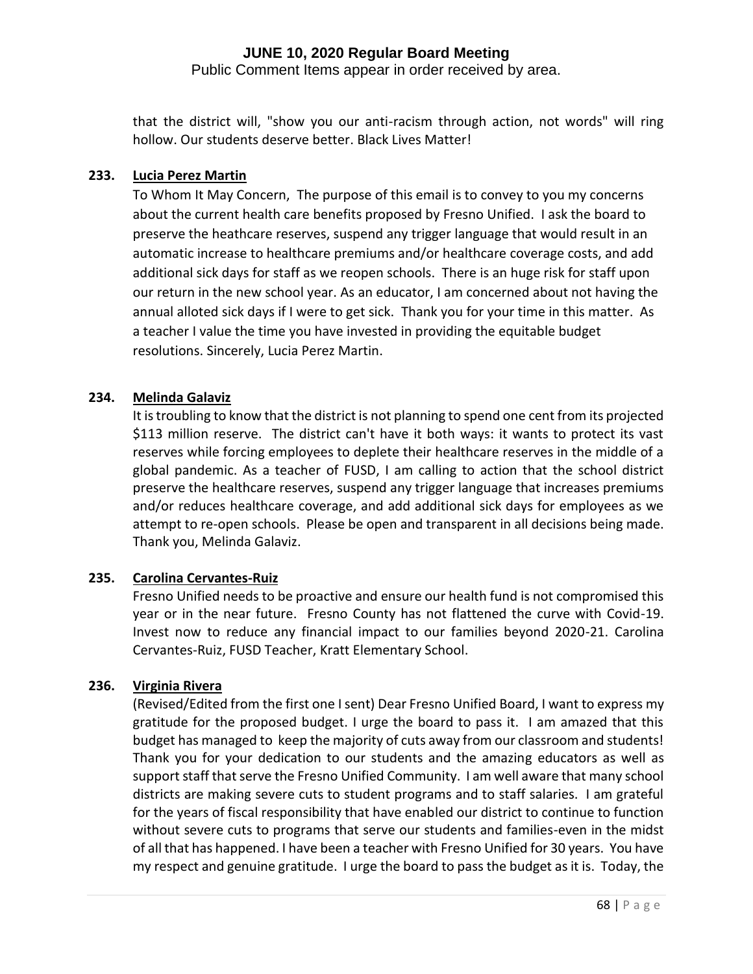Public Comment Items appear in order received by area.

that the district will, "show you our anti-racism through action, not words" will ring hollow. Our students deserve better. Black Lives Matter!

## **233. Lucia Perez Martin**

To Whom It May Concern, The purpose of this email is to convey to you my concerns about the current health care benefits proposed by Fresno Unified. I ask the board to preserve the heathcare reserves, suspend any trigger language that would result in an automatic increase to healthcare premiums and/or healthcare coverage costs, and add additional sick days for staff as we reopen schools. There is an huge risk for staff upon our return in the new school year. As an educator, I am concerned about not having the annual alloted sick days if I were to get sick. Thank you for your time in this matter. As a teacher I value the time you have invested in providing the equitable budget resolutions. Sincerely, Lucia Perez Martin.

#### **234. Melinda Galaviz**

It is troubling to know that the district is not planning to spend one cent from its projected \$113 million reserve. The district can't have it both ways: it wants to protect its vast reserves while forcing employees to deplete their healthcare reserves in the middle of a global pandemic. As a teacher of FUSD, I am calling to action that the school district preserve the healthcare reserves, suspend any trigger language that increases premiums and/or reduces healthcare coverage, and add additional sick days for employees as we attempt to re-open schools. Please be open and transparent in all decisions being made. Thank you, Melinda Galaviz.

#### **235. Carolina Cervantes-Ruiz**

Fresno Unified needs to be proactive and ensure our health fund is not compromised this year or in the near future. Fresno County has not flattened the curve with Covid-19. Invest now to reduce any financial impact to our families beyond 2020-21. Carolina Cervantes-Ruiz, FUSD Teacher, Kratt Elementary School.

#### **236. Virginia Rivera**

(Revised/Edited from the first one I sent) Dear Fresno Unified Board, I want to express my gratitude for the proposed budget. I urge the board to pass it. I am amazed that this budget has managed to keep the majority of cuts away from our classroom and students! Thank you for your dedication to our students and the amazing educators as well as support staff that serve the Fresno Unified Community. I am well aware that many school districts are making severe cuts to student programs and to staff salaries. I am grateful for the years of fiscal responsibility that have enabled our district to continue to function without severe cuts to programs that serve our students and families-even in the midst of all that has happened. I have been a teacher with Fresno Unified for 30 years. You have my respect and genuine gratitude. I urge the board to pass the budget as it is. Today, the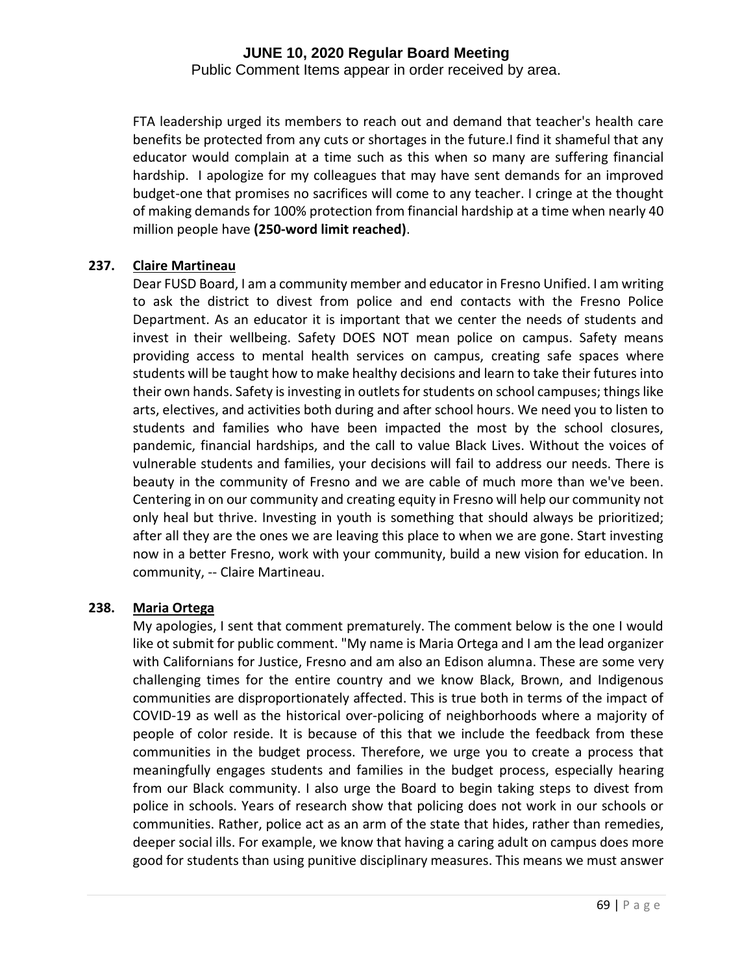Public Comment Items appear in order received by area.

FTA leadership urged its members to reach out and demand that teacher's health care benefits be protected from any cuts or shortages in the future.I find it shameful that any educator would complain at a time such as this when so many are suffering financial hardship. I apologize for my colleagues that may have sent demands for an improved budget-one that promises no sacrifices will come to any teacher. I cringe at the thought of making demands for 100% protection from financial hardship at a time when nearly 40 million people have **(250-word limit reached)**.

## **237. Claire Martineau**

Dear FUSD Board, I am a community member and educator in Fresno Unified. I am writing to ask the district to divest from police and end contacts with the Fresno Police Department. As an educator it is important that we center the needs of students and invest in their wellbeing. Safety DOES NOT mean police on campus. Safety means providing access to mental health services on campus, creating safe spaces where students will be taught how to make healthy decisions and learn to take their futures into their own hands. Safety is investing in outlets for students on school campuses; things like arts, electives, and activities both during and after school hours. We need you to listen to students and families who have been impacted the most by the school closures, pandemic, financial hardships, and the call to value Black Lives. Without the voices of vulnerable students and families, your decisions will fail to address our needs. There is beauty in the community of Fresno and we are cable of much more than we've been. Centering in on our community and creating equity in Fresno will help our community not only heal but thrive. Investing in youth is something that should always be prioritized; after all they are the ones we are leaving this place to when we are gone. Start investing now in a better Fresno, work with your community, build a new vision for education. In community, -- Claire Martineau.

## **238. Maria Ortega**

My apologies, I sent that comment prematurely. The comment below is the one I would like ot submit for public comment. "My name is Maria Ortega and I am the lead organizer with Californians for Justice, Fresno and am also an Edison alumna. These are some very challenging times for the entire country and we know Black, Brown, and Indigenous communities are disproportionately affected. This is true both in terms of the impact of COVID-19 as well as the historical over-policing of neighborhoods where a majority of people of color reside. It is because of this that we include the feedback from these communities in the budget process. Therefore, we urge you to create a process that meaningfully engages students and families in the budget process, especially hearing from our Black community. I also urge the Board to begin taking steps to divest from police in schools. Years of research show that policing does not work in our schools or communities. Rather, police act as an arm of the state that hides, rather than remedies, deeper social ills. For example, we know that having a caring adult on campus does more good for students than using punitive disciplinary measures. This means we must answer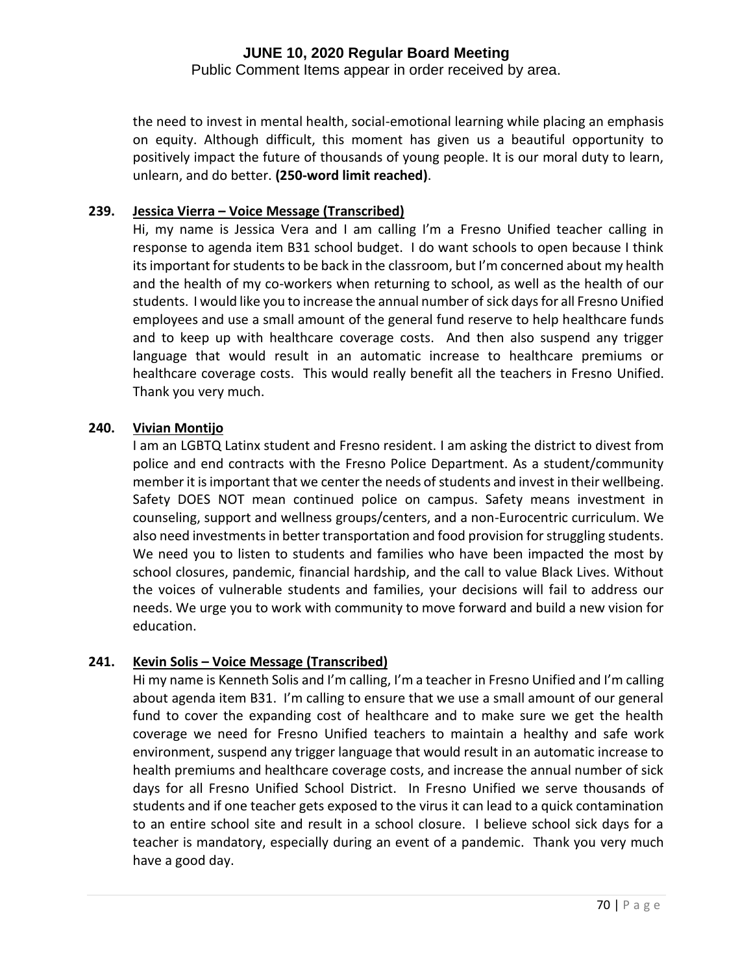Public Comment Items appear in order received by area.

the need to invest in mental health, social-emotional learning while placing an emphasis on equity. Although difficult, this moment has given us a beautiful opportunity to positively impact the future of thousands of young people. It is our moral duty to learn, unlearn, and do better. **(250-word limit reached)**.

#### **239. Jessica Vierra – Voice Message (Transcribed)**

Hi, my name is Jessica Vera and I am calling I'm a Fresno Unified teacher calling in response to agenda item B31 school budget. I do want schools to open because I think its important for students to be back in the classroom, but I'm concerned about my health and the health of my co-workers when returning to school, as well as the health of our students. I would like you to increase the annual number of sick days for all Fresno Unified employees and use a small amount of the general fund reserve to help healthcare funds and to keep up with healthcare coverage costs. And then also suspend any trigger language that would result in an automatic increase to healthcare premiums or healthcare coverage costs. This would really benefit all the teachers in Fresno Unified. Thank you very much.

#### **240. Vivian Montijo**

I am an LGBTQ Latinx student and Fresno resident. I am asking the district to divest from police and end contracts with the Fresno Police Department. As a student/community member it is important that we center the needs of students and invest in their wellbeing. Safety DOES NOT mean continued police on campus. Safety means investment in counseling, support and wellness groups/centers, and a non-Eurocentric curriculum. We also need investments in better transportation and food provision for struggling students. We need you to listen to students and families who have been impacted the most by school closures, pandemic, financial hardship, and the call to value Black Lives. Without the voices of vulnerable students and families, your decisions will fail to address our needs. We urge you to work with community to move forward and build a new vision for education.

#### **241. Kevin Solis – Voice Message (Transcribed)**

Hi my name is Kenneth Solis and I'm calling, I'm a teacher in Fresno Unified and I'm calling about agenda item B31. I'm calling to ensure that we use a small amount of our general fund to cover the expanding cost of healthcare and to make sure we get the health coverage we need for Fresno Unified teachers to maintain a healthy and safe work environment, suspend any trigger language that would result in an automatic increase to health premiums and healthcare coverage costs, and increase the annual number of sick days for all Fresno Unified School District. In Fresno Unified we serve thousands of students and if one teacher gets exposed to the virus it can lead to a quick contamination to an entire school site and result in a school closure. I believe school sick days for a teacher is mandatory, especially during an event of a pandemic. Thank you very much have a good day.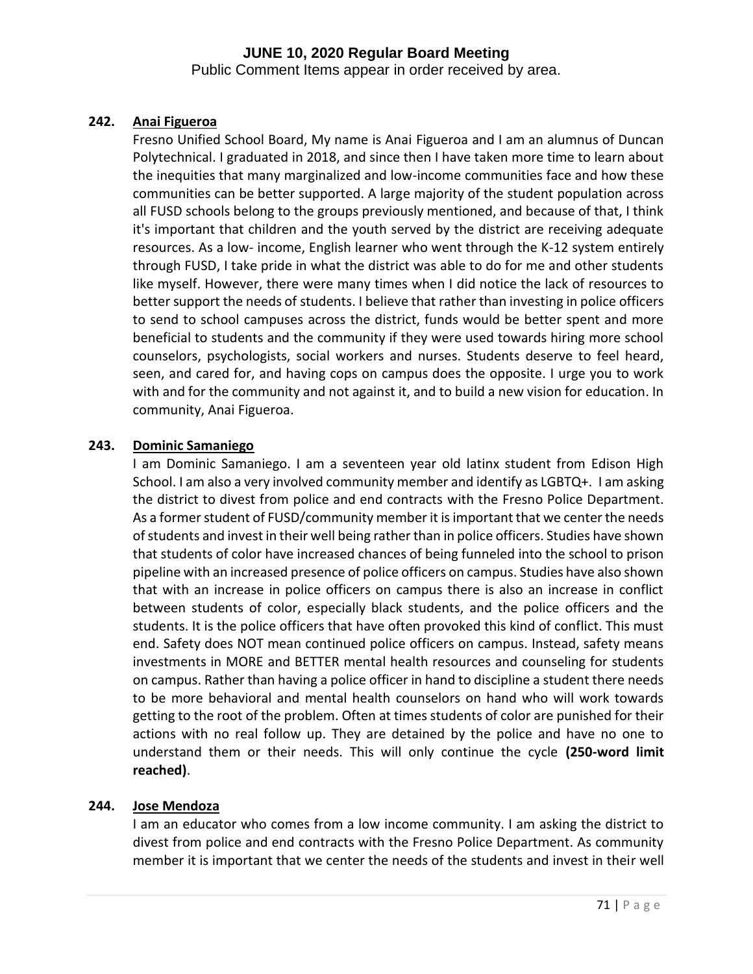Public Comment Items appear in order received by area.

## **242. Anai Figueroa**

Fresno Unified School Board, My name is Anai Figueroa and I am an alumnus of Duncan Polytechnical. I graduated in 2018, and since then I have taken more time to learn about the inequities that many marginalized and low-income communities face and how these communities can be better supported. A large majority of the student population across all FUSD schools belong to the groups previously mentioned, and because of that, I think it's important that children and the youth served by the district are receiving adequate resources. As a low- income, English learner who went through the K-12 system entirely through FUSD, I take pride in what the district was able to do for me and other students like myself. However, there were many times when I did notice the lack of resources to better support the needs of students. I believe that rather than investing in police officers to send to school campuses across the district, funds would be better spent and more beneficial to students and the community if they were used towards hiring more school counselors, psychologists, social workers and nurses. Students deserve to feel heard, seen, and cared for, and having cops on campus does the opposite. I urge you to work with and for the community and not against it, and to build a new vision for education. In community, Anai Figueroa.

## **243. Dominic Samaniego**

I am Dominic Samaniego. I am a seventeen year old latinx student from Edison High School. I am also a very involved community member and identify as LGBTQ+. I am asking the district to divest from police and end contracts with the Fresno Police Department. As a former student of FUSD/community member it is important that we center the needs of students and invest in their well being rather than in police officers. Studies have shown that students of color have increased chances of being funneled into the school to prison pipeline with an increased presence of police officers on campus. Studies have also shown that with an increase in police officers on campus there is also an increase in conflict between students of color, especially black students, and the police officers and the students. It is the police officers that have often provoked this kind of conflict. This must end. Safety does NOT mean continued police officers on campus. Instead, safety means investments in MORE and BETTER mental health resources and counseling for students on campus. Rather than having a police officer in hand to discipline a student there needs to be more behavioral and mental health counselors on hand who will work towards getting to the root of the problem. Often at times students of color are punished for their actions with no real follow up. They are detained by the police and have no one to understand them or their needs. This will only continue the cycle **(250-word limit reached)**.

#### **244. Jose Mendoza**

I am an educator who comes from a low income community. I am asking the district to divest from police and end contracts with the Fresno Police Department. As community member it is important that we center the needs of the students and invest in their well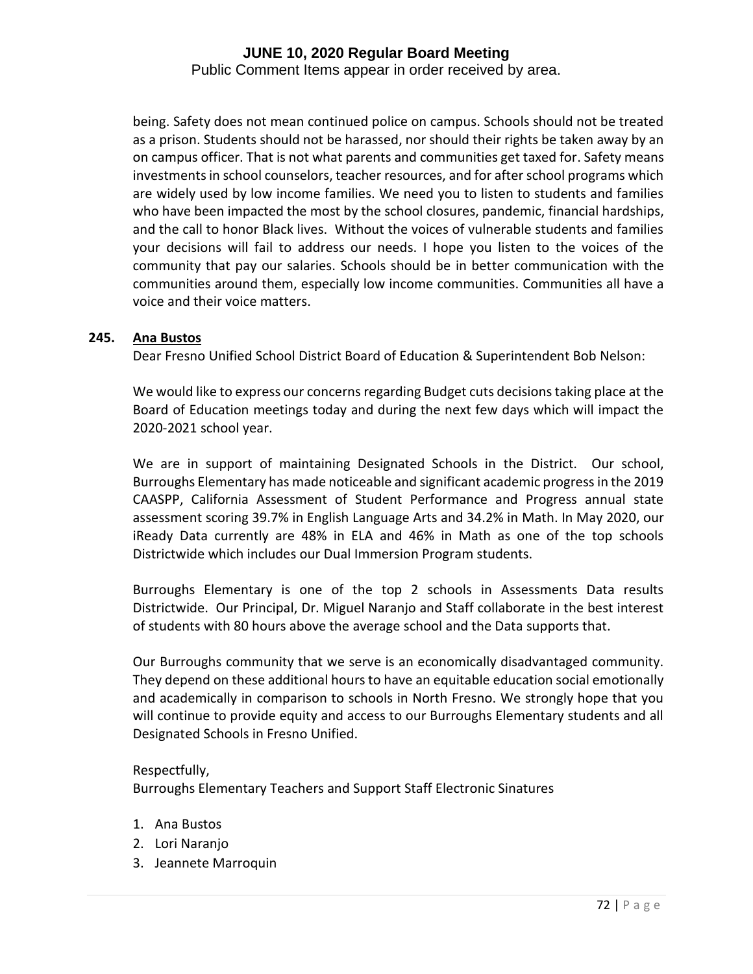Public Comment Items appear in order received by area.

being. Safety does not mean continued police on campus. Schools should not be treated as a prison. Students should not be harassed, nor should their rights be taken away by an on campus officer. That is not what parents and communities get taxed for. Safety means investments in school counselors, teacher resources, and for after school programs which are widely used by low income families. We need you to listen to students and families who have been impacted the most by the school closures, pandemic, financial hardships, and the call to honor Black lives. Without the voices of vulnerable students and families your decisions will fail to address our needs. I hope you listen to the voices of the community that pay our salaries. Schools should be in better communication with the communities around them, especially low income communities. Communities all have a voice and their voice matters.

#### **245. Ana Bustos**

Dear Fresno Unified School District Board of Education & Superintendent Bob Nelson:

We would like to express our concerns regarding Budget cuts decisions taking place at the Board of Education meetings today and during the next few days which will impact the 2020-2021 school year.

We are in support of maintaining Designated Schools in the District. Our school, Burroughs Elementary has made noticeable and significant academic progress in the 2019 CAASPP, California Assessment of Student Performance and Progress annual state assessment scoring 39.7% in English Language Arts and 34.2% in Math. In May 2020, our iReady Data currently are 48% in ELA and 46% in Math as one of the top schools Districtwide which includes our Dual Immersion Program students.

Burroughs Elementary is one of the top 2 schools in Assessments Data results Districtwide. Our Principal, Dr. Miguel Naranjo and Staff collaborate in the best interest of students with 80 hours above the average school and the Data supports that.

Our Burroughs community that we serve is an economically disadvantaged community. They depend on these additional hours to have an equitable education social emotionally and academically in comparison to schools in North Fresno. We strongly hope that you will continue to provide equity and access to our Burroughs Elementary students and all Designated Schools in Fresno Unified.

#### Respectfully,

Burroughs Elementary Teachers and Support Staff Electronic Sinatures

- 1. Ana Bustos
- 2. Lori Naranjo
- 3. Jeannete Marroquin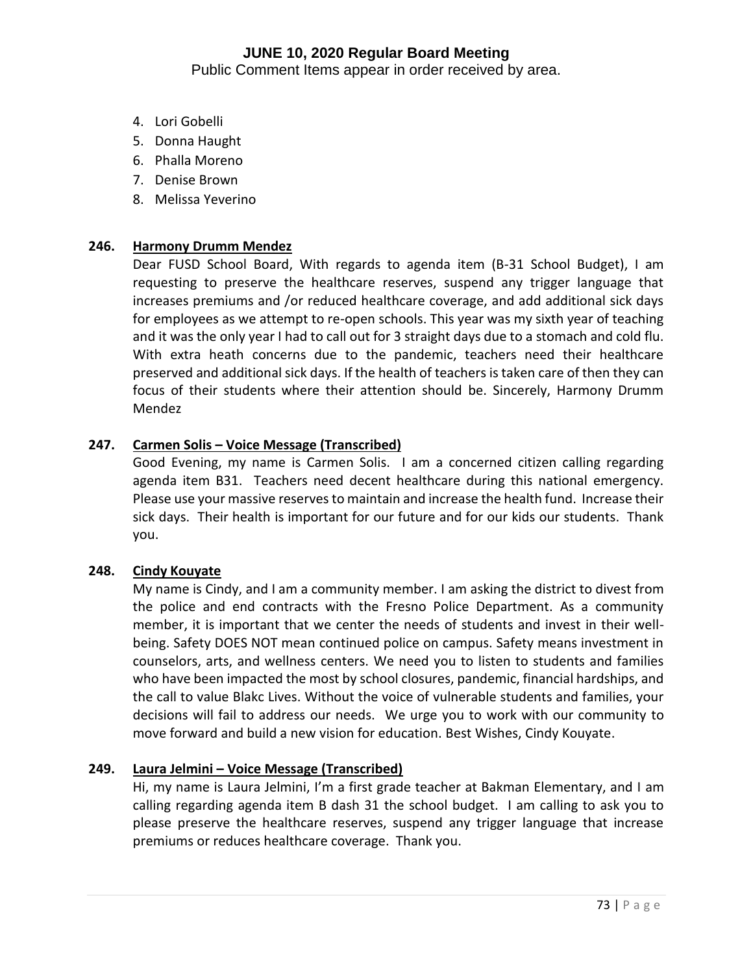# **JUNE 10, 2020 Regular Board Meeting**

Public Comment Items appear in order received by area.

- 4. Lori Gobelli
- 5. Donna Haught
- 6. Phalla Moreno
- 7. Denise Brown
- 8. Melissa Yeverino

## **246. Harmony Drumm Mendez**

Dear FUSD School Board, With regards to agenda item (B-31 School Budget), I am requesting to preserve the healthcare reserves, suspend any trigger language that increases premiums and /or reduced healthcare coverage, and add additional sick days for employees as we attempt to re-open schools. This year was my sixth year of teaching and it was the only year I had to call out for 3 straight days due to a stomach and cold flu. With extra heath concerns due to the pandemic, teachers need their healthcare preserved and additional sick days. If the health of teachers is taken care of then they can focus of their students where their attention should be. Sincerely, Harmony Drumm Mendez

## **247. Carmen Solis – Voice Message (Transcribed)**

Good Evening, my name is Carmen Solis. I am a concerned citizen calling regarding agenda item B31. Teachers need decent healthcare during this national emergency. Please use your massive reserves to maintain and increase the health fund. Increase their sick days. Their health is important for our future and for our kids our students. Thank you.

## **248. Cindy Kouyate**

My name is Cindy, and I am a community member. I am asking the district to divest from the police and end contracts with the Fresno Police Department. As a community member, it is important that we center the needs of students and invest in their wellbeing. Safety DOES NOT mean continued police on campus. Safety means investment in counselors, arts, and wellness centers. We need you to listen to students and families who have been impacted the most by school closures, pandemic, financial hardships, and the call to value Blakc Lives. Without the voice of vulnerable students and families, your decisions will fail to address our needs. We urge you to work with our community to move forward and build a new vision for education. Best Wishes, Cindy Kouyate.

# **249. Laura Jelmini – Voice Message (Transcribed)**

Hi, my name is Laura Jelmini, I'm a first grade teacher at Bakman Elementary, and I am calling regarding agenda item B dash 31 the school budget. I am calling to ask you to please preserve the healthcare reserves, suspend any trigger language that increase premiums or reduces healthcare coverage. Thank you.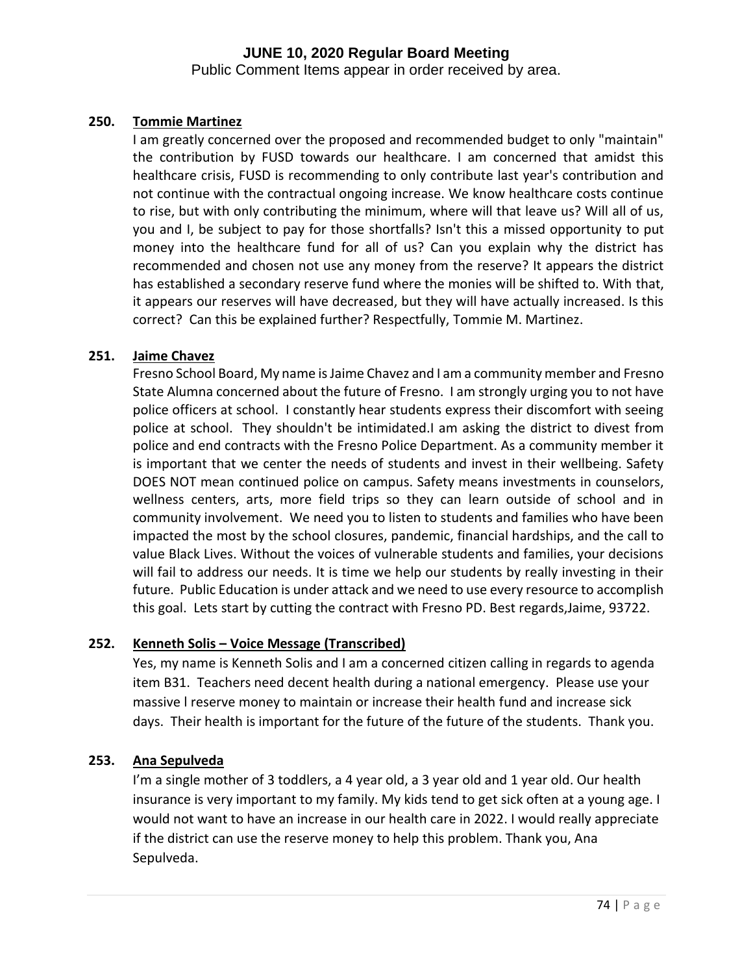# **JUNE 10, 2020 Regular Board Meeting**

Public Comment Items appear in order received by area.

## **250. Tommie Martinez**

I am greatly concerned over the proposed and recommended budget to only "maintain" the contribution by FUSD towards our healthcare. I am concerned that amidst this healthcare crisis, FUSD is recommending to only contribute last year's contribution and not continue with the contractual ongoing increase. We know healthcare costs continue to rise, but with only contributing the minimum, where will that leave us? Will all of us, you and I, be subject to pay for those shortfalls? Isn't this a missed opportunity to put money into the healthcare fund for all of us? Can you explain why the district has recommended and chosen not use any money from the reserve? It appears the district has established a secondary reserve fund where the monies will be shifted to. With that, it appears our reserves will have decreased, but they will have actually increased. Is this correct? Can this be explained further? Respectfully, Tommie M. Martinez.

## **251. Jaime Chavez**

Fresno School Board, My name is Jaime Chavez and I am a community member and Fresno State Alumna concerned about the future of Fresno. I am strongly urging you to not have police officers at school. I constantly hear students express their discomfort with seeing police at school. They shouldn't be intimidated.I am asking the district to divest from police and end contracts with the Fresno Police Department. As a community member it is important that we center the needs of students and invest in their wellbeing. Safety DOES NOT mean continued police on campus. Safety means investments in counselors, wellness centers, arts, more field trips so they can learn outside of school and in community involvement. We need you to listen to students and families who have been impacted the most by the school closures, pandemic, financial hardships, and the call to value Black Lives. Without the voices of vulnerable students and families, your decisions will fail to address our needs. It is time we help our students by really investing in their future. Public Education is under attack and we need to use every resource to accomplish this goal. Lets start by cutting the contract with Fresno PD. Best regards,Jaime, 93722.

## **252. Kenneth Solis – Voice Message (Transcribed)**

Yes, my name is Kenneth Solis and I am a concerned citizen calling in regards to agenda item B31. Teachers need decent health during a national emergency. Please use your massive l reserve money to maintain or increase their health fund and increase sick days. Their health is important for the future of the future of the students. Thank you.

## **253. Ana Sepulveda**

I'm a single mother of 3 toddlers, a 4 year old, a 3 year old and 1 year old. Our health insurance is very important to my family. My kids tend to get sick often at a young age. I would not want to have an increase in our health care in 2022. I would really appreciate if the district can use the reserve money to help this problem. Thank you, Ana Sepulveda.